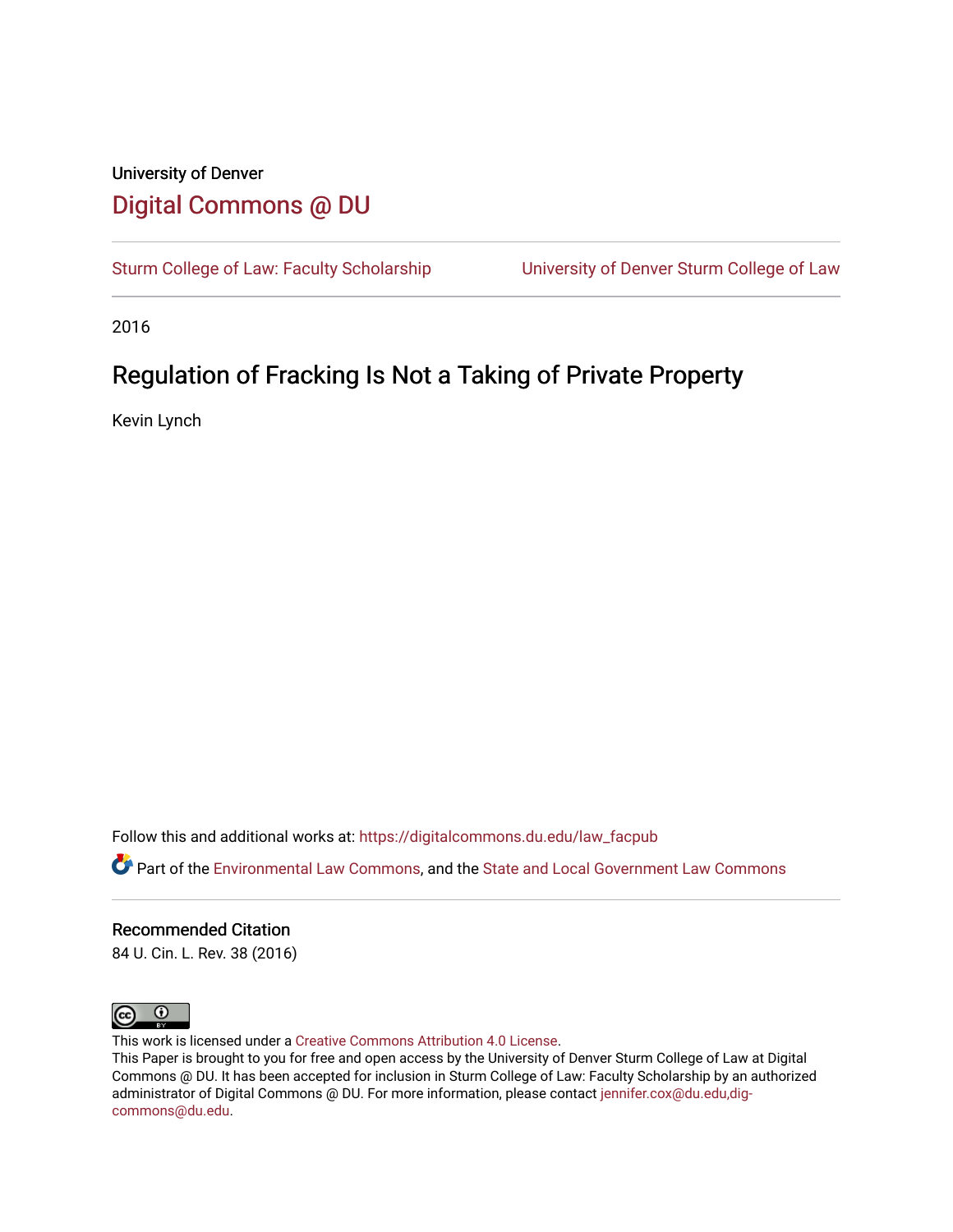## University of Denver [Digital Commons @ DU](https://digitalcommons.du.edu/)

[Sturm College of Law: Faculty Scholarship](https://digitalcommons.du.edu/law_facpub) [University of Denver Sturm College of Law](https://digitalcommons.du.edu/denver_law) 

2016

# Regulation of Fracking Is Not a Taking of Private Property

Kevin Lynch

Follow this and additional works at: [https://digitalcommons.du.edu/law\\_facpub](https://digitalcommons.du.edu/law_facpub?utm_source=digitalcommons.du.edu%2Flaw_facpub%2F13&utm_medium=PDF&utm_campaign=PDFCoverPages) 

Part of the [Environmental Law Commons](http://network.bepress.com/hgg/discipline/599?utm_source=digitalcommons.du.edu%2Flaw_facpub%2F13&utm_medium=PDF&utm_campaign=PDFCoverPages), and the [State and Local Government Law Commons](http://network.bepress.com/hgg/discipline/879?utm_source=digitalcommons.du.edu%2Flaw_facpub%2F13&utm_medium=PDF&utm_campaign=PDFCoverPages)

## Recommended Citation

84 U. Cin. L. Rev. 38 (2016)



This work is licensed under a [Creative Commons Attribution 4.0 License](https://creativecommons.org/licenses/by/4.0/).

This Paper is brought to you for free and open access by the University of Denver Sturm College of Law at Digital Commons @ DU. It has been accepted for inclusion in Sturm College of Law: Faculty Scholarship by an authorized administrator of Digital Commons @ DU. For more information, please contact [jennifer.cox@du.edu,dig](mailto:jennifer.cox@du.edu,dig-commons@du.edu)[commons@du.edu.](mailto:jennifer.cox@du.edu,dig-commons@du.edu)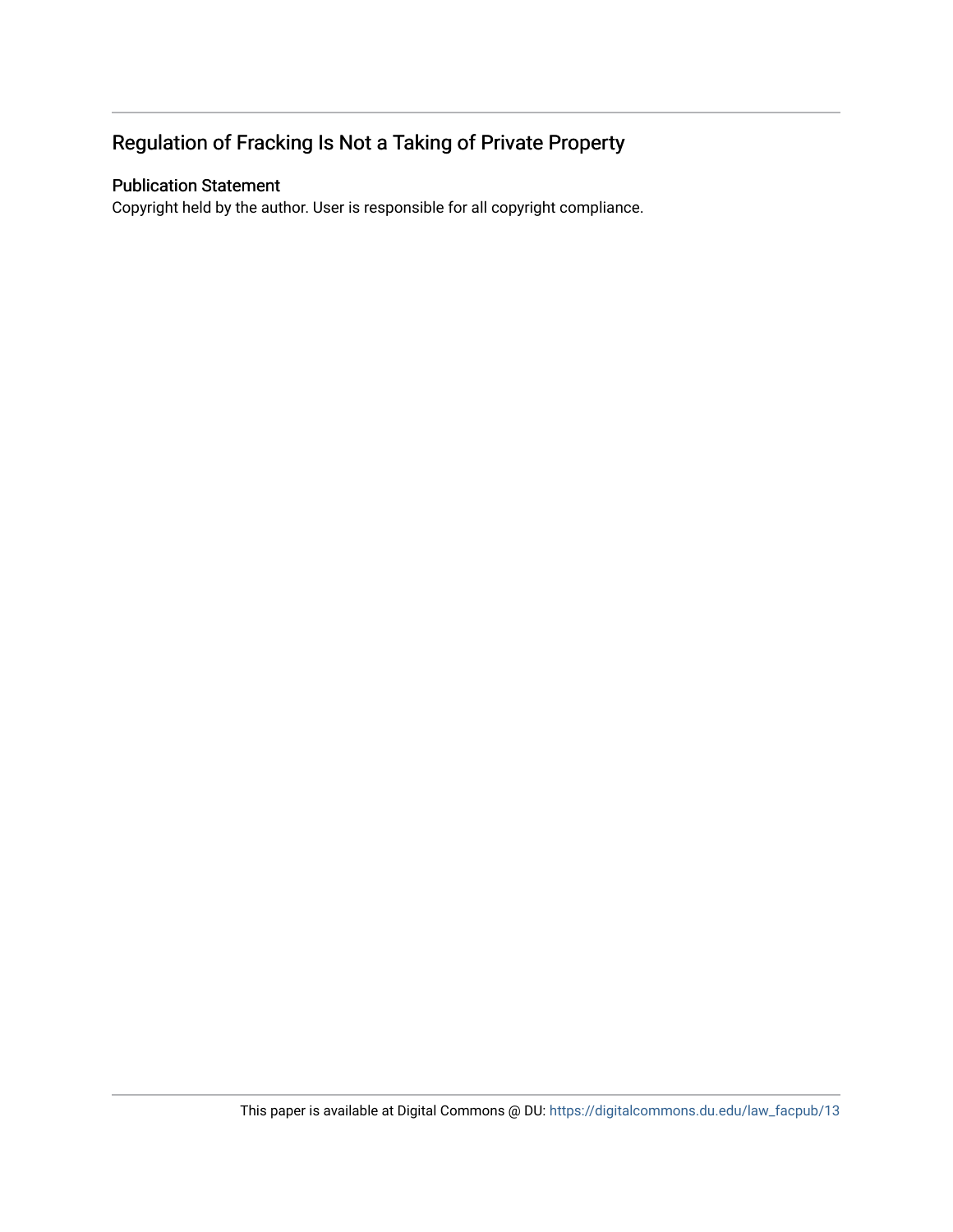## Regulation of Fracking Is Not a Taking of Private Property

## Publication Statement

Copyright held by the author. User is responsible for all copyright compliance.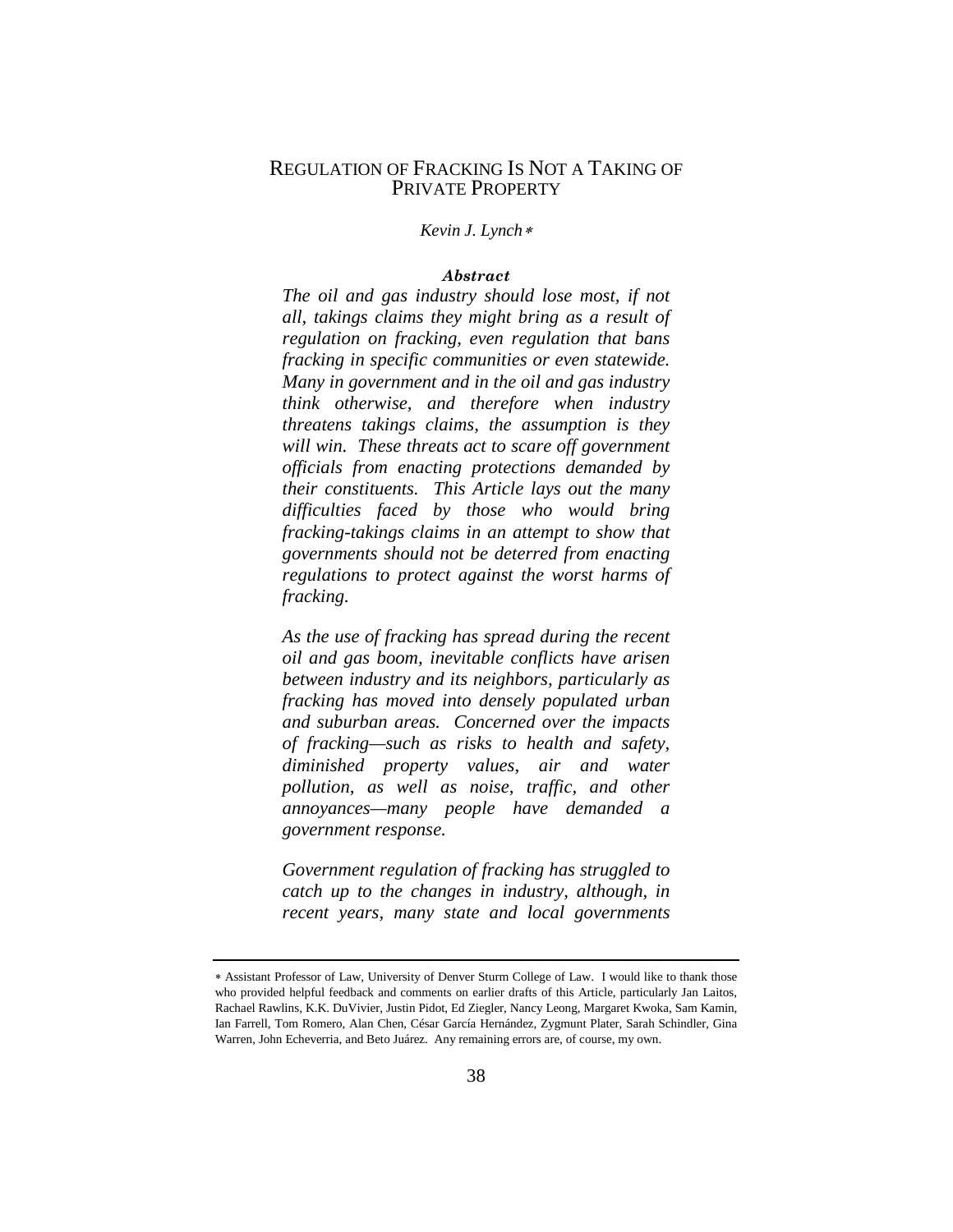## REGULATION OF FRACKING IS NOT A TAKING OF PRIVATE PROPERTY

*Kevin J. Lynch*[∗](#page-2-0)

## *Abstract*

*The oil and gas industry should lose most, if not all, takings claims they might bring as a result of regulation on fracking, even regulation that bans fracking in specific communities or even statewide. Many in government and in the oil and gas industry think otherwise, and therefore when industry threatens takings claims, the assumption is they will win. These threats act to scare off government officials from enacting protections demanded by their constituents. This Article lays out the many difficulties faced by those who would bring fracking-takings claims in an attempt to show that governments should not be deterred from enacting regulations to protect against the worst harms of fracking.*

*As the use of fracking has spread during the recent oil and gas boom, inevitable conflicts have arisen between industry and its neighbors, particularly as fracking has moved into densely populated urban and suburban areas. Concerned over the impacts of fracking—such as risks to health and safety, diminished property values, air and water pollution, as well as noise, traffic, and other annoyances—many people have demanded a government response.* 

*Government regulation of fracking has struggled to catch up to the changes in industry, although, in recent years, many state and local governments* 

<span id="page-2-0"></span><sup>∗</sup> Assistant Professor of Law, University of Denver Sturm College of Law. I would like to thank those who provided helpful feedback and comments on earlier drafts of this Article, particularly Jan Laitos, Rachael Rawlins, K.K. DuVivier, Justin Pidot, Ed Ziegler, Nancy Leong, Margaret Kwoka, Sam Kamin, Ian Farrell, Tom Romero, Alan Chen, César García Hernández, Zygmunt Plater, Sarah Schindler, Gina Warren, John Echeverria, and Beto Juárez. Any remaining errors are, of course, my own.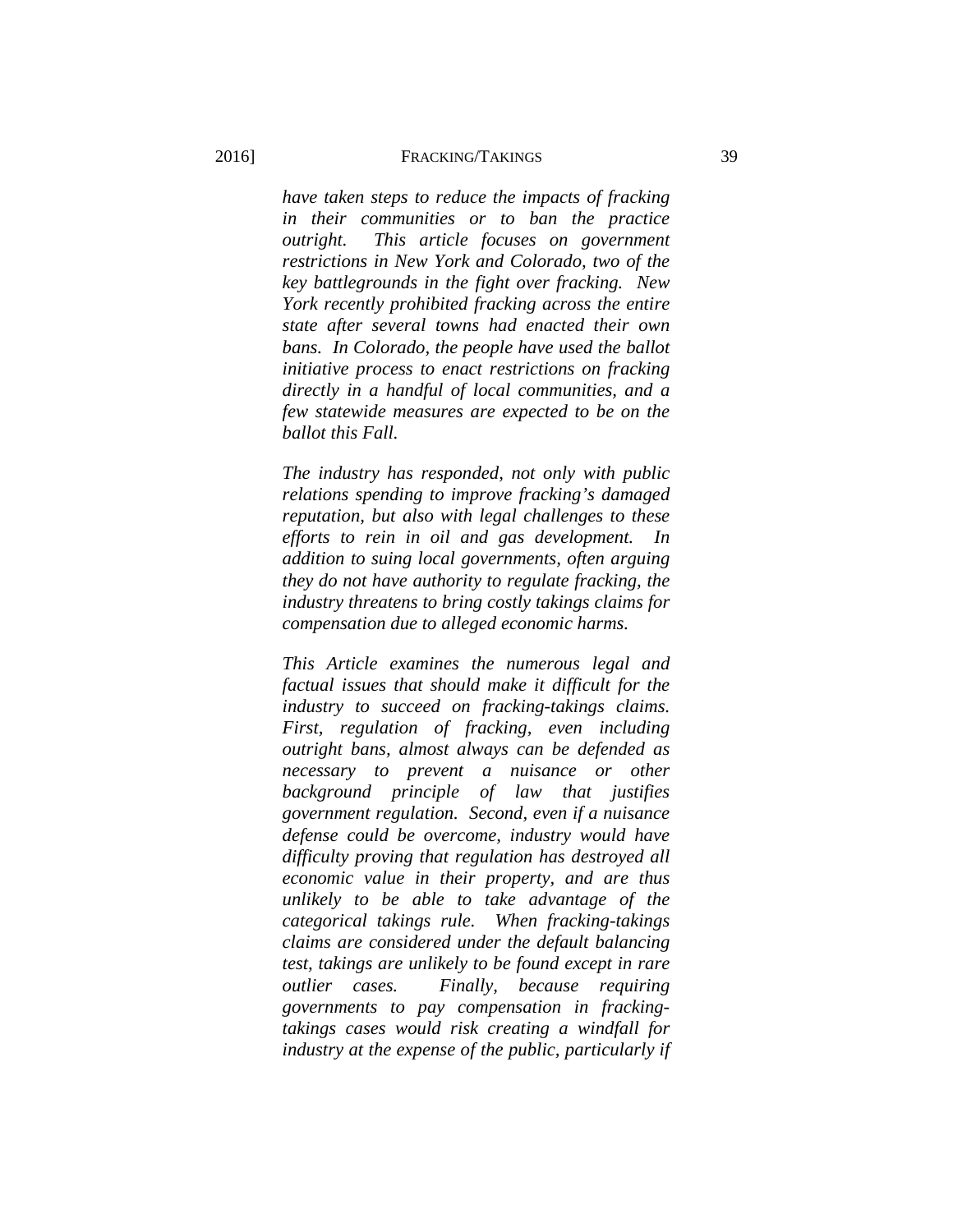## 2016] FRACKING/TAKINGS 39

*have taken steps to reduce the impacts of fracking in their communities or to ban the practice outright. This article focuses on government restrictions in New York and Colorado, two of the key battlegrounds in the fight over fracking. New York recently prohibited fracking across the entire state after several towns had enacted their own bans. In Colorado, the people have used the ballot initiative process to enact restrictions on fracking directly in a handful of local communities, and a few statewide measures are expected to be on the ballot this Fall.*

*The industry has responded, not only with public relations spending to improve fracking's damaged reputation, but also with legal challenges to these efforts to rein in oil and gas development. In addition to suing local governments, often arguing they do not have authority to regulate fracking, the industry threatens to bring costly takings claims for compensation due to alleged economic harms.* 

*This Article examines the numerous legal and factual issues that should make it difficult for the industry to succeed on fracking-takings claims. First, regulation of fracking, even including outright bans, almost always can be defended as necessary to prevent a nuisance or other background principle of law that justifies government regulation. Second, even if a nuisance defense could be overcome, industry would have difficulty proving that regulation has destroyed all economic value in their property, and are thus unlikely to be able to take advantage of the categorical takings rule. When fracking-takings claims are considered under the default balancing test, takings are unlikely to be found except in rare outlier cases. Finally, because requiring governments to pay compensation in frackingtakings cases would risk creating a windfall for industry at the expense of the public, particularly if*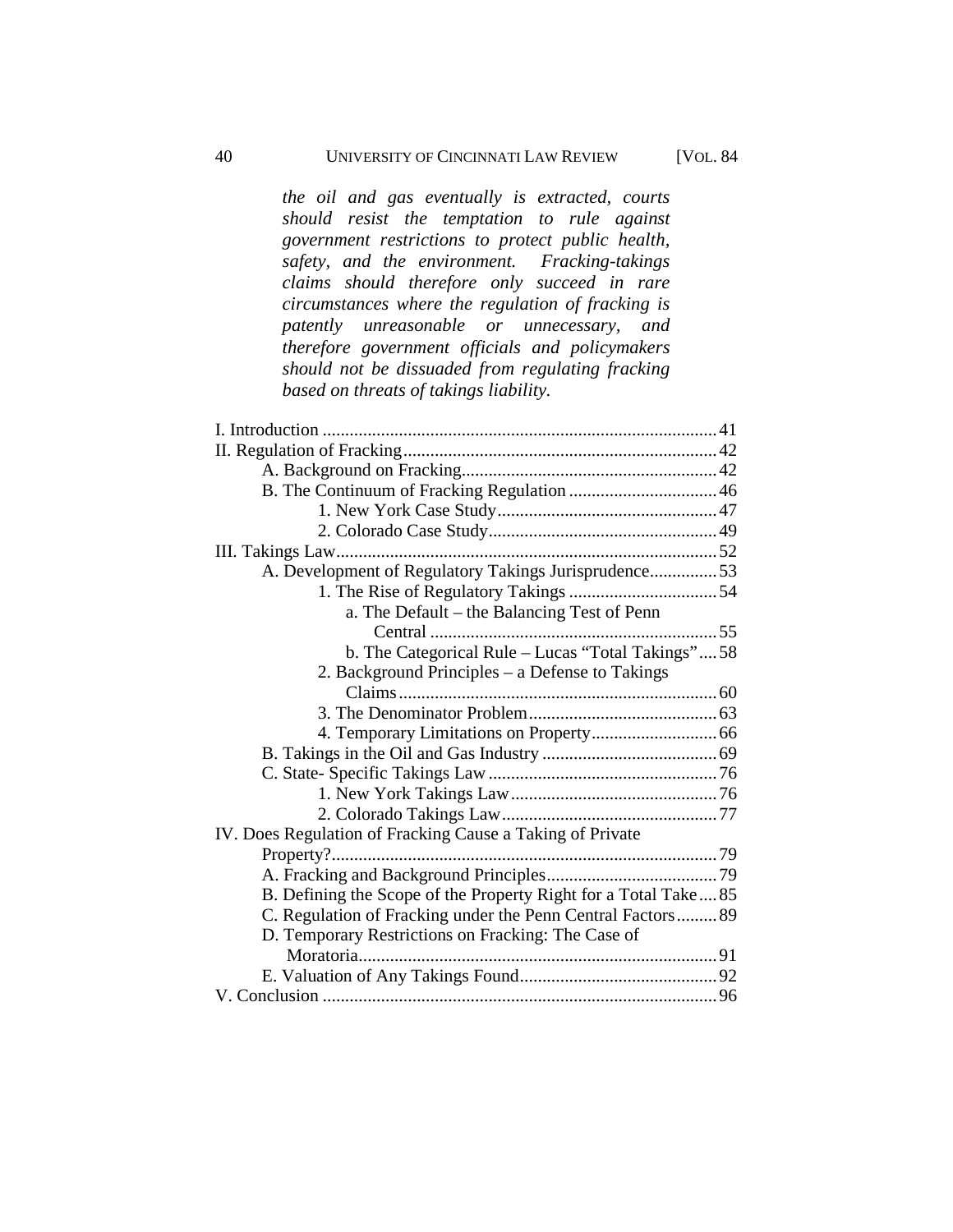*the oil and gas eventually is extracted, courts should resist the temptation to rule against government restrictions to protect public health, safety, and the environment. Fracking-takings claims should therefore only succeed in rare circumstances where the regulation of fracking is patently unreasonable or unnecessary, and therefore government officials and policymakers should not be dissuaded from regulating fracking based on threats of takings liability.*

| A. Development of Regulatory Takings Jurisprudence53           |  |
|----------------------------------------------------------------|--|
|                                                                |  |
| a. The Default – the Balancing Test of Penn                    |  |
|                                                                |  |
| b. The Categorical Rule - Lucas "Total Takings"58              |  |
| 2. Background Principles – a Defense to Takings                |  |
|                                                                |  |
|                                                                |  |
|                                                                |  |
|                                                                |  |
|                                                                |  |
|                                                                |  |
|                                                                |  |
| IV. Does Regulation of Fracking Cause a Taking of Private      |  |
|                                                                |  |
|                                                                |  |
| B. Defining the Scope of the Property Right for a Total Take85 |  |
| C. Regulation of Fracking under the Penn Central Factors 89    |  |
| D. Temporary Restrictions on Fracking: The Case of             |  |
|                                                                |  |
|                                                                |  |
|                                                                |  |
|                                                                |  |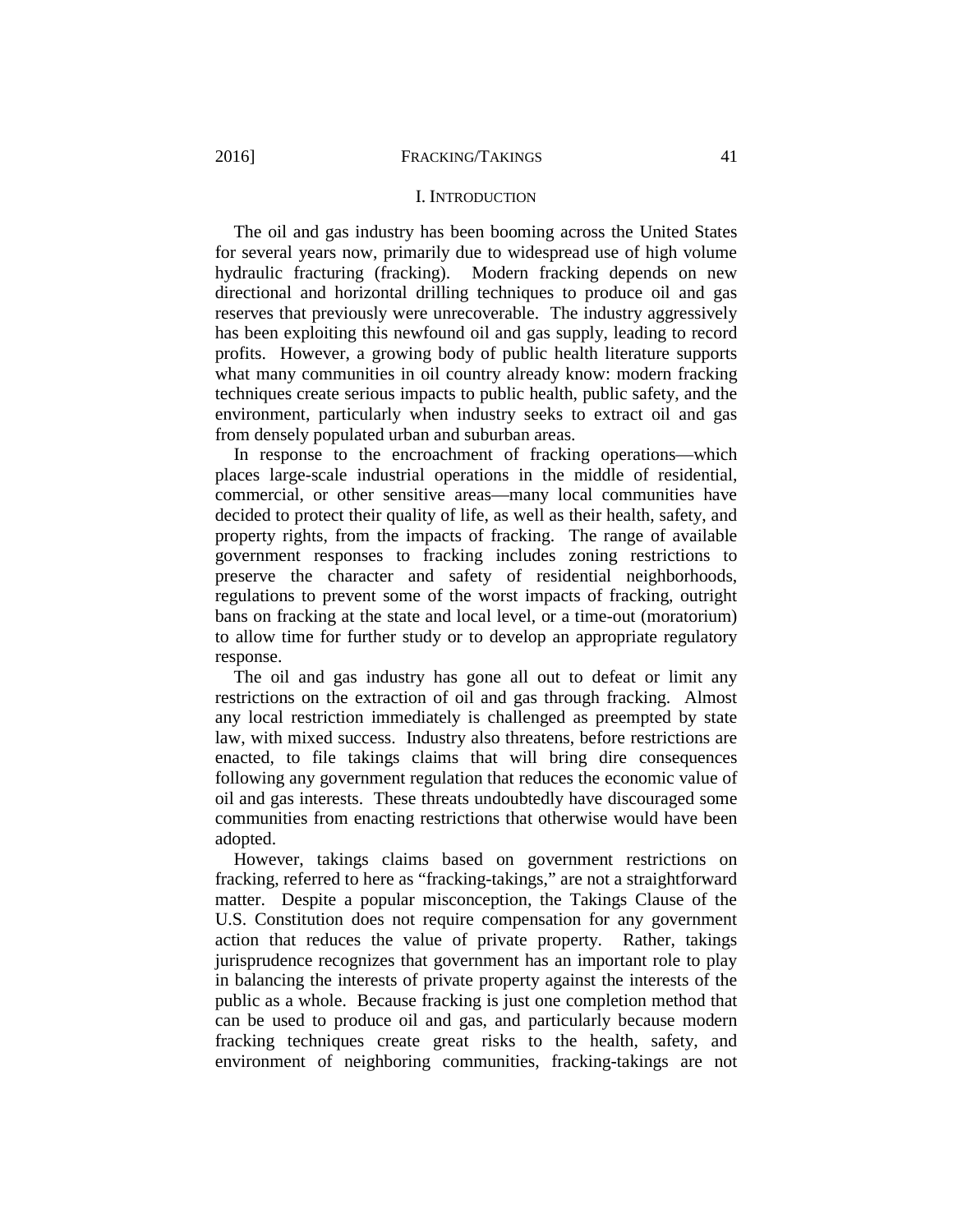#### <span id="page-5-0"></span>2016] FRACKING/TAKINGS 41

#### I. INTRODUCTION

The oil and gas industry has been booming across the United States for several years now, primarily due to widespread use of high volume hydraulic fracturing (fracking). Modern fracking depends on new directional and horizontal drilling techniques to produce oil and gas reserves that previously were unrecoverable. The industry aggressively has been exploiting this newfound oil and gas supply, leading to record profits. However, a growing body of public health literature supports what many communities in oil country already know: modern fracking techniques create serious impacts to public health, public safety, and the environment, particularly when industry seeks to extract oil and gas from densely populated urban and suburban areas.

In response to the encroachment of fracking operations—which places large-scale industrial operations in the middle of residential, commercial, or other sensitive areas—many local communities have decided to protect their quality of life, as well as their health, safety, and property rights, from the impacts of fracking. The range of available government responses to fracking includes zoning restrictions to preserve the character and safety of residential neighborhoods, regulations to prevent some of the worst impacts of fracking, outright bans on fracking at the state and local level, or a time-out (moratorium) to allow time for further study or to develop an appropriate regulatory response.

The oil and gas industry has gone all out to defeat or limit any restrictions on the extraction of oil and gas through fracking. Almost any local restriction immediately is challenged as preempted by state law, with mixed success. Industry also threatens, before restrictions are enacted, to file takings claims that will bring dire consequences following any government regulation that reduces the economic value of oil and gas interests. These threats undoubtedly have discouraged some communities from enacting restrictions that otherwise would have been adopted.

However, takings claims based on government restrictions on fracking, referred to here as "fracking-takings," are not a straightforward matter. Despite a popular misconception, the Takings Clause of the U.S. Constitution does not require compensation for any government action that reduces the value of private property. Rather, takings jurisprudence recognizes that government has an important role to play in balancing the interests of private property against the interests of the public as a whole. Because fracking is just one completion method that can be used to produce oil and gas, and particularly because modern fracking techniques create great risks to the health, safety, and environment of neighboring communities, fracking-takings are not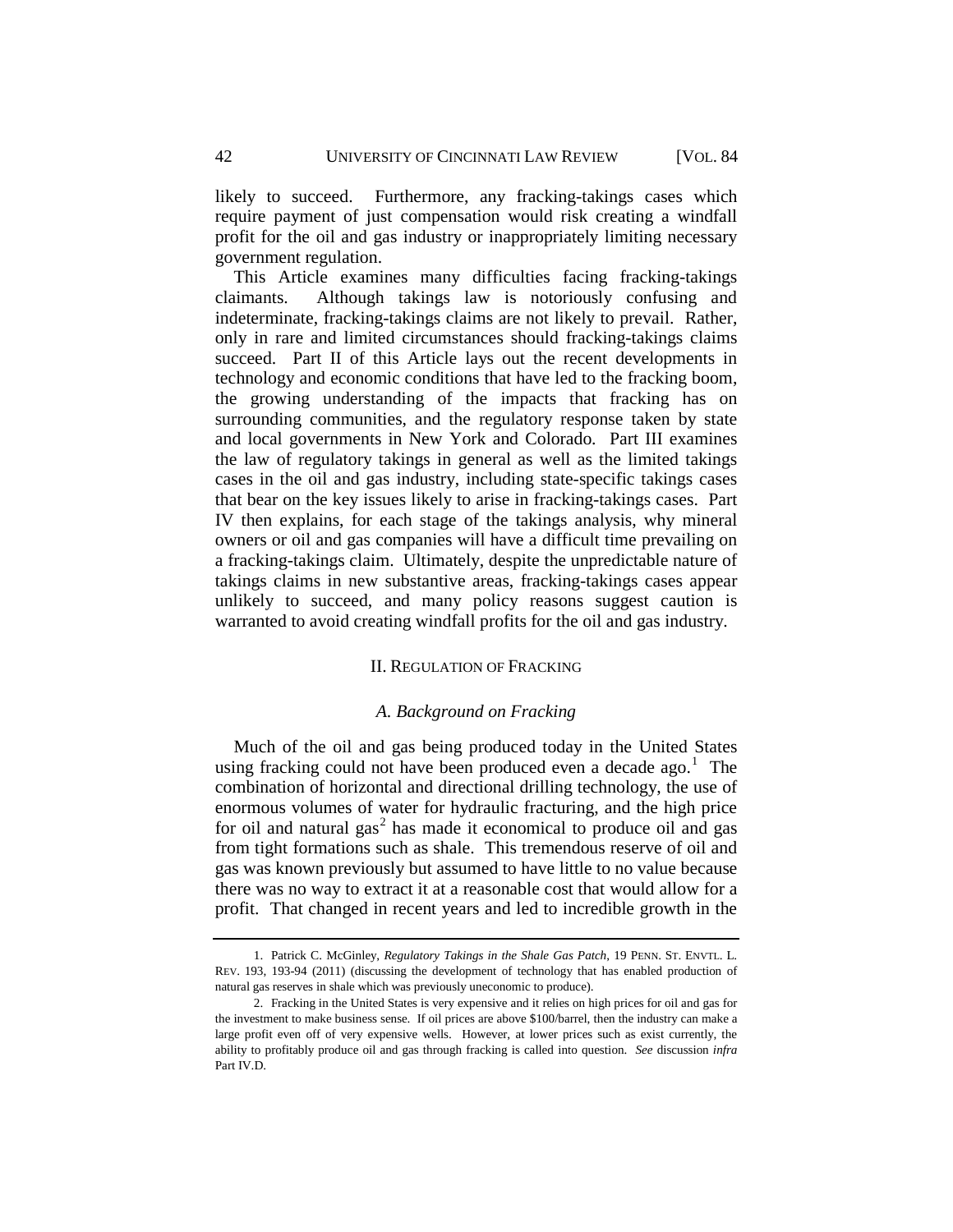likely to succeed. Furthermore, any fracking-takings cases which require payment of just compensation would risk creating a windfall profit for the oil and gas industry or inappropriately limiting necessary government regulation.

This Article examines many difficulties facing fracking-takings claimants. Although takings law is notoriously confusing and indeterminate, fracking-takings claims are not likely to prevail. Rather, only in rare and limited circumstances should fracking-takings claims succeed. Part II of this Article lays out the recent developments in technology and economic conditions that have led to the fracking boom, the growing understanding of the impacts that fracking has on surrounding communities, and the regulatory response taken by state and local governments in New York and Colorado. Part III examines the law of regulatory takings in general as well as the limited takings cases in the oil and gas industry, including state-specific takings cases that bear on the key issues likely to arise in fracking-takings cases. Part IV then explains, for each stage of the takings analysis, why mineral owners or oil and gas companies will have a difficult time prevailing on a fracking-takings claim. Ultimately, despite the unpredictable nature of takings claims in new substantive areas, fracking-takings cases appear unlikely to succeed, and many policy reasons suggest caution is warranted to avoid creating windfall profits for the oil and gas industry.

## II. REGULATION OF FRACKING

## *A. Background on Fracking*

<span id="page-6-1"></span><span id="page-6-0"></span>Much of the oil and gas being produced today in the United States using fracking could not have been produced even a decade ago.<sup>[1](#page-6-2)</sup> The combination of horizontal and directional drilling technology, the use of enormous volumes of water for hydraulic fracturing, and the high price for oil and natural  $gas<sup>2</sup>$  $gas<sup>2</sup>$  $gas<sup>2</sup>$  has made it economical to produce oil and gas from tight formations such as shale. This tremendous reserve of oil and gas was known previously but assumed to have little to no value because there was no way to extract it at a reasonable cost that would allow for a profit. That changed in recent years and led to incredible growth in the

<span id="page-6-2"></span><sup>1.</sup> Patrick C. McGinley, *Regulatory Takings in the Shale Gas Patch*, 19 PENN. ST. ENVTL. L. REV. 193, 193-94 (2011) (discussing the development of technology that has enabled production of natural gas reserves in shale which was previously uneconomic to produce).

<span id="page-6-3"></span><sup>2.</sup> Fracking in the United States is very expensive and it relies on high prices for oil and gas for the investment to make business sense. If oil prices are above \$100/barrel, then the industry can make a large profit even off of very expensive wells. However, at lower prices such as exist currently, the ability to profitably produce oil and gas through fracking is called into question. *See* discussion *infra* Part IV.D.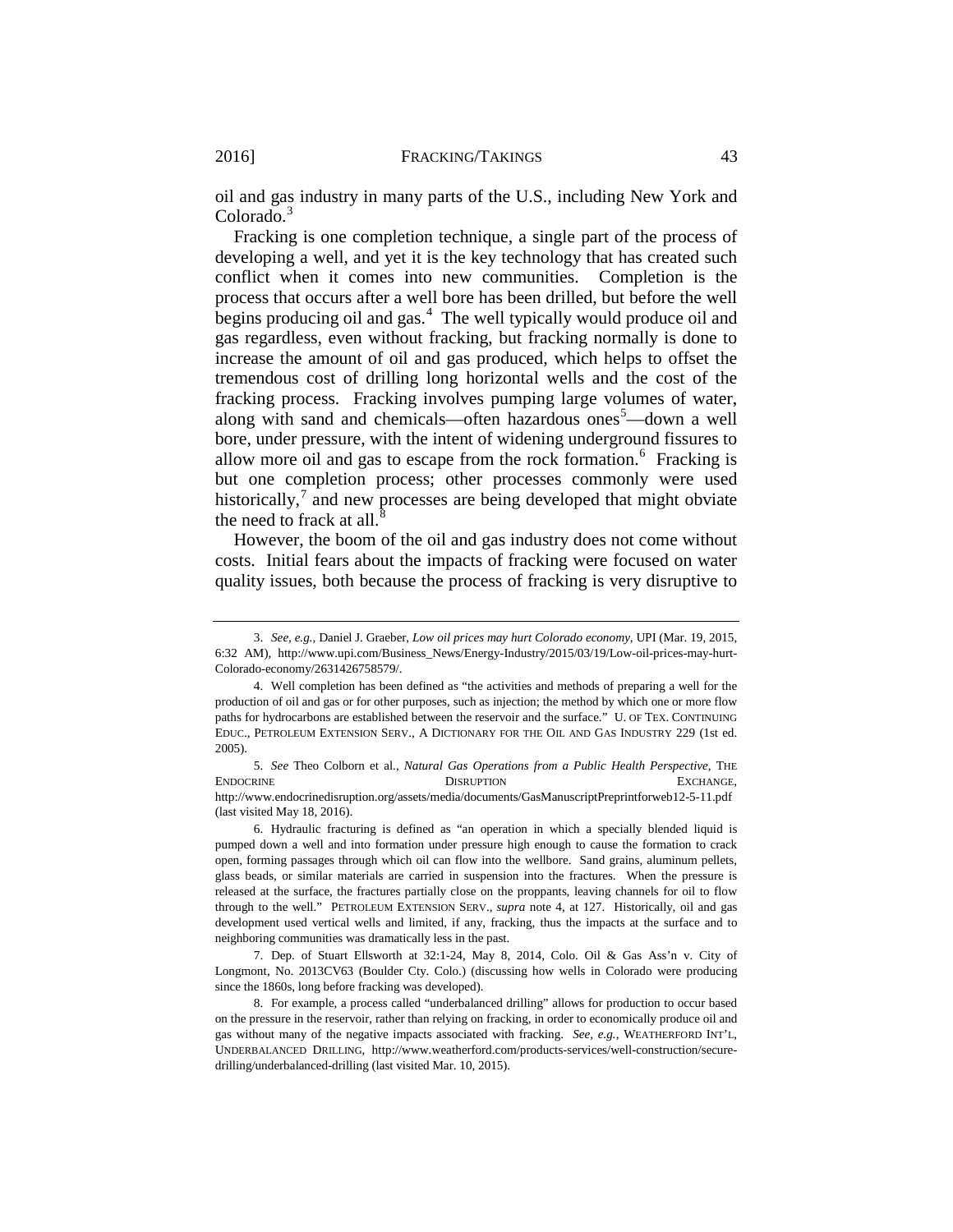oil and gas industry in many parts of the U.S., including New York and Colorado.<sup>[3](#page-7-0)</sup>

Fracking is one completion technique, a single part of the process of developing a well, and yet it is the key technology that has created such conflict when it comes into new communities. Completion is the process that occurs after a well bore has been drilled, but before the well begins producing oil and gas.<sup>[4](#page-7-1)</sup> The well typically would produce oil and gas regardless, even without fracking, but fracking normally is done to increase the amount of oil and gas produced, which helps to offset the tremendous cost of drilling long horizontal wells and the cost of the fracking process. Fracking involves pumping large volumes of water, along with sand and chemicals—often hazardous ones<sup>[5](#page-7-2)</sup>—down a well bore, under pressure, with the intent of widening underground fissures to allow more oil and gas to escape from the rock formation.<sup>[6](#page-7-3)</sup> Fracking is but one completion process; other processes commonly were used historically,<sup>[7](#page-7-4)</sup> and new processes are being developed that might obviate the need to frack at all. $8$ 

<span id="page-7-6"></span>However, the boom of the oil and gas industry does not come without costs. Initial fears about the impacts of fracking were focused on water quality issues, both because the process of fracking is very disruptive to

<span id="page-7-0"></span><sup>3.</sup> *See, e.g.*, Daniel J. Graeber, *Low oil prices may hurt Colorado economy*, UPI (Mar. 19, 2015, 6:32 AM), http://www.upi.com/Business\_News/Energy-Industry/2015/03/19/Low-oil-prices-may-hurt-Colorado-economy/2631426758579/.

<span id="page-7-1"></span><sup>4.</sup> Well completion has been defined as "the activities and methods of preparing a well for the production of oil and gas or for other purposes, such as injection; the method by which one or more flow paths for hydrocarbons are established between the reservoir and the surface." U. OF TEX. CONTINUING EDUC., PETROLEUM EXTENSION SERV., A DICTIONARY FOR THE OIL AND GAS INDUSTRY 229 (1st ed. 2005).

<span id="page-7-2"></span><sup>5.</sup> *See* Theo Colborn et al., *Natural Gas Operations from a Public Health Perspective*, THE ENDOCRINE DISRUPTION EXCHANGE, http://www.endocrinedisruption.org/assets/media/documents/GasManuscriptPreprintforweb12-5-11.pdf (last visited May 18, 2016).

<span id="page-7-3"></span><sup>6.</sup> Hydraulic fracturing is defined as "an operation in which a specially blended liquid is pumped down a well and into formation under pressure high enough to cause the formation to crack open, forming passages through which oil can flow into the wellbore. Sand grains, aluminum pellets, glass beads, or similar materials are carried in suspension into the fractures. When the pressure is released at the surface, the fractures partially close on the proppants, leaving channels for oil to flow through to the well." PETROLEUM EXTENSION SERV., *supra* note 4, at 127. Historically, oil and gas development used vertical wells and limited, if any, fracking, thus the impacts at the surface and to neighboring communities was dramatically less in the past.

<span id="page-7-4"></span><sup>7.</sup> Dep. of Stuart Ellsworth at 32:1-24, May 8, 2014, Colo. Oil & Gas Ass'n v. City of Longmont, No. 2013CV63 (Boulder Cty. Colo.) (discussing how wells in Colorado were producing since the 1860s, long before fracking was developed).

<span id="page-7-5"></span><sup>8.</sup> For example, a process called "underbalanced drilling" allows for production to occur based on the pressure in the reservoir, rather than relying on fracking, in order to economically produce oil and gas without many of the negative impacts associated with fracking. *See, e.g.*, WEATHERFORD INT'L, UNDERBALANCED DRILLING, http://www.weatherford.com/products-services/well-construction/securedrilling/underbalanced-drilling (last visited Mar. 10, 2015).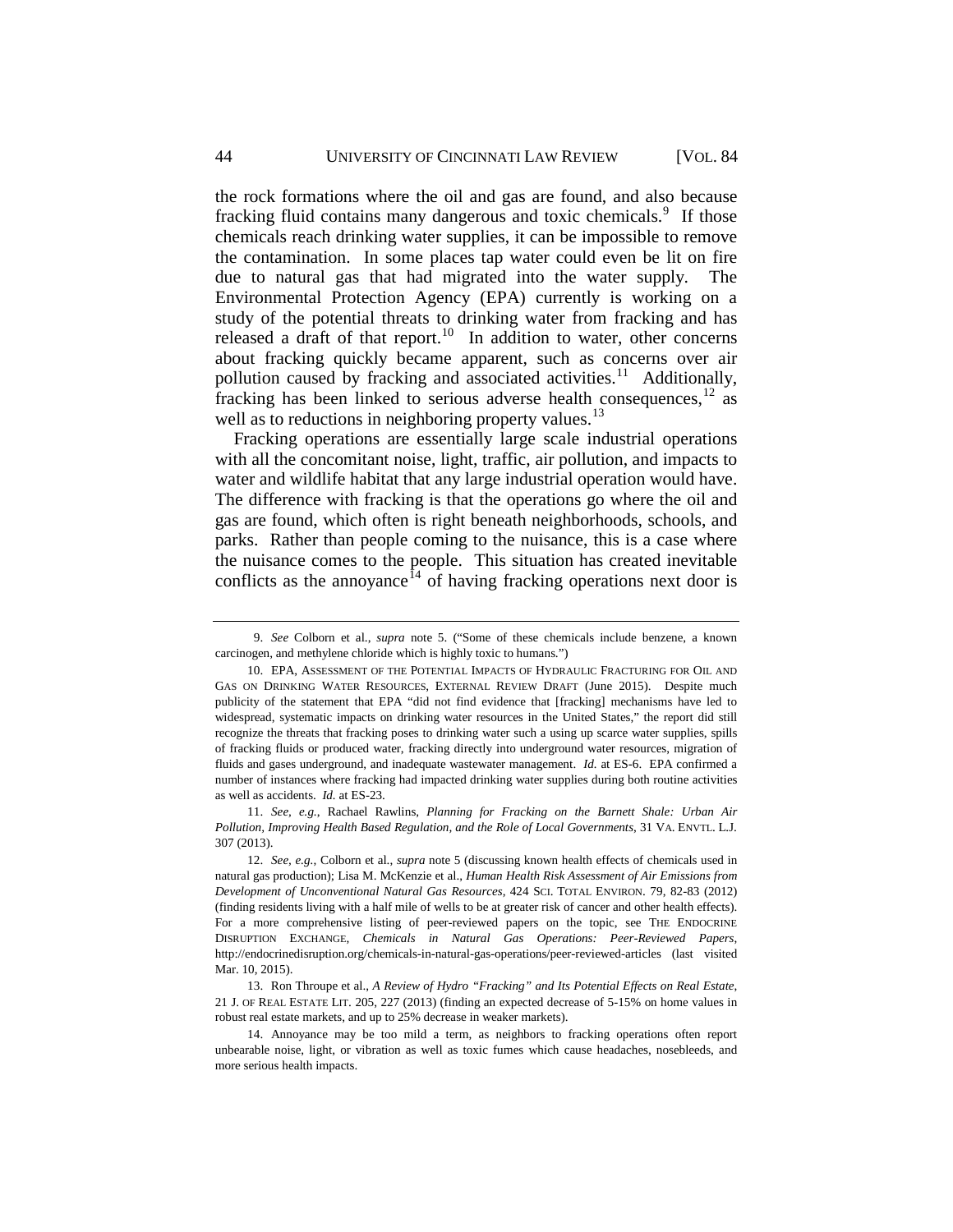<span id="page-8-6"></span>the rock formations where the oil and gas are found, and also because fracking fluid contains many dangerous and toxic chemicals.<sup>[9](#page-8-0)</sup> If those chemicals reach drinking water supplies, it can be impossible to remove the contamination. In some places tap water could even be lit on fire due to natural gas that had migrated into the water supply. The Environmental Protection Agency (EPA) currently is working on a study of the potential threats to drinking water from fracking and has released a draft of that report.<sup>10</sup> In addition to water, other concerns about fracking quickly became apparent, such as concerns over air pollution caused by fracking and associated activities.<sup>[11](#page-8-2)</sup> Additionally, fracking has been linked to serious adverse health consequences,<sup>[12](#page-8-3)</sup> as well as to reductions in neighboring property values.<sup>[13](#page-8-4)</sup>

<span id="page-8-7"></span>Fracking operations are essentially large scale industrial operations with all the concomitant noise, light, traffic, air pollution, and impacts to water and wildlife habitat that any large industrial operation would have. The difference with fracking is that the operations go where the oil and gas are found, which often is right beneath neighborhoods, schools, and parks. Rather than people coming to the nuisance, this is a case where the nuisance comes to the people. This situation has created inevitable conflicts as the annoyance<sup>[14](#page-8-5)</sup> of having fracking operations next door is

<span id="page-8-2"></span>11. *See, e.g.*, Rachael Rawlins, *Planning for Fracking on the Barnett Shale: Urban Air Pollution, Improving Health Based Regulation, and the Role of Local Governments*, 31 VA. ENVTL. L.J. 307 (2013).

<span id="page-8-0"></span><sup>9.</sup> *See* Colborn et al., *supra* note 5. ("Some of these chemicals include benzene, a known carcinogen, and methylene chloride which is highly toxic to humans.")

<span id="page-8-1"></span><sup>10.</sup> EPA, ASSESSMENT OF THE POTENTIAL IMPACTS OF HYDRAULIC FRACTURING FOR OIL AND GAS ON DRINKING WATER RESOURCES, EXTERNAL REVIEW DRAFT (June 2015). Despite much publicity of the statement that EPA "did not find evidence that [fracking] mechanisms have led to widespread, systematic impacts on drinking water resources in the United States," the report did still recognize the threats that fracking poses to drinking water such a using up scarce water supplies, spills of fracking fluids or produced water, fracking directly into underground water resources, migration of fluids and gases underground, and inadequate wastewater management. *Id.* at ES-6. EPA confirmed a number of instances where fracking had impacted drinking water supplies during both routine activities as well as accidents. *Id.* at ES-23.

<span id="page-8-3"></span><sup>12.</sup> *See, e.g.*, Colborn et al., *supra* note 5 (discussing known health effects of chemicals used in natural gas production); Lisa M. McKenzie et al., *Human Health Risk Assessment of Air Emissions from Development of Unconventional Natural Gas Resources*, 424 SCI. TOTAL ENVIRON. 79, 82-83 (2012) (finding residents living with a half mile of wells to be at greater risk of cancer and other health effects). For a more comprehensive listing of peer-reviewed papers on the topic, see THE ENDOCRINE DISRUPTION EXCHANGE, *Chemicals in Natural Gas Operations: Peer-Reviewed Papers*, http://endocrinedisruption.org/chemicals-in-natural-gas-operations/peer-reviewed-articles (last visited Mar. 10, 2015).

<span id="page-8-4"></span><sup>13.</sup> Ron Throupe et al., *A Review of Hydro "Fracking" and Its Potential Effects on Real Estate*, 21 J. OF REAL ESTATE LIT. 205, 227 (2013) (finding an expected decrease of 5-15% on home values in robust real estate markets, and up to 25% decrease in weaker markets).

<span id="page-8-5"></span><sup>14.</sup> Annoyance may be too mild a term, as neighbors to fracking operations often report unbearable noise, light, or vibration as well as toxic fumes which cause headaches, nosebleeds, and more serious health impacts.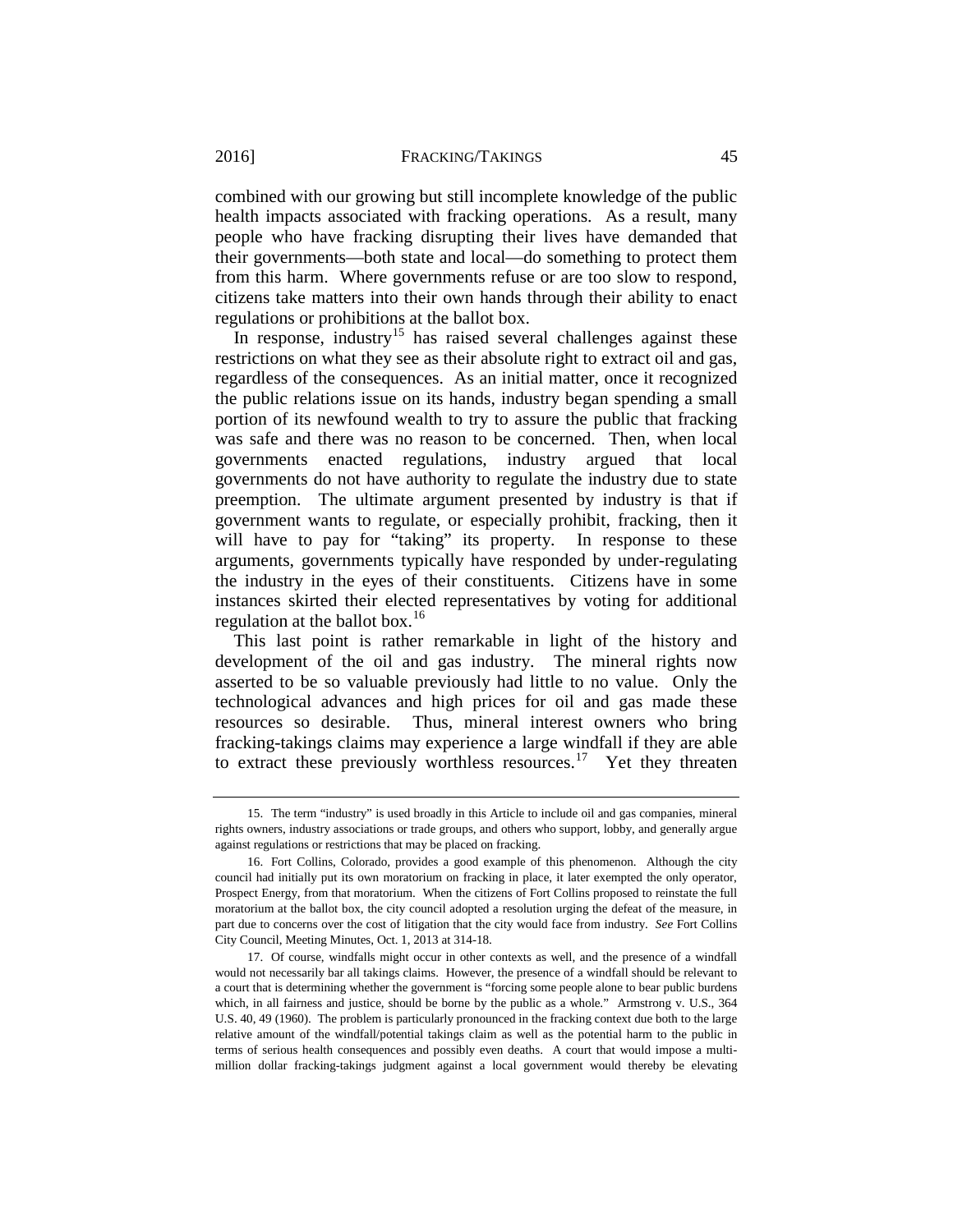### 2016] **FRACKING/TAKINGS** 45

combined with our growing but still incomplete knowledge of the public health impacts associated with fracking operations. As a result, many people who have fracking disrupting their lives have demanded that their governments—both state and local—do something to protect them from this harm. Where governments refuse or are too slow to respond, citizens take matters into their own hands through their ability to enact regulations or prohibitions at the ballot box.

In response, industry<sup>[15](#page-9-0)</sup> has raised several challenges against these restrictions on what they see as their absolute right to extract oil and gas, regardless of the consequences. As an initial matter, once it recognized the public relations issue on its hands, industry began spending a small portion of its newfound wealth to try to assure the public that fracking was safe and there was no reason to be concerned. Then, when local governments enacted regulations, industry argued that local governments do not have authority to regulate the industry due to state preemption. The ultimate argument presented by industry is that if government wants to regulate, or especially prohibit, fracking, then it will have to pay for "taking" its property. In response to these arguments, governments typically have responded by under-regulating the industry in the eyes of their constituents. Citizens have in some instances skirted their elected representatives by voting for additional regulation at the ballot box. $16$ 

This last point is rather remarkable in light of the history and development of the oil and gas industry. The mineral rights now asserted to be so valuable previously had little to no value. Only the technological advances and high prices for oil and gas made these resources so desirable. Thus, mineral interest owners who bring fracking-takings claims may experience a large windfall if they are able to extract these previously worthless resources.<sup>17</sup> Yet they threaten

<span id="page-9-0"></span><sup>15.</sup> The term "industry" is used broadly in this Article to include oil and gas companies, mineral rights owners, industry associations or trade groups, and others who support, lobby, and generally argue against regulations or restrictions that may be placed on fracking.

<span id="page-9-1"></span><sup>16.</sup> Fort Collins, Colorado, provides a good example of this phenomenon. Although the city council had initially put its own moratorium on fracking in place, it later exempted the only operator, Prospect Energy, from that moratorium. When the citizens of Fort Collins proposed to reinstate the full moratorium at the ballot box, the city council adopted a resolution urging the defeat of the measure, in part due to concerns over the cost of litigation that the city would face from industry. *See* Fort Collins City Council, Meeting Minutes, Oct. 1, 2013 at 314-18.

<span id="page-9-2"></span><sup>17.</sup> Of course, windfalls might occur in other contexts as well, and the presence of a windfall would not necessarily bar all takings claims. However, the presence of a windfall should be relevant to a court that is determining whether the government is "forcing some people alone to bear public burdens which, in all fairness and justice, should be borne by the public as a whole." Armstrong v. U.S., 364 U.S. 40, 49 (1960). The problem is particularly pronounced in the fracking context due both to the large relative amount of the windfall/potential takings claim as well as the potential harm to the public in terms of serious health consequences and possibly even deaths. A court that would impose a multimillion dollar fracking-takings judgment against a local government would thereby be elevating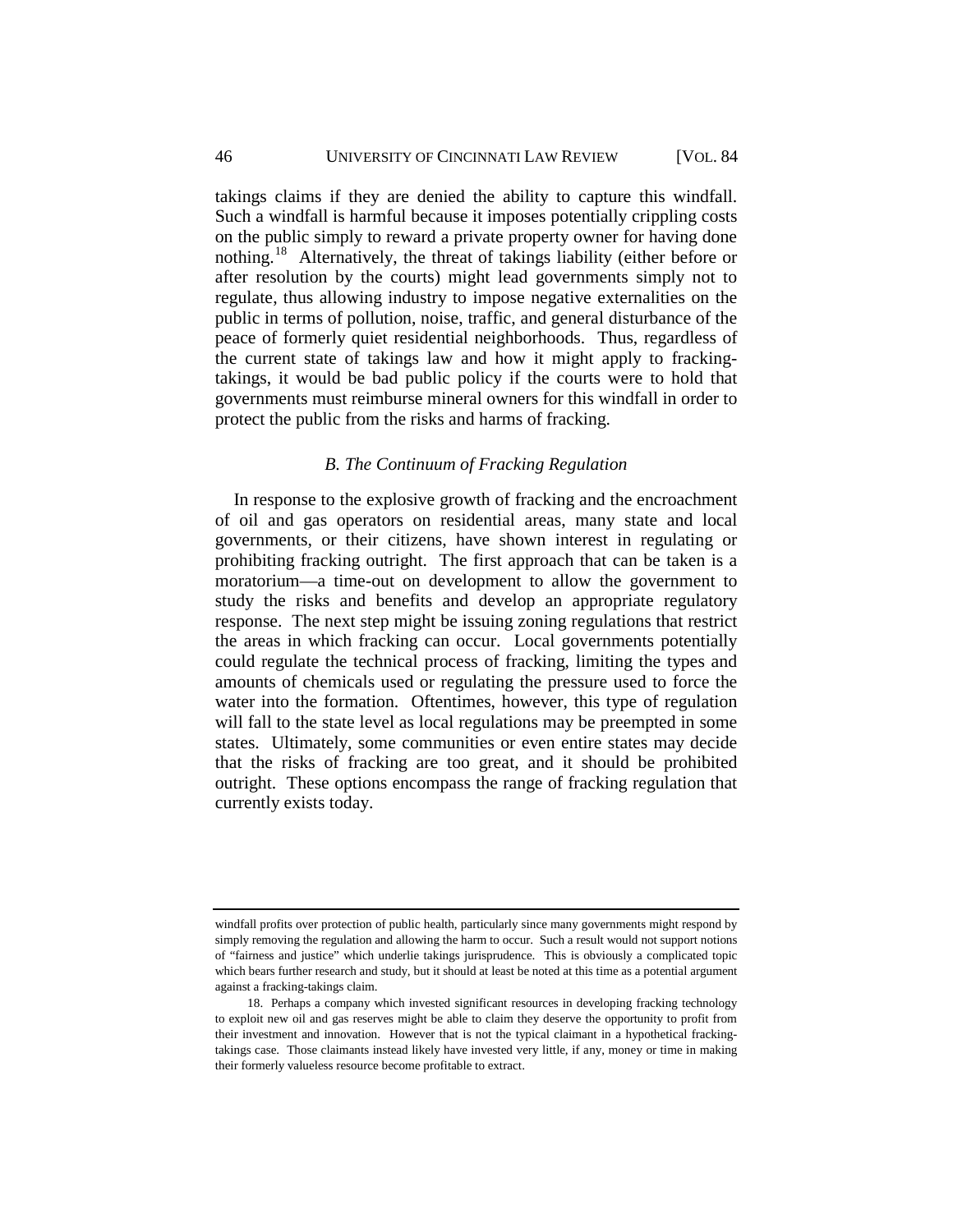## 46 UNIVERSITY OF CINCINNATI LAW REVIEW [VOL. 84

takings claims if they are denied the ability to capture this windfall. Such a windfall is harmful because it imposes potentially crippling costs on the public simply to reward a private property owner for having done nothing.[18](#page-10-1) Alternatively, the threat of takings liability (either before or after resolution by the courts) might lead governments simply not to regulate, thus allowing industry to impose negative externalities on the public in terms of pollution, noise, traffic, and general disturbance of the peace of formerly quiet residential neighborhoods. Thus, regardless of the current state of takings law and how it might apply to frackingtakings, it would be bad public policy if the courts were to hold that governments must reimburse mineral owners for this windfall in order to protect the public from the risks and harms of fracking.

## *B. The Continuum of Fracking Regulation*

<span id="page-10-0"></span>In response to the explosive growth of fracking and the encroachment of oil and gas operators on residential areas, many state and local governments, or their citizens, have shown interest in regulating or prohibiting fracking outright. The first approach that can be taken is a moratorium—a time-out on development to allow the government to study the risks and benefits and develop an appropriate regulatory response. The next step might be issuing zoning regulations that restrict the areas in which fracking can occur. Local governments potentially could regulate the technical process of fracking, limiting the types and amounts of chemicals used or regulating the pressure used to force the water into the formation. Oftentimes, however, this type of regulation will fall to the state level as local regulations may be preempted in some states. Ultimately, some communities or even entire states may decide that the risks of fracking are too great, and it should be prohibited outright. These options encompass the range of fracking regulation that currently exists today.

windfall profits over protection of public health, particularly since many governments might respond by simply removing the regulation and allowing the harm to occur. Such a result would not support notions of "fairness and justice" which underlie takings jurisprudence. This is obviously a complicated topic which bears further research and study, but it should at least be noted at this time as a potential argument against a fracking-takings claim.

<span id="page-10-1"></span><sup>18.</sup> Perhaps a company which invested significant resources in developing fracking technology to exploit new oil and gas reserves might be able to claim they deserve the opportunity to profit from their investment and innovation. However that is not the typical claimant in a hypothetical frackingtakings case. Those claimants instead likely have invested very little, if any, money or time in making their formerly valueless resource become profitable to extract.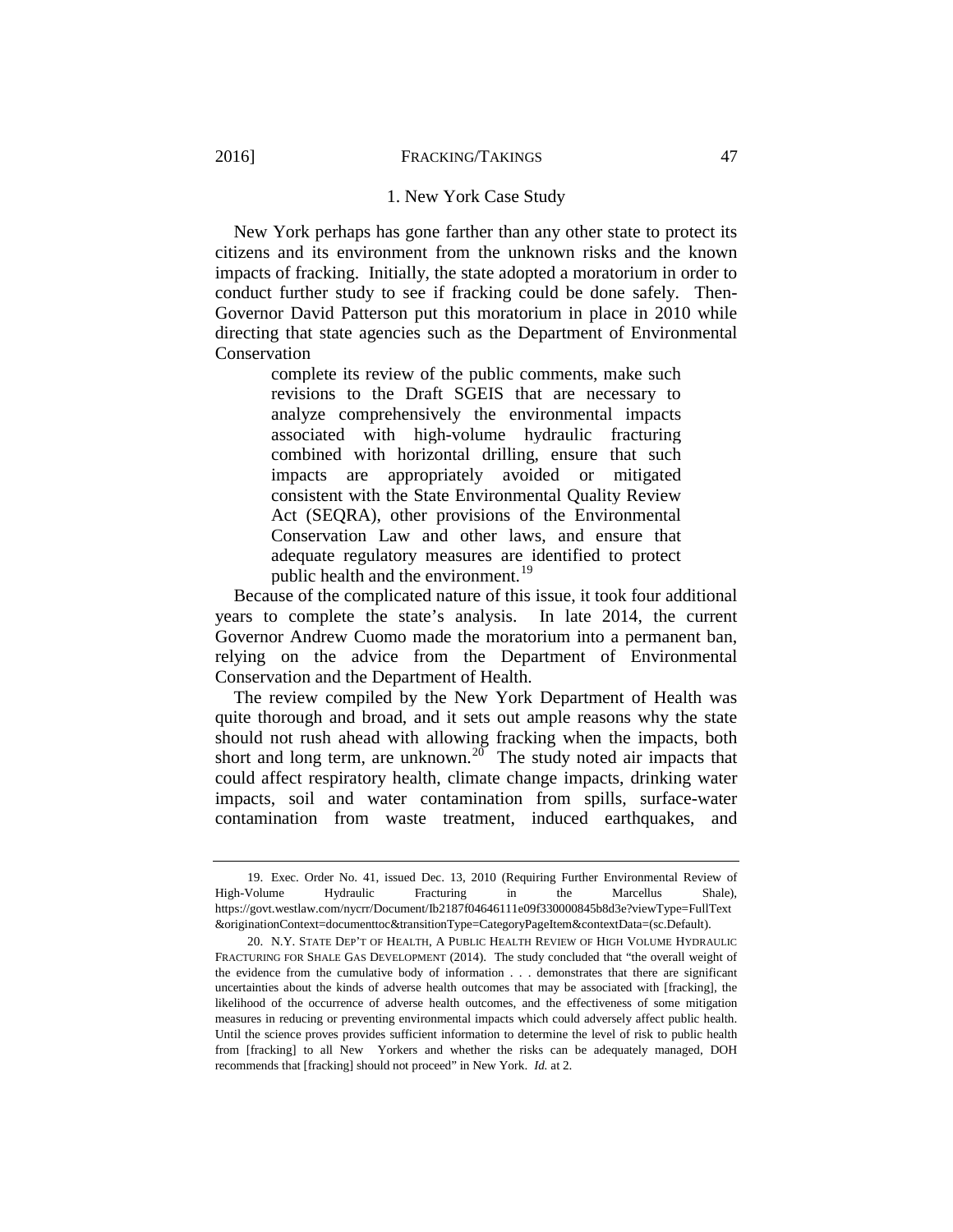#### 1. New York Case Study

<span id="page-11-0"></span>New York perhaps has gone farther than any other state to protect its citizens and its environment from the unknown risks and the known impacts of fracking. Initially, the state adopted a moratorium in order to conduct further study to see if fracking could be done safely. Then-Governor David Patterson put this moratorium in place in 2010 while directing that state agencies such as the Department of Environmental Conservation

> complete its review of the public comments, make such revisions to the Draft SGEIS that are necessary to analyze comprehensively the environmental impacts associated with high-volume hydraulic fracturing combined with horizontal drilling, ensure that such impacts are appropriately avoided or mitigated consistent with the State Environmental Quality Review Act (SEQRA), other provisions of the Environmental Conservation Law and other laws, and ensure that adequate regulatory measures are identified to protect public health and the environment.<sup>[19](#page-11-1)</sup>

Because of the complicated nature of this issue, it took four additional years to complete the state's analysis. In late 2014, the current Governor Andrew Cuomo made the moratorium into a permanent ban, relying on the advice from the Department of Environmental Conservation and the Department of Health.

The review compiled by the New York Department of Health was quite thorough and broad, and it sets out ample reasons why the state should not rush ahead with allowing fracking when the impacts, both short and long term, are unknown.<sup>[20](#page-11-2)</sup> The study noted air impacts that could affect respiratory health, climate change impacts, drinking water impacts, soil and water contamination from spills, surface-water contamination from waste treatment, induced earthquakes, and

<span id="page-11-1"></span><sup>19.</sup> Exec. Order No. 41, issued Dec. 13, 2010 (Requiring Further Environmental Review of High-Volume Hydraulic Fracturing in the Marcellus Shale), [https://govt.westlaw.com/nycrr/Document/Ib2187f04646111e09f330000845b8d3e?viewType=FullText](https://govt.westlaw.com/nycrr/Document/Ib2187f04646111e09f330000845b8d3e?viewType=FullText&originationContext=documenttoc&transitionType=CategoryPageItem&contextData=(sc.Default)) [&originationContext=documenttoc&transitionType=CategoryPageItem&contextData=\(sc.Default\).](https://govt.westlaw.com/nycrr/Document/Ib2187f04646111e09f330000845b8d3e?viewType=FullText&originationContext=documenttoc&transitionType=CategoryPageItem&contextData=(sc.Default))

<span id="page-11-2"></span><sup>20.</sup> N.Y. STATE DEP'T OF HEALTH, A PUBLIC HEALTH REVIEW OF HIGH VOLUME HYDRAULIC FRACTURING FOR SHALE GAS DEVELOPMENT (2014). The study concluded that "the overall weight of the evidence from the cumulative body of information . . . demonstrates that there are significant uncertainties about the kinds of adverse health outcomes that may be associated with [fracking], the likelihood of the occurrence of adverse health outcomes, and the effectiveness of some mitigation measures in reducing or preventing environmental impacts which could adversely affect public health. Until the science proves provides sufficient information to determine the level of risk to public health from [fracking] to all New Yorkers and whether the risks can be adequately managed, DOH recommends that [fracking] should not proceed" in New York. *Id.* at 2.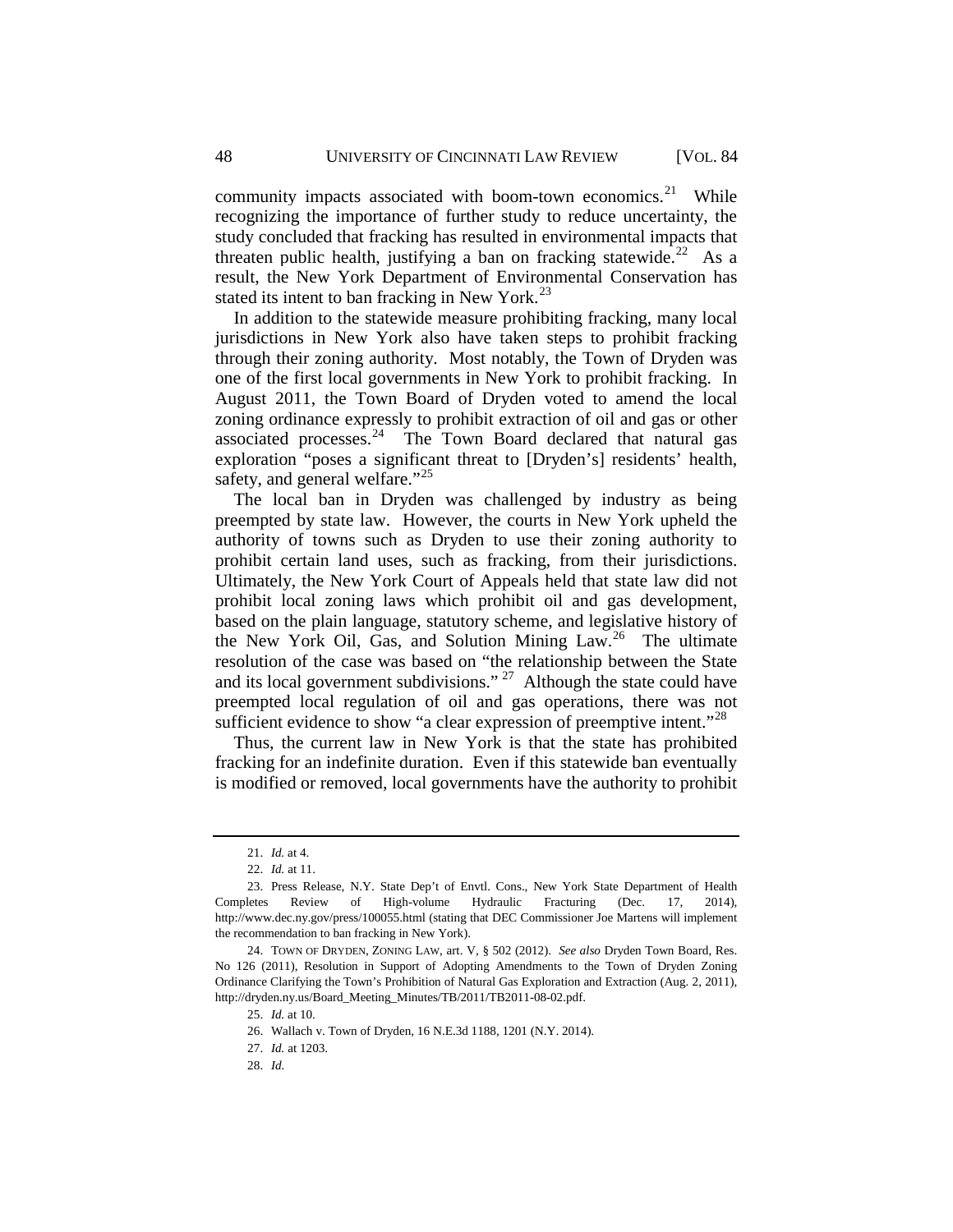community impacts associated with boom-town economics. $2^1$  While recognizing the importance of further study to reduce uncertainty, the study concluded that fracking has resulted in environmental impacts that threaten public health, justifying a ban on fracking statewide.<sup>[22](#page-12-1)</sup> As a result, the New York Department of Environmental Conservation has stated its intent to ban fracking in New York. $^{23}$  $^{23}$  $^{23}$ 

In addition to the statewide measure prohibiting fracking, many local jurisdictions in New York also have taken steps to prohibit fracking through their zoning authority. Most notably, the Town of Dryden was one of the first local governments in New York to prohibit fracking. In August 2011, the Town Board of Dryden voted to amend the local zoning ordinance expressly to prohibit extraction of oil and gas or other associated processes. $24$  The Town Board declared that natural gas exploration "poses a significant threat to [Dryden's] residents' health, safety, and general welfare."<sup>[25](#page-12-4)</sup>

The local ban in Dryden was challenged by industry as being preempted by state law. However, the courts in New York upheld the authority of towns such as Dryden to use their zoning authority to prohibit certain land uses, such as fracking, from their jurisdictions. Ultimately, the New York Court of Appeals held that state law did not prohibit local zoning laws which prohibit oil and gas development, based on the plain language, statutory scheme, and legislative history of the New York Oil, Gas, and Solution Mining Law.[26](#page-12-5) The ultimate resolution of the case was based on "the relationship between the State and its local government subdivisions." <sup>[27](#page-12-6)</sup> Although the state could have preempted local regulation of oil and gas operations, there was not sufficient evidence to show "a clear expression of preemptive intent."<sup>[28](#page-12-7)</sup>

Thus, the current law in New York is that the state has prohibited fracking for an indefinite duration. Even if this statewide ban eventually is modified or removed, local governments have the authority to prohibit

<sup>21.</sup> *Id.* at 4.

<sup>22.</sup> *Id.* at 11.

<span id="page-12-2"></span><span id="page-12-1"></span><span id="page-12-0"></span><sup>23.</sup> Press Release, N.Y. State Dep't of Envtl. Cons., New York State Department of Health Completes Review of High-volume Hydraulic Fracturing (Dec. 17, 2014), http://www.dec.ny.gov/press/100055.html (stating that DEC Commissioner Joe Martens will implement the recommendation to ban fracking in New York).

<span id="page-12-7"></span><span id="page-12-6"></span><span id="page-12-5"></span><span id="page-12-4"></span><span id="page-12-3"></span><sup>24.</sup> TOWN OF DRYDEN, ZONING LAW, art. V, § 502 (2012). *See also* Dryden Town Board, Res. No 126 (2011), Resolution in Support of Adopting Amendments to the Town of Dryden Zoning Ordinance Clarifying the Town's Prohibition of Natural Gas Exploration and Extraction (Aug. 2, 2011), http://dryden.ny.us/Board\_Meeting\_Minutes/TB/2011/TB2011-08-02.pdf.

<sup>25.</sup> *Id.* at 10.

<sup>26.</sup> Wallach v. Town of Dryden, 16 N.E.3d 1188, 1201 (N.Y. 2014).

<sup>27.</sup> *Id.* at 1203.

<sup>28.</sup> *Id.*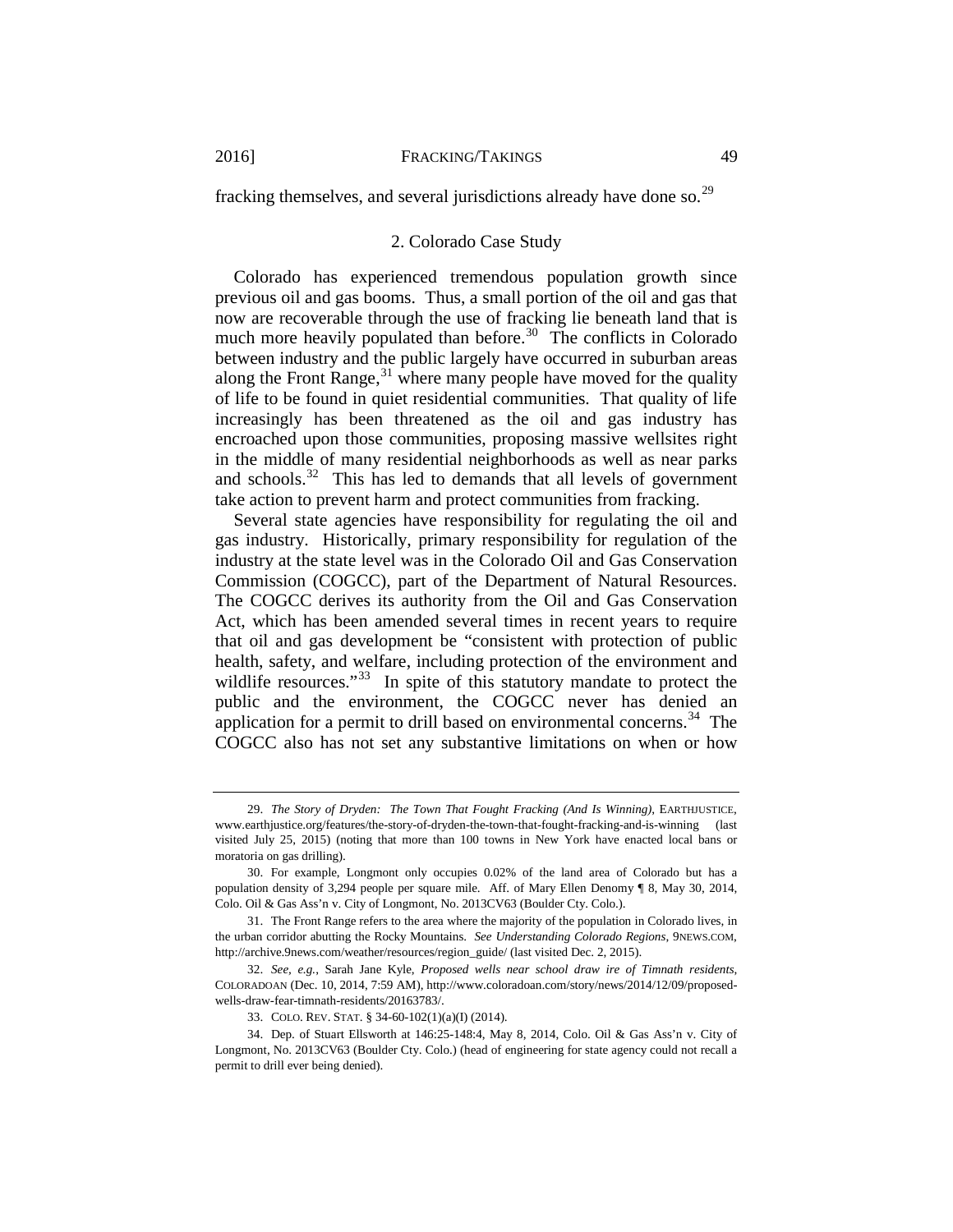<span id="page-13-0"></span>fracking themselves, and several jurisdictions already have done so.<sup>29</sup>

#### 2. Colorado Case Study

Colorado has experienced tremendous population growth since previous oil and gas booms. Thus, a small portion of the oil and gas that now are recoverable through the use of fracking lie beneath land that is much more heavily populated than before.<sup>30</sup> The conflicts in Colorado between industry and the public largely have occurred in suburban areas along the Front Range, $31$  where many people have moved for the quality of life to be found in quiet residential communities. That quality of life increasingly has been threatened as the oil and gas industry has encroached upon those communities, proposing massive wellsites right in the middle of many residential neighborhoods as well as near parks and schools. $32$  This has led to demands that all levels of government take action to prevent harm and protect communities from fracking.

Several state agencies have responsibility for regulating the oil and gas industry. Historically, primary responsibility for regulation of the industry at the state level was in the Colorado Oil and Gas Conservation Commission (COGCC), part of the Department of Natural Resources. The COGCC derives its authority from the Oil and Gas Conservation Act, which has been amended several times in recent years to require that oil and gas development be "consistent with protection of public health, safety, and welfare, including protection of the environment and wildlife resources."<sup>[33](#page-13-5)</sup> In spite of this statutory mandate to protect the public and the environment, the COGCC never has denied an application for a permit to drill based on environmental concerns.<sup>34</sup> The COGCC also has not set any substantive limitations on when or how

<span id="page-13-1"></span><sup>29.</sup> *The Story of Dryden: The Town That Fought Fracking (And Is Winning)*, EARTHJUSTICE, www.earthjustice.org/features/the-story-of-dryden-the-town-that-fought-fracking-and-is-winning (last visited July 25, 2015) (noting that more than 100 towns in New York have enacted local bans or moratoria on gas drilling).

<span id="page-13-2"></span><sup>30.</sup> For example, Longmont only occupies 0.02% of the land area of Colorado but has a population density of 3,294 people per square mile. Aff. of Mary Ellen Denomy ¶ 8, May 30, 2014, Colo. Oil & Gas Ass'n v. City of Longmont, No. 2013CV63 (Boulder Cty. Colo.).

<span id="page-13-3"></span><sup>31.</sup> The Front Range refers to the area where the majority of the population in Colorado lives, in the urban corridor abutting the Rocky Mountains. *See Understanding Colorado Regions*, 9NEWS.COM, http://archive.9news.com/weather/resources/region\_guide/ (last visited Dec. 2, 2015).

<span id="page-13-4"></span><sup>32.</sup> *See, e.g.*, Sarah Jane Kyle, *Proposed wells near school draw ire of Timnath residents*, COLORADOAN (Dec. 10, 2014, 7:59 AM), http://www.coloradoan.com/story/news/2014/12/09/proposedwells-draw-fear-timnath-residents/20163783/.

<sup>33.</sup> COLO. REV. STAT. § 34-60-102(1)(a)(I) (2014).

<span id="page-13-6"></span><span id="page-13-5"></span><sup>34.</sup> Dep. of Stuart Ellsworth at 146:25-148:4, May 8, 2014, Colo. Oil & Gas Ass'n v. City of Longmont, No. 2013CV63 (Boulder Cty. Colo.) (head of engineering for state agency could not recall a permit to drill ever being denied).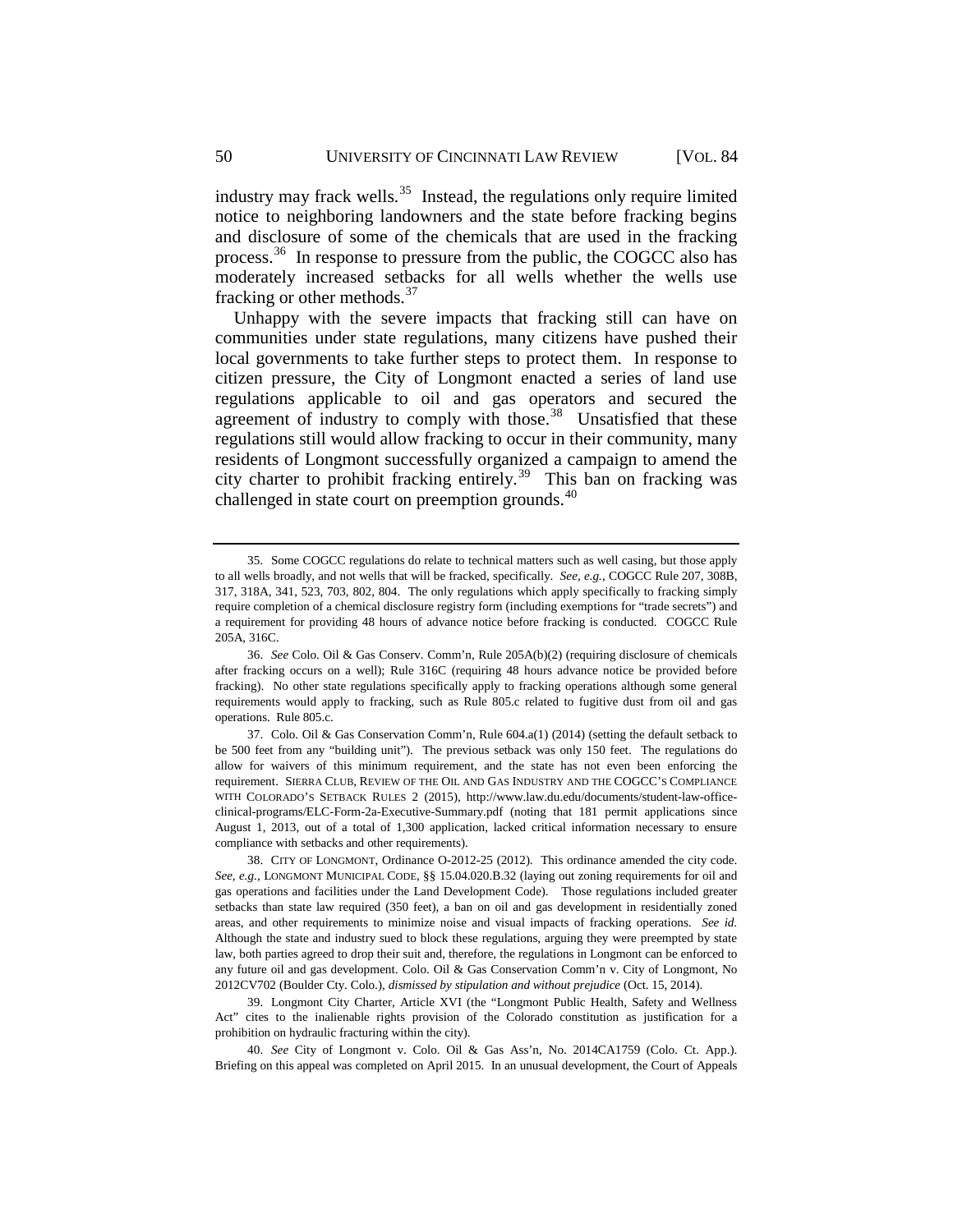industry may frack wells.<sup>[35](#page-14-0)</sup> Instead, the regulations only require limited notice to neighboring landowners and the state before fracking begins and disclosure of some of the chemicals that are used in the fracking process.<sup>36</sup> In response to pressure from the public, the COGCC also has moderately increased setbacks for all wells whether the wells use fracking or other methods.[37](#page-14-2)

<span id="page-14-6"></span>Unhappy with the severe impacts that fracking still can have on communities under state regulations, many citizens have pushed their local governments to take further steps to protect them. In response to citizen pressure, the City of Longmont enacted a series of land use regulations applicable to oil and gas operators and secured the agreement of industry to comply with those. $38$  Unsatisfied that these regulations still would allow fracking to occur in their community, many residents of Longmont successfully organized a campaign to amend the city charter to prohibit fracking entirely.<sup>39</sup> This ban on fracking was challenged in state court on preemption grounds.<sup>40</sup>

<span id="page-14-0"></span><sup>35.</sup> Some COGCC regulations do relate to technical matters such as well casing, but those apply to all wells broadly, and not wells that will be fracked, specifically. *See, e.g.*, COGCC Rule 207, 308B, 317, 318A, 341, 523, 703, 802, 804. The only regulations which apply specifically to fracking simply require completion of a chemical disclosure registry form (including exemptions for "trade secrets") and a requirement for providing 48 hours of advance notice before fracking is conducted. COGCC Rule 205A, 316C.

<span id="page-14-1"></span><sup>36.</sup> *See* Colo. Oil & Gas Conserv. Comm'n, Rule 205A(b)(2) (requiring disclosure of chemicals after fracking occurs on a well); Rule 316C (requiring 48 hours advance notice be provided before fracking). No other state regulations specifically apply to fracking operations although some general requirements would apply to fracking, such as Rule 805.c related to fugitive dust from oil and gas operations. Rule 805.c.

<span id="page-14-2"></span><sup>37.</sup> Colo. Oil & Gas Conservation Comm'n, Rule 604.a(1) (2014) (setting the default setback to be 500 feet from any "building unit"). The previous setback was only 150 feet. The regulations do allow for waivers of this minimum requirement, and the state has not even been enforcing the requirement. SIERRA CLUB, REVIEW OF THE OIL AND GAS INDUSTRY AND THE COGCC'S COMPLIANCE WITH COLORADO'S SETBACK RULES 2 (2015), http://www.law.du.edu/documents/student-law-officeclinical-programs/ELC-Form-2a-Executive-Summary.pdf (noting that 181 permit applications since August 1, 2013, out of a total of 1,300 application, lacked critical information necessary to ensure compliance with setbacks and other requirements).

<span id="page-14-3"></span><sup>38.</sup> CITY OF LONGMONT, Ordinance O-2012-25 (2012). This ordinance amended the city code. *See, e.g.*, LONGMONT MUNICIPAL CODE, §§ 15.04.020.B.32 (laying out zoning requirements for oil and gas operations and facilities under the Land Development Code). Those regulations included greater setbacks than state law required (350 feet), a ban on oil and gas development in residentially zoned areas, and other requirements to minimize noise and visual impacts of fracking operations. *See id.* Although the state and industry sued to block these regulations, arguing they were preempted by state law, both parties agreed to drop their suit and, therefore, the regulations in Longmont can be enforced to any future oil and gas development. Colo. Oil & Gas Conservation Comm'n v. City of Longmont, No 2012CV702 (Boulder Cty. Colo.), *dismissed by stipulation and without prejudice* (Oct. 15, 2014).

<span id="page-14-4"></span><sup>39.</sup> Longmont City Charter, Article XVI (the "Longmont Public Health, Safety and Wellness Act" cites to the inalienable rights provision of the Colorado constitution as justification for a prohibition on hydraulic fracturing within the city).

<span id="page-14-5"></span><sup>40.</sup> *See* City of Longmont v. Colo. Oil & Gas Ass'n, No. 2014CA1759 (Colo. Ct. App.). Briefing on this appeal was completed on April 2015. In an unusual development, the Court of Appeals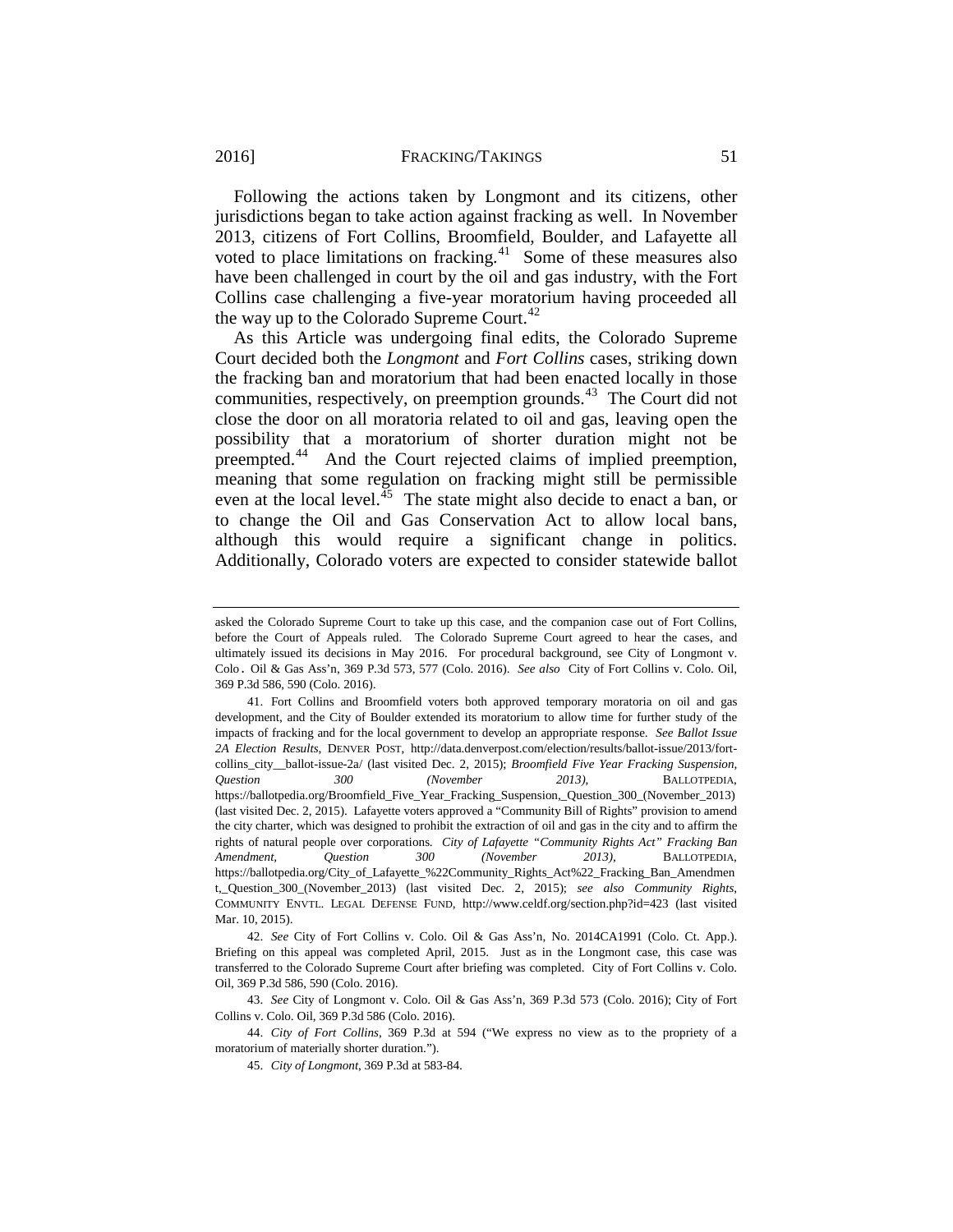<span id="page-15-5"></span>Following the actions taken by Longmont and its citizens, other jurisdictions began to take action against fracking as well. In November 2013, citizens of Fort Collins, Broomfield, Boulder, and Lafayette all voted to place limitations on fracking. $41$  Some of these measures also have been challenged in court by the oil and gas industry, with the Fort Collins case challenging a five-year moratorium having proceeded all the way up to the Colorado Supreme Court.<sup>[42](#page-15-1)</sup>

As this Article was undergoing final edits, the Colorado Supreme Court decided both the *Longmont* and *Fort Collins* cases, striking down the fracking ban and moratorium that had been enacted locally in those communities, respectively, on preemption grounds.<sup>[43](#page-15-2)</sup> The Court did not close the door on all moratoria related to oil and gas, leaving open the possibility that a moratorium of shorter duration might not be preempted.[44](#page-15-3) And the Court rejected claims of implied preemption, meaning that some regulation on fracking might still be permissible even at the local level.<sup>[45](#page-15-4)</sup> The state might also decide to enact a ban, or to change the Oil and Gas Conservation Act to allow local bans, although this would require a significant change in politics. Additionally, Colorado voters are expected to consider statewide ballot

<span id="page-15-2"></span>43. *See* City of Longmont v. Colo. Oil & Gas Ass'n, 369 P.3d 573 (Colo. 2016); City of Fort Collins v. Colo. Oil, 369 P.3d 586 (Colo. 2016).

asked the Colorado Supreme Court to take up this case, and the companion case out of Fort Collins, before the Court of Appeals ruled. The Colorado Supreme Court agreed to hear the cases, and ultimately issued its decisions in May 2016. For procedural background, see City of Longmont v. Colo. Oil & Gas Ass'n, 369 P.3d 573, 577 (Colo. 2016). *See also* City of Fort Collins v. Colo. Oil, 369 P.3d 586, 590 (Colo. 2016).

<span id="page-15-0"></span><sup>41.</sup> Fort Collins and Broomfield voters both approved temporary moratoria on oil and gas development, and the City of Boulder extended its moratorium to allow time for further study of the impacts of fracking and for the local government to develop an appropriate response. *See Ballot Issue 2A Election Results*, DENVER POST, http://data.denverpost.com/election/results/ballot-issue/2013/fortcollins city ballot-issue-2a/ (last visited Dec. 2, 2015); *Broomfield Five Year Fracking Suspension*, *Question 300 (November 2013)*, BALLOTPEDIA, https://ballotpedia.org/Broomfield\_Five\_Year\_Fracking\_Suspension,\_Question\_300\_(November\_2013) (last visited Dec. 2, 2015). Lafayette voters approved a "Community Bill of Rights" provision to amend the city charter, which was designed to prohibit the extraction of oil and gas in the city and to affirm the rights of natural people over corporations. *City of Lafayette "Community Rights Act" Fracking Ban Amendment, Question 300 (November 2013)*, BALLOTPEDIA, https://ballotpedia.org/City\_of\_Lafayette\_%22Community\_Rights\_Act%22\_Fracking\_Ban\_Amendmen t,\_Question\_300\_(November\_2013) (last visited Dec. 2, 2015); *see also Community Rights*, COMMUNITY ENVTL. LEGAL DEFENSE FUND, http://www.celdf.org/section.php?id=423 (last visited Mar. 10, 2015).

<span id="page-15-1"></span><sup>42.</sup> *See* City of Fort Collins v. Colo. Oil & Gas Ass'n, No. 2014CA1991 (Colo. Ct. App.). Briefing on this appeal was completed April, 2015. Just as in the Longmont case, this case was transferred to the Colorado Supreme Court after briefing was completed. City of Fort Collins v. Colo. Oil, 369 P.3d 586, 590 (Colo. 2016).

<span id="page-15-4"></span><span id="page-15-3"></span><sup>44.</sup> *City of Fort Collins*, 369 P.3d at 594 ("We express no view as to the propriety of a moratorium of materially shorter duration.").

<sup>45.</sup> *City of Longmont*, 369 P.3d at 583-84.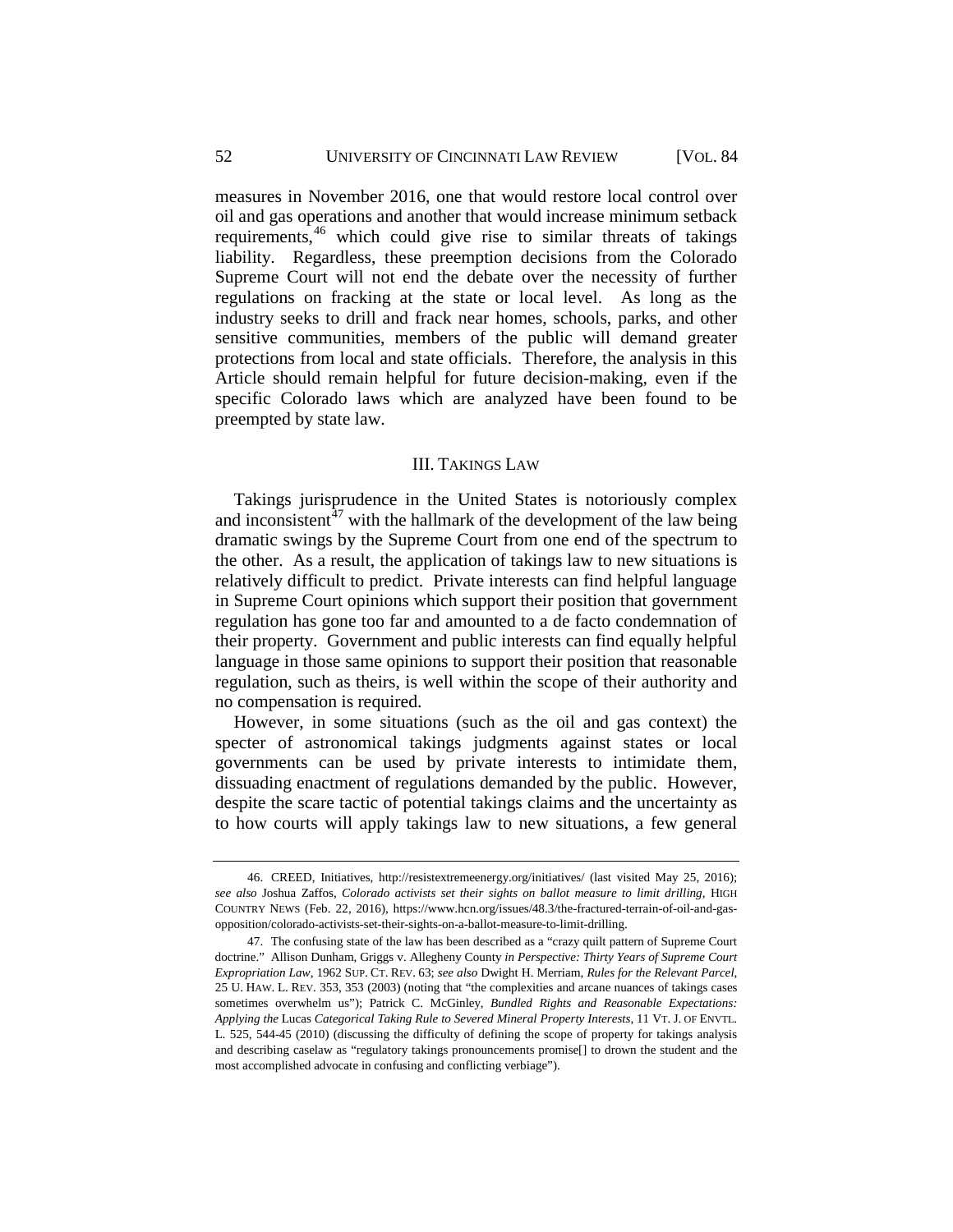#### 52 UNIVERSITY OF CINCINNATI LAW REVIEW [VOL. 84

measures in November 2016, one that would restore local control over oil and gas operations and another that would increase minimum setback requirements,<sup>[46](#page-16-1)</sup> which could give rise to similar threats of takings liability. Regardless, these preemption decisions from the Colorado Supreme Court will not end the debate over the necessity of further regulations on fracking at the state or local level. As long as the industry seeks to drill and frack near homes, schools, parks, and other sensitive communities, members of the public will demand greater protections from local and state officials. Therefore, the analysis in this Article should remain helpful for future decision-making, even if the specific Colorado laws which are analyzed have been found to be preempted by state law.

### <span id="page-16-3"></span>III. TAKINGS LAW

<span id="page-16-0"></span>Takings jurisprudence in the United States is notoriously complex and inconsistent $^{47}$  $^{47}$  $^{47}$  with the hallmark of the development of the law being dramatic swings by the Supreme Court from one end of the spectrum to the other. As a result, the application of takings law to new situations is relatively difficult to predict. Private interests can find helpful language in Supreme Court opinions which support their position that government regulation has gone too far and amounted to a de facto condemnation of their property. Government and public interests can find equally helpful language in those same opinions to support their position that reasonable regulation, such as theirs, is well within the scope of their authority and no compensation is required.

However, in some situations (such as the oil and gas context) the specter of astronomical takings judgments against states or local governments can be used by private interests to intimidate them, dissuading enactment of regulations demanded by the public. However, despite the scare tactic of potential takings claims and the uncertainty as to how courts will apply takings law to new situations, a few general

<span id="page-16-1"></span><sup>46.</sup> CREED, Initiatives,<http://resistextremeenergy.org/initiatives/> (last visited May 25, 2016); *see also* Joshua Zaffos, *Colorado activists set their sights on ballot measure to limit drilling*, HIGH COUNTRY NEWS (Feb. 22, 2016), [https://www.hcn.org/issues/48.3/the-fractured-terrain-of-oil-and-gas](https://www.hcn.org/issues/48.3/the-fractured-terrain-of-oil-and-gas-opposition/colorado-activists-set-their-sights-on-a-ballot-measure-to-limit-drilling)[opposition/colorado-activists-set-their-sights-on-a-ballot-measure-to-limit-drilling.](https://www.hcn.org/issues/48.3/the-fractured-terrain-of-oil-and-gas-opposition/colorado-activists-set-their-sights-on-a-ballot-measure-to-limit-drilling)

<span id="page-16-2"></span><sup>47.</sup> The confusing state of the law has been described as a "crazy quilt pattern of Supreme Court doctrine." Allison Dunham, Griggs v. Allegheny County *in Perspective: Thirty Years of Supreme Court Expropriation Law*, 1962 SUP. CT. REV. 63; *see also* Dwight H. Merriam, *Rules for the Relevant Parcel*, 25 U. HAW. L. REV. 353, 353 (2003) (noting that "the complexities and arcane nuances of takings cases sometimes overwhelm us"); Patrick C. McGinley, *Bundled Rights and Reasonable Expectations: Applying the* Lucas *Categorical Taking Rule to Severed Mineral Property Interests*, 11 VT. J. OF ENVTL. L. 525, 544-45 (2010) (discussing the difficulty of defining the scope of property for takings analysis and describing caselaw as "regulatory takings pronouncements promise[] to drown the student and the most accomplished advocate in confusing and conflicting verbiage").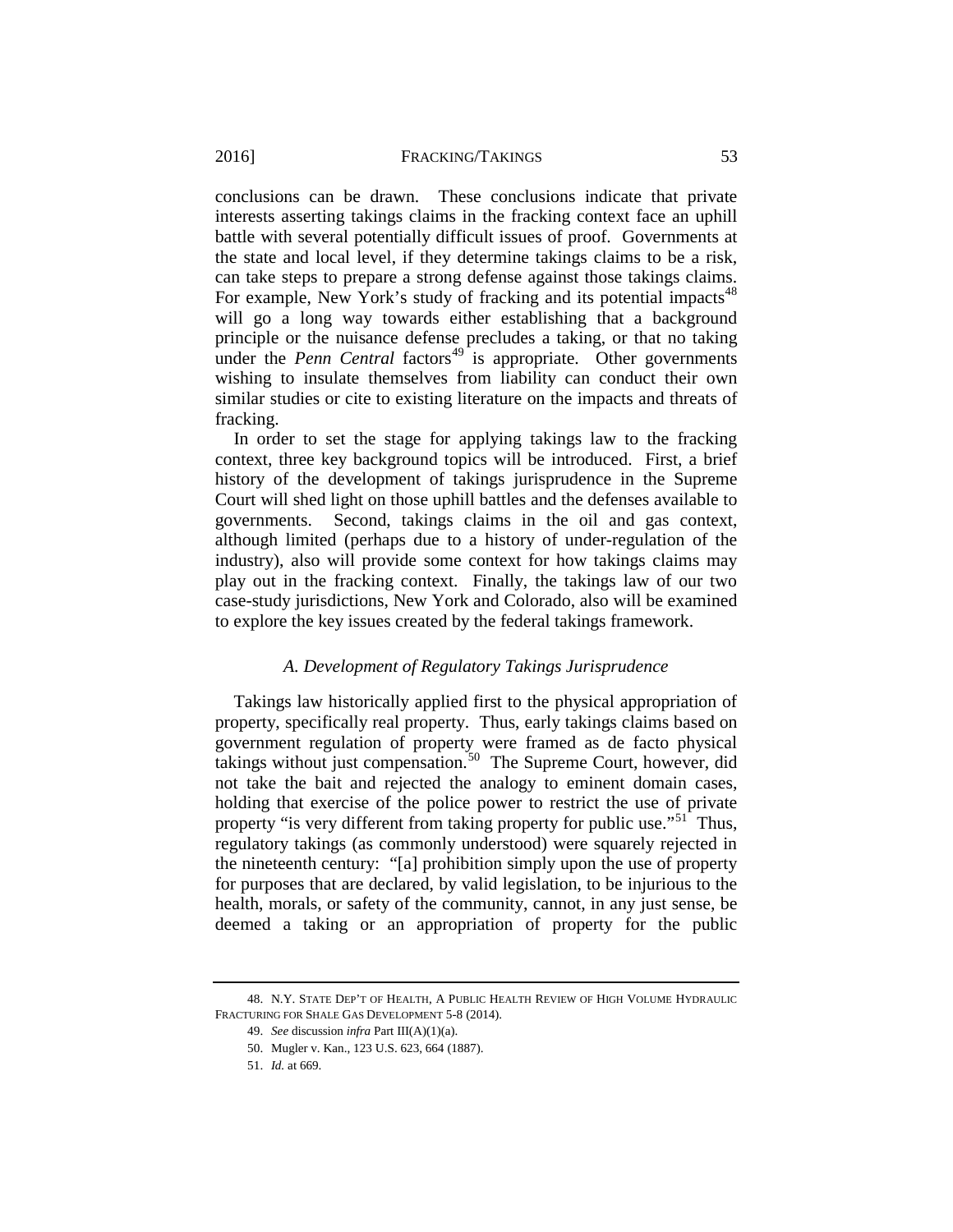conclusions can be drawn. These conclusions indicate that private interests asserting takings claims in the fracking context face an uphill battle with several potentially difficult issues of proof. Governments at the state and local level, if they determine takings claims to be a risk, can take steps to prepare a strong defense against those takings claims. For example, New York's study of fracking and its potential impacts<sup>[48](#page-17-1)</sup> will go a long way towards either establishing that a background principle or the nuisance defense precludes a taking, or that no taking under the *Penn Central* factors<sup>[49](#page-17-2)</sup> is appropriate. Other governments wishing to insulate themselves from liability can conduct their own similar studies or cite to existing literature on the impacts and threats of fracking.

In order to set the stage for applying takings law to the fracking context, three key background topics will be introduced. First, a brief history of the development of takings jurisprudence in the Supreme Court will shed light on those uphill battles and the defenses available to governments. Second, takings claims in the oil and gas context, although limited (perhaps due to a history of under-regulation of the industry), also will provide some context for how takings claims may play out in the fracking context. Finally, the takings law of our two case-study jurisdictions, New York and Colorado, also will be examined to explore the key issues created by the federal takings framework.

## *A. Development of Regulatory Takings Jurisprudence*

<span id="page-17-0"></span>Takings law historically applied first to the physical appropriation of property, specifically real property. Thus, early takings claims based on government regulation of property were framed as de facto physical takings without just compensation.<sup>50</sup> The Supreme Court, however, did not take the bait and rejected the analogy to eminent domain cases, holding that exercise of the police power to restrict the use of private property "is very different from taking property for public use."<sup>51</sup> Thus, regulatory takings (as commonly understood) were squarely rejected in the nineteenth century: "[a] prohibition simply upon the use of property for purposes that are declared, by valid legislation, to be injurious to the health, morals, or safety of the community, cannot, in any just sense, be deemed a taking or an appropriation of property for the public

<span id="page-17-4"></span><span id="page-17-3"></span><span id="page-17-2"></span><span id="page-17-1"></span><sup>48.</sup> N.Y. STATE DEP'T OF HEALTH, A PUBLIC HEALTH REVIEW OF HIGH VOLUME HYDRAULIC FRACTURING FOR SHALE GAS DEVELOPMENT 5-8 (2014).

<sup>49.</sup> *See* discussion *infra* Part III(A)(1)(a).

<sup>50.</sup> Mugler v. Kan., 123 U.S. 623, 664 (1887).

<sup>51.</sup> *Id.* at 669.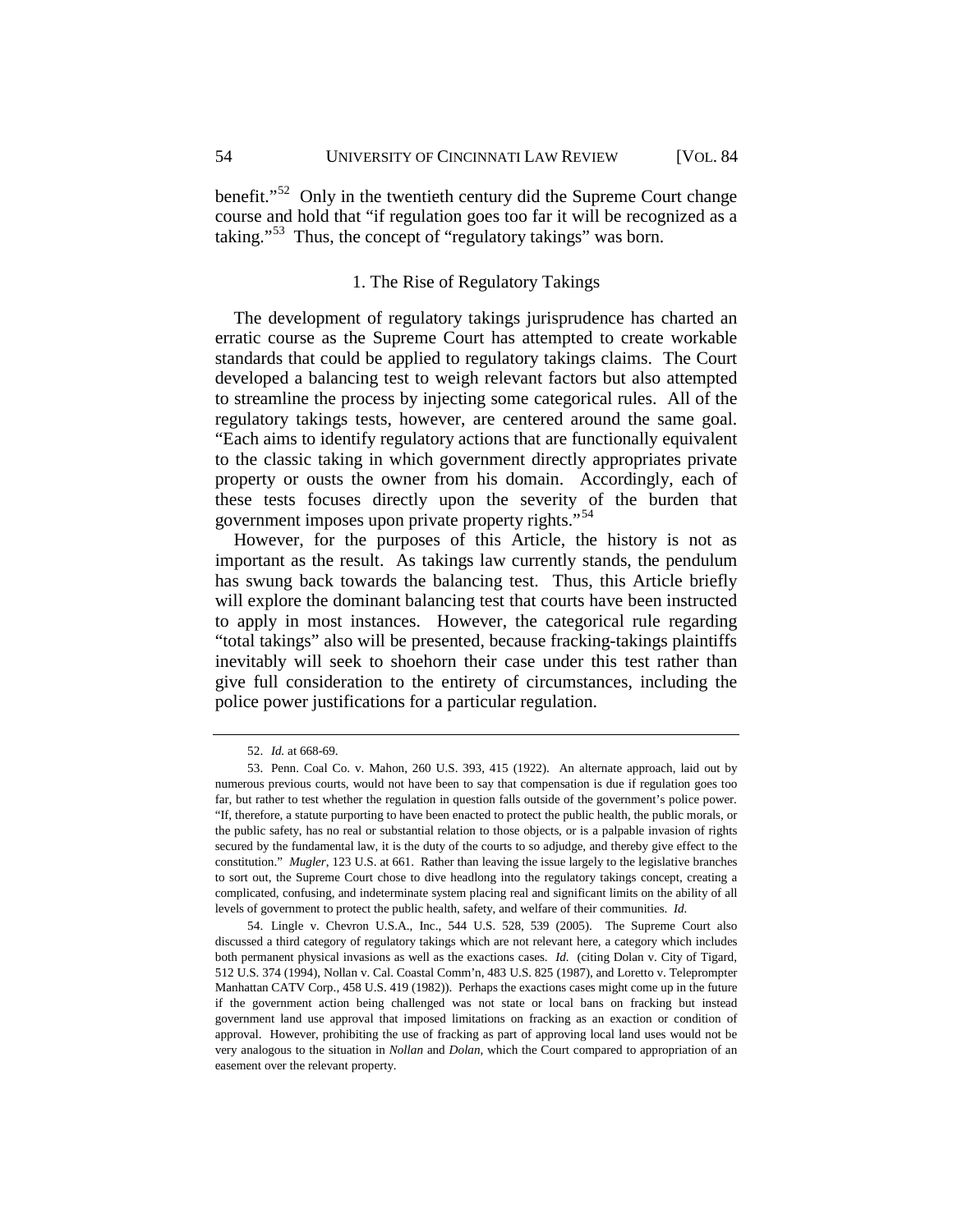<span id="page-18-0"></span>benefit."<sup>[52](#page-18-1)</sup> Only in the twentieth century did the Supreme Court change course and hold that "if regulation goes too far it will be recognized as a taking."[53](#page-18-2) Thus, the concept of "regulatory takings" was born.

## 1. The Rise of Regulatory Takings

The development of regulatory takings jurisprudence has charted an erratic course as the Supreme Court has attempted to create workable standards that could be applied to regulatory takings claims. The Court developed a balancing test to weigh relevant factors but also attempted to streamline the process by injecting some categorical rules. All of the regulatory takings tests, however, are centered around the same goal. "Each aims to identify regulatory actions that are functionally equivalent to the classic taking in which government directly appropriates private property or ousts the owner from his domain. Accordingly, each of these tests focuses directly upon the severity of the burden that government imposes upon private property rights."[54](#page-18-3)

However, for the purposes of this Article, the history is not as important as the result. As takings law currently stands, the pendulum has swung back towards the balancing test. Thus, this Article briefly will explore the dominant balancing test that courts have been instructed to apply in most instances. However, the categorical rule regarding "total takings" also will be presented, because fracking-takings plaintiffs inevitably will seek to shoehorn their case under this test rather than give full consideration to the entirety of circumstances, including the police power justifications for a particular regulation.

<sup>52.</sup> *Id.* at 668-69.

<span id="page-18-2"></span><span id="page-18-1"></span><sup>53.</sup> Penn. Coal Co. v. Mahon, 260 U.S. 393, 415 (1922). An alternate approach, laid out by numerous previous courts, would not have been to say that compensation is due if regulation goes too far, but rather to test whether the regulation in question falls outside of the government's police power. "If, therefore, a statute purporting to have been enacted to protect the public health, the public morals, or the public safety, has no real or substantial relation to those objects, or is a palpable invasion of rights secured by the fundamental law, it is the duty of the courts to so adjudge, and thereby give effect to the constitution." *Mugler*, 123 U.S. at 661. Rather than leaving the issue largely to the legislative branches to sort out, the Supreme Court chose to dive headlong into the regulatory takings concept, creating a complicated, confusing, and indeterminate system placing real and significant limits on the ability of all levels of government to protect the public health, safety, and welfare of their communities. *Id.*

<span id="page-18-3"></span><sup>54.</sup> Lingle v. Chevron U.S.A., Inc., 544 U.S. 528, 539 (2005). The Supreme Court also discussed a third category of regulatory takings which are not relevant here, a category which includes both permanent physical invasions as well as the exactions cases. *Id.* (citing Dolan v. City of Tigard, 512 U.S. 374 (1994), Nollan v. Cal. Coastal Comm'n, 483 U.S. 825 (1987), and Loretto v. Teleprompter Manhattan CATV Corp., 458 U.S. 419 (1982)). Perhaps the exactions cases might come up in the future if the government action being challenged was not state or local bans on fracking but instead government land use approval that imposed limitations on fracking as an exaction or condition of approval. However, prohibiting the use of fracking as part of approving local land uses would not be very analogous to the situation in *Nollan* and *Dolan*, which the Court compared to appropriation of an easement over the relevant property.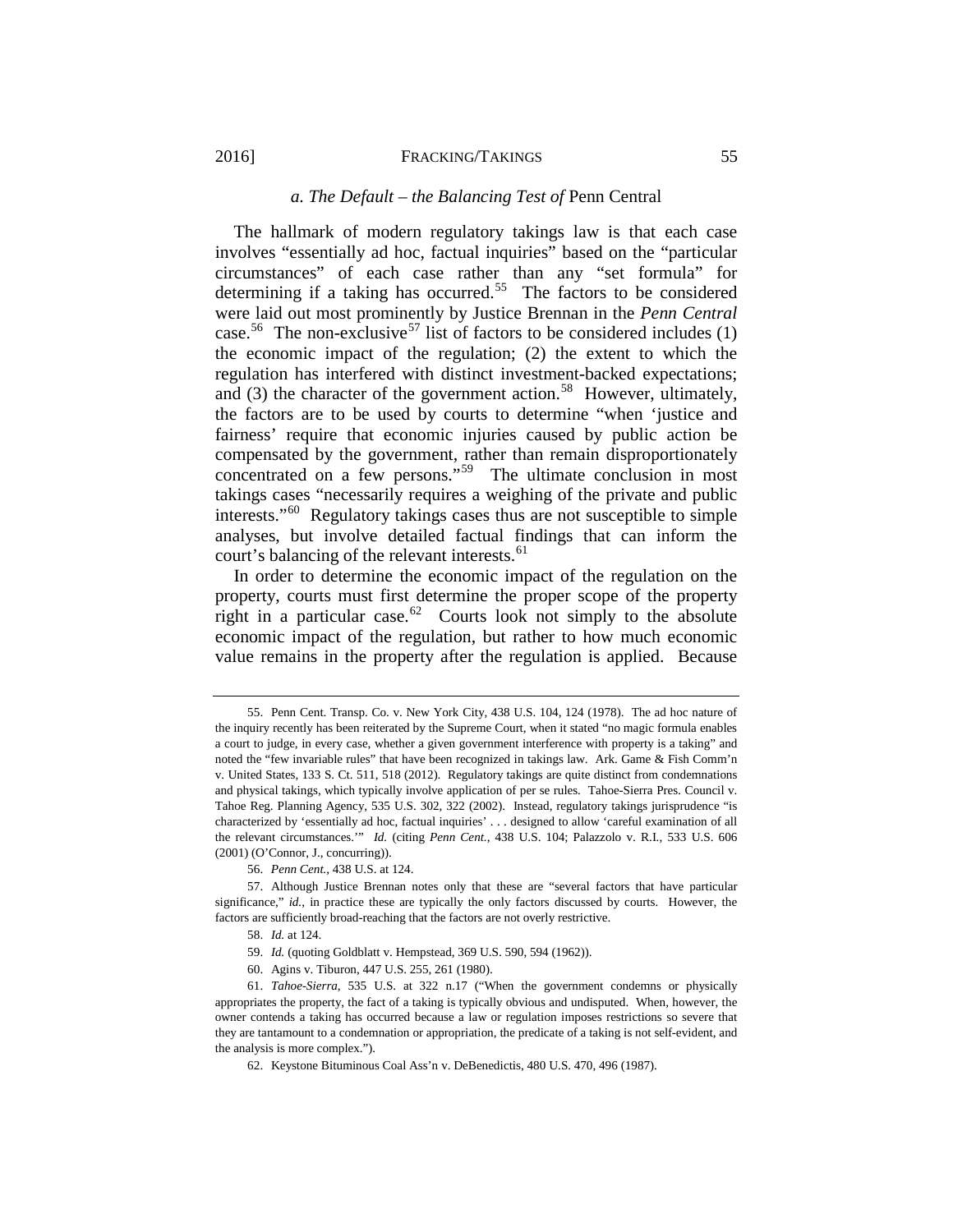#### *a. The Default – the Balancing Test of* Penn Central

<span id="page-19-0"></span>The hallmark of modern regulatory takings law is that each case involves "essentially ad hoc, factual inquiries" based on the "particular circumstances" of each case rather than any "set formula" for determining if a taking has occurred.<sup>55</sup> The factors to be considered were laid out most prominently by Justice Brennan in the *Penn Central* case.<sup>[56](#page-19-2)</sup> The non-exclusive<sup>[57](#page-19-3)</sup> list of factors to be considered includes (1) the economic impact of the regulation; (2) the extent to which the regulation has interfered with distinct investment-backed expectations; and (3) the character of the government action.<sup>[58](#page-19-4)</sup> However, ultimately, the factors are to be used by courts to determine "when 'justice and fairness' require that economic injuries caused by public action be compensated by the government, rather than remain disproportionately concentrated on a few persons."<sup>[59](#page-19-5)</sup> The ultimate conclusion in most takings cases "necessarily requires a weighing of the private and public interests."[60](#page-19-6) Regulatory takings cases thus are not susceptible to simple analyses, but involve detailed factual findings that can inform the court's balancing of the relevant interests.<sup>[61](#page-19-7)</sup>

In order to determine the economic impact of the regulation on the property, courts must first determine the proper scope of the property right in a particular case.<sup>[62](#page-19-8)</sup> Courts look not simply to the absolute economic impact of the regulation, but rather to how much economic value remains in the property after the regulation is applied. Because

<span id="page-19-1"></span><sup>55.</sup> Penn Cent. Transp. Co. v. New York City, 438 U.S. 104, 124 (1978). The ad hoc nature of the inquiry recently has been reiterated by the Supreme Court, when it stated "no magic formula enables a court to judge, in every case, whether a given government interference with property is a taking" and noted the "few invariable rules" that have been recognized in takings law. Ark. Game & Fish Comm'n v. United States, 133 S. Ct. 511, 518 (2012). Regulatory takings are quite distinct from condemnations and physical takings, which typically involve application of per se rules. Tahoe-Sierra Pres. Council v. Tahoe Reg. Planning Agency, 535 U.S. 302, 322 (2002). Instead, regulatory takings jurisprudence "is characterized by 'essentially ad hoc, factual inquiries' . . . designed to allow 'careful examination of all the relevant circumstances.'" *Id.* (citing *Penn Cent.*, 438 U.S. 104; Palazzolo v. R.I., 533 U.S. 606 (2001) (O'Connor, J., concurring)).

<sup>56.</sup> *Penn Cent.*, 438 U.S. at 124.

<span id="page-19-4"></span><span id="page-19-3"></span><span id="page-19-2"></span><sup>57.</sup> Although Justice Brennan notes only that these are "several factors that have particular significance," *id.*, in practice these are typically the only factors discussed by courts. However, the factors are sufficiently broad-reaching that the factors are not overly restrictive.

<sup>58.</sup> *Id.* at 124.

<sup>59.</sup> *Id.* (quoting Goldblatt v. Hempstead, 369 U.S. 590, 594 (1962)).

<sup>60.</sup> Agins v. Tiburon, 447 U.S. 255, 261 (1980).

<span id="page-19-8"></span><span id="page-19-7"></span><span id="page-19-6"></span><span id="page-19-5"></span><sup>61.</sup> *Tahoe-Sierra*, 535 U.S. at 322 n.17 ("When the government condemns or physically appropriates the property, the fact of a taking is typically obvious and undisputed. When, however, the owner contends a taking has occurred because a law or regulation imposes restrictions so severe that they are tantamount to a condemnation or appropriation, the predicate of a taking is not self-evident, and the analysis is more complex.").

<sup>62.</sup> Keystone Bituminous Coal Ass'n v. DeBenedictis, 480 U.S. 470, 496 (1987).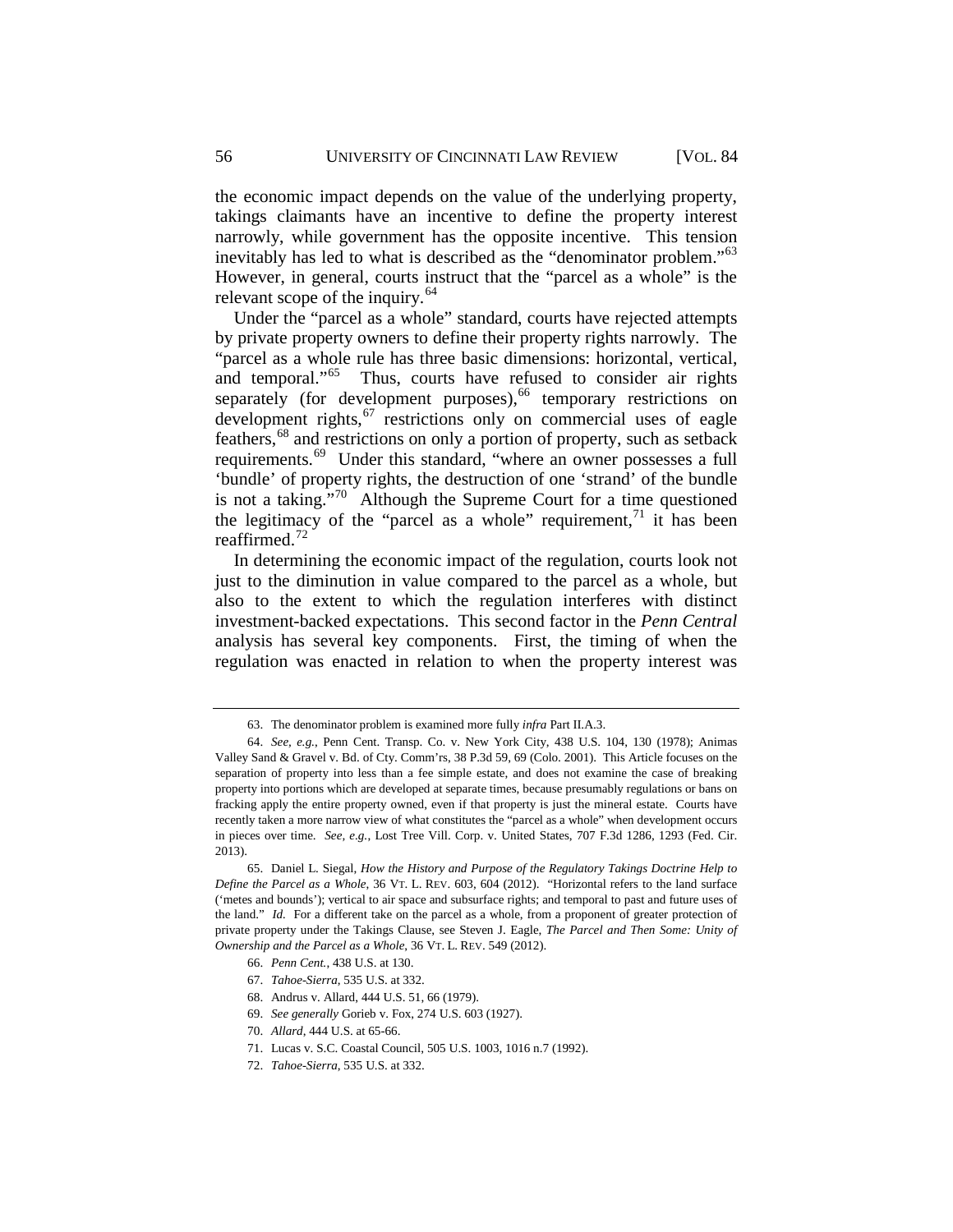the economic impact depends on the value of the underlying property, takings claimants have an incentive to define the property interest narrowly, while government has the opposite incentive. This tension inevitably has led to what is described as the "denominator problem."<sup>63</sup> However, in general, courts instruct that the "parcel as a whole" is the relevant scope of the inquiry.<sup>[64](#page-20-1)</sup>

Under the "parcel as a whole" standard, courts have rejected attempts by private property owners to define their property rights narrowly. The "parcel as a whole rule has three basic dimensions: horizontal, vertical, and temporal."<sup>65</sup> Thus, courts have refused to consider air rights separately (for development purposes),<sup>[66](#page-20-3)</sup> temporary restrictions on development rights,<sup>[67](#page-20-4)</sup> restrictions only on commercial uses of eagle feathers,[68](#page-20-5) and restrictions on only a portion of property, such as setback requirements.<sup>[69](#page-20-6)</sup> Under this standard, "where an owner possesses a full 'bundle' of property rights, the destruction of one 'strand' of the bundle is not a taking. $\frac{1}{2}$ <sup>1[70](#page-20-7)</sup> Although the Supreme Court for a time questioned the legitimacy of the "parcel as a whole" requirement, $1$  it has been reaffirmed.[72](#page-20-9)

In determining the economic impact of the regulation, courts look not just to the diminution in value compared to the parcel as a whole, but also to the extent to which the regulation interferes with distinct investment-backed expectations. This second factor in the *Penn Central* analysis has several key components. First, the timing of when the regulation was enacted in relation to when the property interest was

<sup>63.</sup> The denominator problem is examined more fully *infra* Part II.A.3.

<span id="page-20-1"></span><span id="page-20-0"></span><sup>64.</sup> *See, e.g.*, Penn Cent. Transp. Co. v. New York City, 438 U.S. 104, 130 (1978); Animas Valley Sand & Gravel v. Bd. of Cty. Comm'rs, 38 P.3d 59, 69 (Colo. 2001). This Article focuses on the separation of property into less than a fee simple estate, and does not examine the case of breaking property into portions which are developed at separate times, because presumably regulations or bans on fracking apply the entire property owned, even if that property is just the mineral estate. Courts have recently taken a more narrow view of what constitutes the "parcel as a whole" when development occurs in pieces over time. *See, e.g.*, Lost Tree Vill. Corp. v. United States, 707 F.3d 1286, 1293 (Fed. Cir. 2013).

<span id="page-20-4"></span><span id="page-20-3"></span><span id="page-20-2"></span><sup>65.</sup> Daniel L. Siegal, *How the History and Purpose of the Regulatory Takings Doctrine Help to Define the Parcel as a Whole*, 36 VT. L. REV. 603, 604 (2012). "Horizontal refers to the land surface ('metes and bounds'); vertical to air space and subsurface rights; and temporal to past and future uses of the land." *Id.* For a different take on the parcel as a whole, from a proponent of greater protection of private property under the Takings Clause, see Steven J. Eagle, *The Parcel and Then Some: Unity of Ownership and the Parcel as a Whole*, 36 VT. L. REV. 549 (2012).

<sup>66.</sup> *Penn Cent.*, 438 U.S. at 130.

<sup>67.</sup> *Tahoe-Sierra*, 535 U.S. at 332.

<span id="page-20-5"></span><sup>68.</sup> Andrus v. Allard, 444 U.S. 51, 66 (1979).

<span id="page-20-6"></span><sup>69.</sup> *See generally* Gorieb v. Fox, 274 U.S. 603 (1927).

<span id="page-20-7"></span><sup>70.</sup> *Allard*, 444 U.S. at 65-66.

<span id="page-20-8"></span><sup>71.</sup> Lucas v. S.C. Coastal Council, 505 U.S. 1003, 1016 n.7 (1992).

<span id="page-20-9"></span><sup>72.</sup> *Tahoe-Sierra*, 535 U.S. at 332.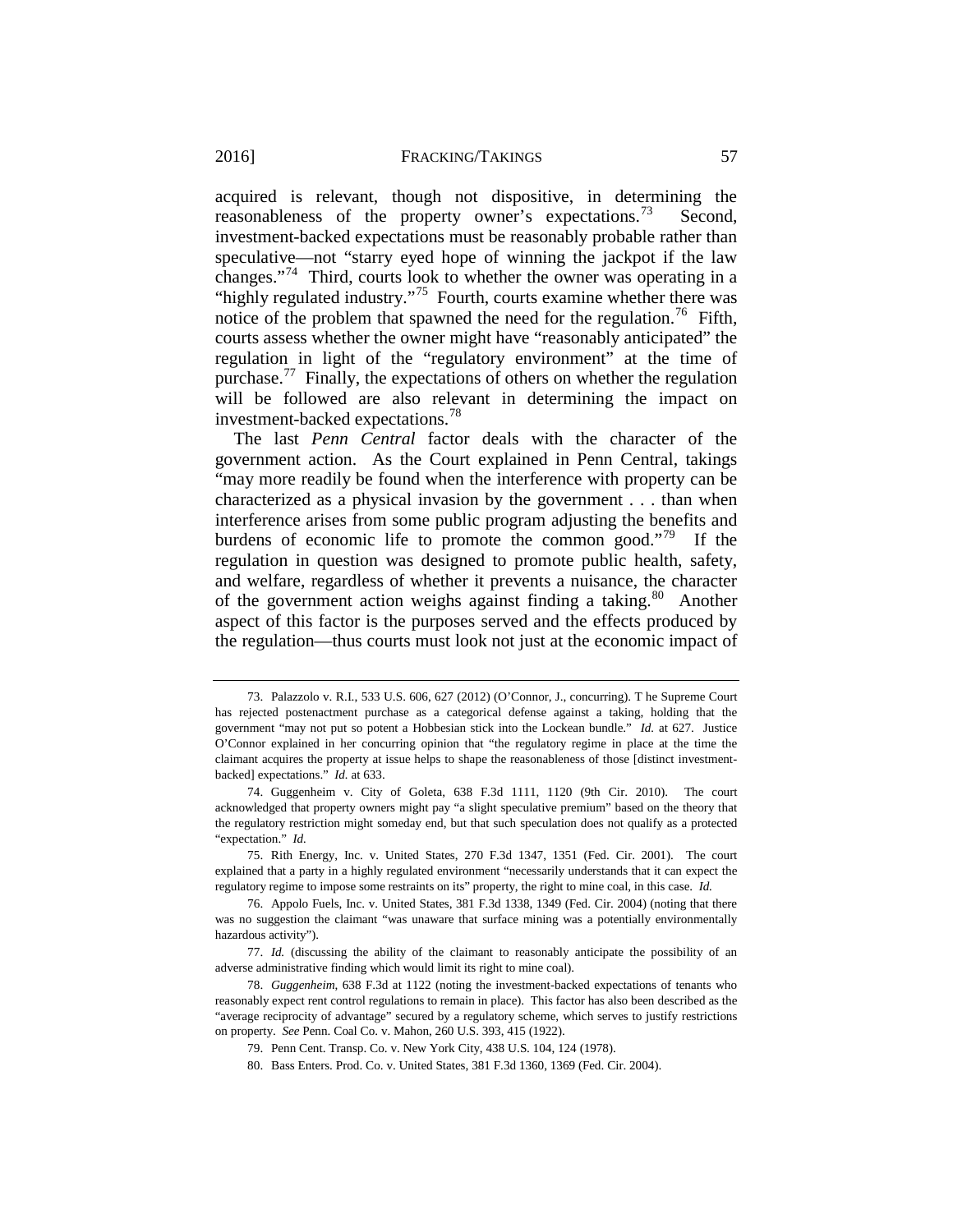acquired is relevant, though not dispositive, in determining the reasonableness of the property owner's expectations.<sup>73</sup> Second, investment-backed expectations must be reasonably probable rather than speculative—not "starry eyed hope of winning the jackpot if the law changes."[74](#page-21-1) Third, courts look to whether the owner was operating in a "highly regulated industry."<sup>[75](#page-21-2)</sup> Fourth, courts examine whether there was notice of the problem that spawned the need for the regulation.<sup>76</sup> Fifth, courts assess whether the owner might have "reasonably anticipated" the regulation in light of the "regulatory environment" at the time of purchase.<sup>[77](#page-21-4)</sup> Finally, the expectations of others on whether the regulation will be followed are also relevant in determining the impact on investment-backed expectations.[78](#page-21-5)

The last *Penn Central* factor deals with the character of the government action. As the Court explained in Penn Central, takings "may more readily be found when the interference with property can be characterized as a physical invasion by the government . . . than when interference arises from some public program adjusting the benefits and burdens of economic life to promote the common good."<sup>79</sup> If the regulation in question was designed to promote public health, safety, and welfare, regardless of whether it prevents a nuisance, the character of the government action weighs against finding a taking.<sup>80</sup> Another aspect of this factor is the purposes served and the effects produced by the regulation—thus courts must look not just at the economic impact of

<span id="page-21-0"></span><sup>73.</sup> Palazzolo v. R.I., 533 U.S. 606, 627 (2012) (O'Connor, J., concurring). T he Supreme Court has rejected postenactment purchase as a categorical defense against a taking, holding that the government "may not put so potent a Hobbesian stick into the Lockean bundle." *Id.* at 627. Justice O'Connor explained in her concurring opinion that "the regulatory regime in place at the time the claimant acquires the property at issue helps to shape the reasonableness of those [distinct investmentbacked] expectations." *Id.* at 633.

<span id="page-21-1"></span><sup>74.</sup> Guggenheim v. City of Goleta, 638 F.3d 1111, 1120 (9th Cir. 2010). The court acknowledged that property owners might pay "a slight speculative premium" based on the theory that the regulatory restriction might someday end, but that such speculation does not qualify as a protected "expectation." *Id.*

<span id="page-21-2"></span><sup>75.</sup> Rith Energy, Inc. v. United States, 270 F.3d 1347, 1351 (Fed. Cir. 2001). The court explained that a party in a highly regulated environment "necessarily understands that it can expect the regulatory regime to impose some restraints on its" property, the right to mine coal, in this case. *Id.*

<span id="page-21-3"></span><sup>76.</sup> Appolo Fuels, Inc. v. United States, 381 F.3d 1338, 1349 (Fed. Cir. 2004) (noting that there was no suggestion the claimant "was unaware that surface mining was a potentially environmentally hazardous activity").

<span id="page-21-4"></span><sup>77.</sup> *Id.* (discussing the ability of the claimant to reasonably anticipate the possibility of an adverse administrative finding which would limit its right to mine coal).

<span id="page-21-7"></span><span id="page-21-6"></span><span id="page-21-5"></span><sup>78.</sup> *Guggenheim*, 638 F.3d at 1122 (noting the investment-backed expectations of tenants who reasonably expect rent control regulations to remain in place). This factor has also been described as the "average reciprocity of advantage" secured by a regulatory scheme, which serves to justify restrictions on property. *See* Penn. Coal Co. v. Mahon, 260 U.S. 393, 415 (1922).

<sup>79.</sup> Penn Cent. Transp. Co. v. New York City, 438 U.S. 104, 124 (1978).

<sup>80.</sup> Bass Enters. Prod. Co. v. United States, 381 F.3d 1360, 1369 (Fed. Cir. 2004).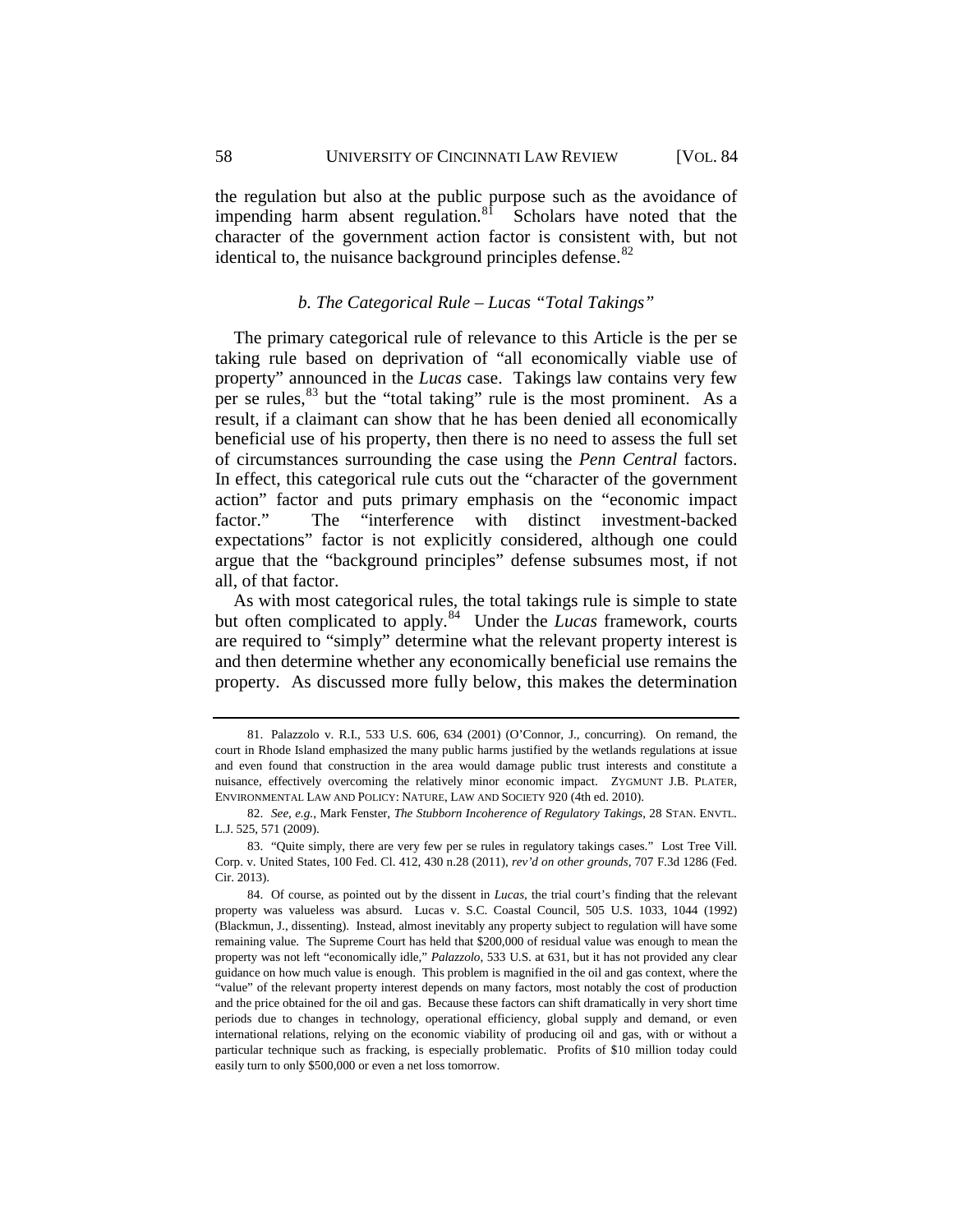58 UNIVERSITY OF CINCINNATI LAW REVIEW [VOL. 84

the regulation but also at the public purpose such as the avoidance of impending harm absent regulation. $81$  Scholars have noted that the character of the government action factor is consistent with, but not identical to, the nuisance background principles defense. $82$ 

## *b. The Categorical Rule – Lucas "Total Takings"*

<span id="page-22-0"></span>The primary categorical rule of relevance to this Article is the per se taking rule based on deprivation of "all economically viable use of property" announced in the *Lucas* case. Takings law contains very few per se rules,<sup>[83](#page-22-3)</sup> but the "total taking" rule is the most prominent. As a result, if a claimant can show that he has been denied all economically beneficial use of his property, then there is no need to assess the full set of circumstances surrounding the case using the *Penn Central* factors. In effect, this categorical rule cuts out the "character of the government action" factor and puts primary emphasis on the "economic impact factor." The "interference with distinct investment-backed expectations" factor is not explicitly considered, although one could argue that the "background principles" defense subsumes most, if not all, of that factor.

As with most categorical rules, the total takings rule is simple to state but often complicated to apply.<sup>84</sup> Under the *Lucas* framework, courts are required to "simply" determine what the relevant property interest is and then determine whether any economically beneficial use remains the property. As discussed more fully below, this makes the determination

<span id="page-22-1"></span><sup>81.</sup> Palazzolo v. R.I., 533 U.S. 606, 634 (2001) (O'Connor, J., concurring). On remand, the court in Rhode Island emphasized the many public harms justified by the wetlands regulations at issue and even found that construction in the area would damage public trust interests and constitute a nuisance, effectively overcoming the relatively minor economic impact. ZYGMUNT J.B. PLATER, ENVIRONMENTAL LAW AND POLICY: NATURE, LAW AND SOCIETY 920 (4th ed. 2010).

<span id="page-22-2"></span><sup>82.</sup> *See, e.g.*, Mark Fenster, *The Stubborn Incoherence of Regulatory Takings*, 28 STAN. ENVTL. L.J. 525, 571 (2009).

<span id="page-22-3"></span><sup>83.</sup> "Quite simply, there are very few per se rules in regulatory takings cases." Lost Tree Vill. Corp. v. United States, 100 Fed. Cl. 412, 430 n.28 (2011), *rev'd on other grounds*, 707 F.3d 1286 (Fed. Cir. 2013).

<span id="page-22-4"></span><sup>84.</sup> Of course, as pointed out by the dissent in *Lucas*, the trial court's finding that the relevant property was valueless was absurd. Lucas v. S.C. Coastal Council, 505 U.S. 1033, 1044 (1992) (Blackmun, J., dissenting). Instead, almost inevitably any property subject to regulation will have some remaining value. The Supreme Court has held that \$200,000 of residual value was enough to mean the property was not left "economically idle," *Palazzolo*, 533 U.S. at 631, but it has not provided any clear guidance on how much value is enough. This problem is magnified in the oil and gas context, where the "value" of the relevant property interest depends on many factors, most notably the cost of production and the price obtained for the oil and gas. Because these factors can shift dramatically in very short time periods due to changes in technology, operational efficiency, global supply and demand, or even international relations, relying on the economic viability of producing oil and gas, with or without a particular technique such as fracking, is especially problematic. Profits of \$10 million today could easily turn to only \$500,000 or even a net loss tomorrow.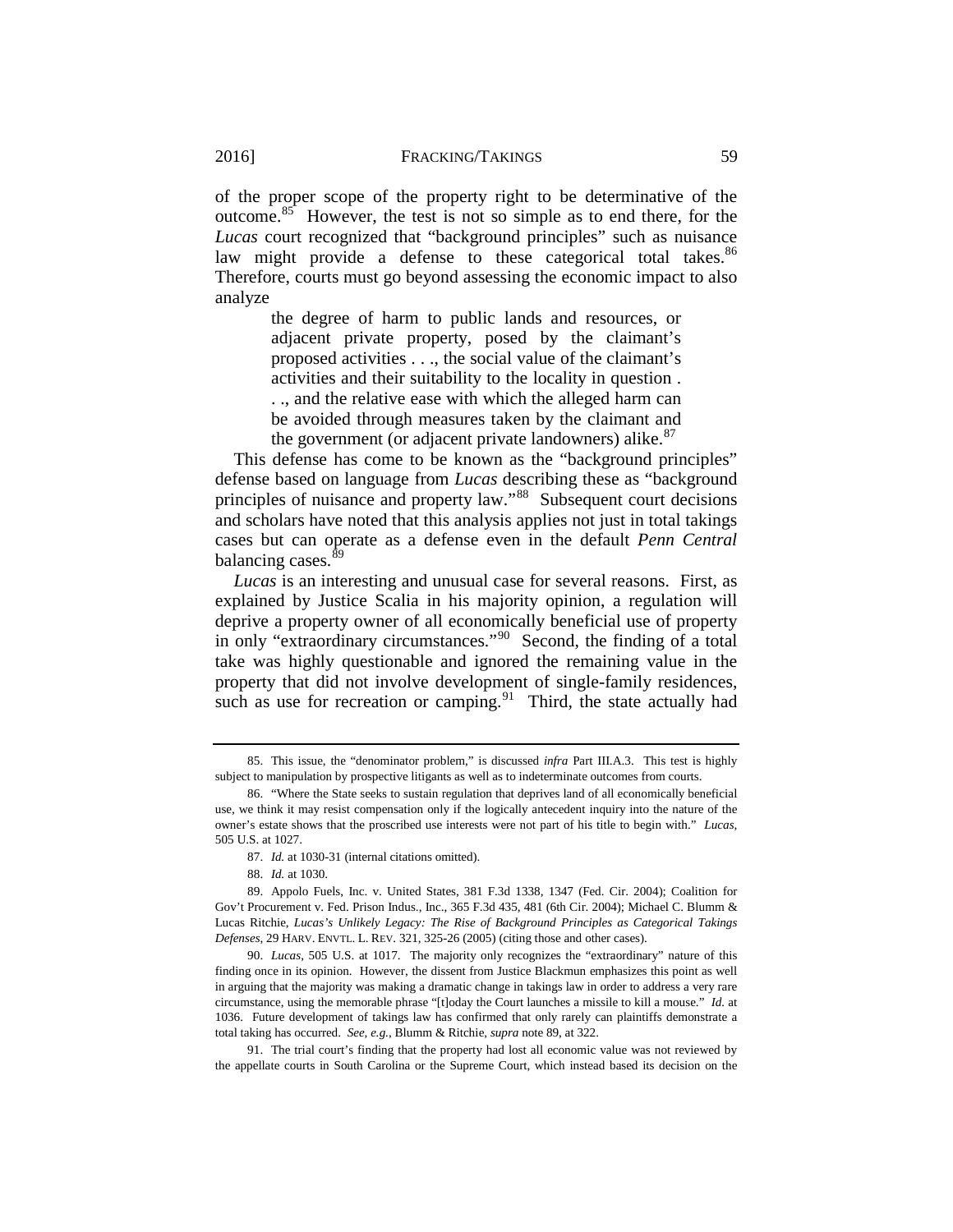of the proper scope of the property right to be determinative of the outcome.[85](#page-23-1) However, the test is not so simple as to end there, for the *Lucas* court recognized that "background principles" such as nuisance law might provide a defense to these categorical total takes.<sup>86</sup> Therefore, courts must go beyond assessing the economic impact to also analyze

> the degree of harm to public lands and resources, or adjacent private property, posed by the claimant's proposed activities . . ., the social value of the claimant's activities and their suitability to the locality in question . . ., and the relative ease with which the alleged harm can be avoided through measures taken by the claimant and the government (or adjacent private landowners) alike. $87$

This defense has come to be known as the "background principles" defense based on language from *Lucas* describing these as "background principles of nuisance and property law."[88](#page-23-4) Subsequent court decisions and scholars have noted that this analysis applies not just in total takings cases but can operate as a defense even in the default *Penn Central* balancing cases.<sup>[89](#page-23-5)</sup>

<span id="page-23-0"></span>*Lucas* is an interesting and unusual case for several reasons. First, as explained by Justice Scalia in his majority opinion, a regulation will deprive a property owner of all economically beneficial use of property in only "extraordinary circumstances."<sup>90</sup> Second, the finding of a total take was highly questionable and ignored the remaining value in the property that did not involve development of single-family residences, such as use for recreation or camping.<sup>91</sup> Third, the state actually had

<span id="page-23-6"></span>90. *Lucas*, 505 U.S. at 1017. The majority only recognizes the "extraordinary" nature of this finding once in its opinion. However, the dissent from Justice Blackmun emphasizes this point as well in arguing that the majority was making a dramatic change in takings law in order to address a very rare circumstance, using the memorable phrase "[t]oday the Court launches a missile to kill a mouse." *Id.* at 1036. Future development of takings law has confirmed that only rarely can plaintiffs demonstrate a total taking has occurred. *See, e.g.*, Blumm & Ritchie, *supra* not[e 89,](#page-23-0) at 322.

<span id="page-23-7"></span>91. The trial court's finding that the property had lost all economic value was not reviewed by the appellate courts in South Carolina or the Supreme Court, which instead based its decision on the

<span id="page-23-1"></span><sup>85.</sup> This issue, the "denominator problem," is discussed *infra* Part III.A.3. This test is highly subject to manipulation by prospective litigants as well as to indeterminate outcomes from courts.

<span id="page-23-2"></span><sup>86.</sup> "Where the State seeks to sustain regulation that deprives land of all economically beneficial use, we think it may resist compensation only if the logically antecedent inquiry into the nature of the owner's estate shows that the proscribed use interests were not part of his title to begin with." *Lucas*, 505 U.S. at 1027.

<sup>87.</sup> *Id.* at 1030-31 (internal citations omitted).

<sup>88.</sup> *Id.* at 1030.

<span id="page-23-5"></span><span id="page-23-4"></span><span id="page-23-3"></span><sup>89.</sup> Appolo Fuels, Inc. v. United States, 381 F.3d 1338, 1347 (Fed. Cir. 2004); Coalition for Gov't Procurement v. Fed. Prison Indus., Inc., 365 F.3d 435, 481 (6th Cir. 2004); Michael C. Blumm & Lucas Ritchie, *Lucas's Unlikely Legacy: The Rise of Background Principles as Categorical Takings Defenses*, 29 HARV. ENVTL. L. REV. 321, 325-26 (2005) (citing those and other cases).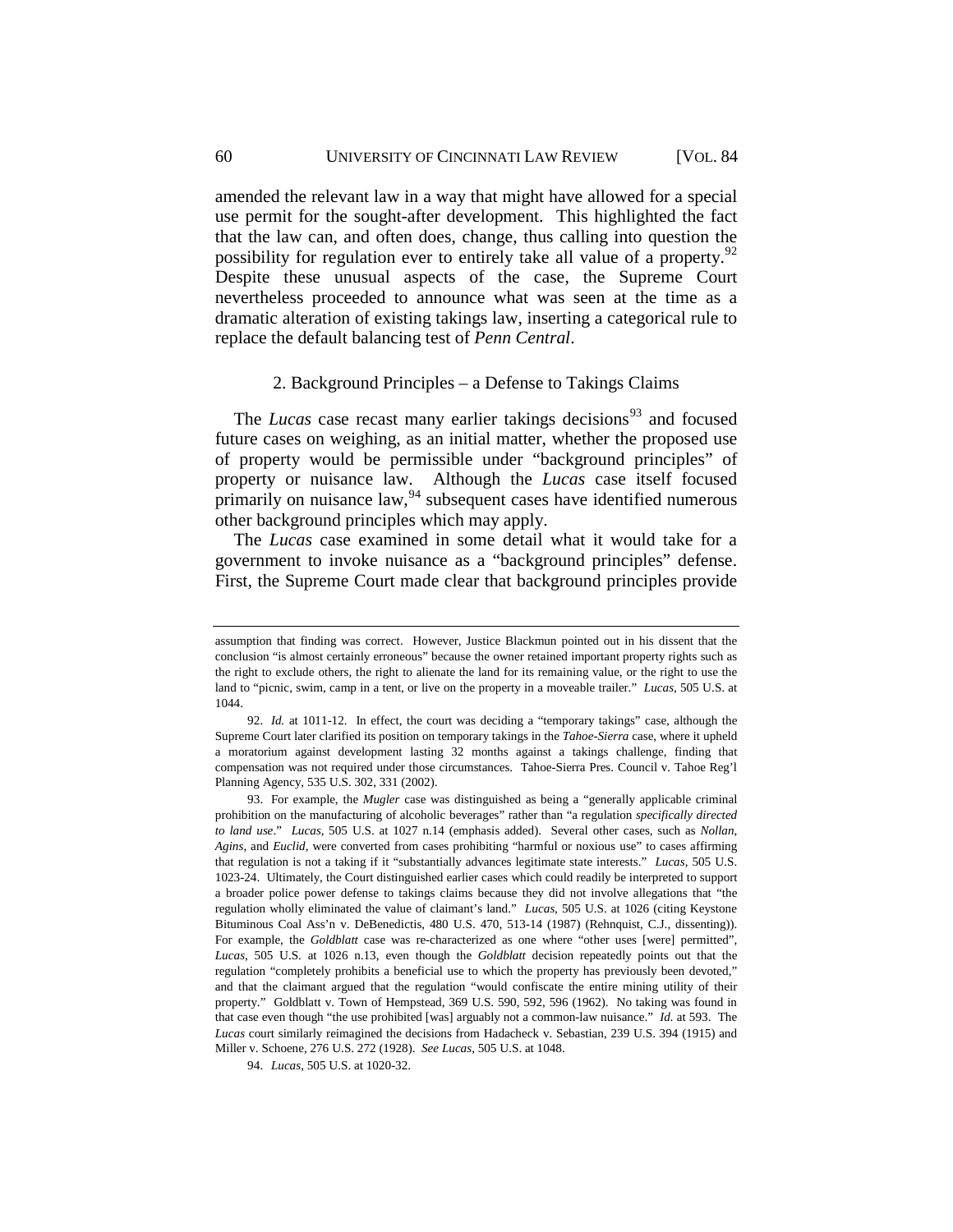amended the relevant law in a way that might have allowed for a special use permit for the sought-after development. This highlighted the fact that the law can, and often does, change, thus calling into question the possibility for regulation ever to entirely take all value of a property.<sup>92</sup> Despite these unusual aspects of the case, the Supreme Court nevertheless proceeded to announce what was seen at the time as a dramatic alteration of existing takings law, inserting a categorical rule to replace the default balancing test of *Penn Central*.

#### 2. Background Principles – a Defense to Takings Claims

<span id="page-24-0"></span>The *Lucas* case recast many earlier takings decisions<sup>[93](#page-24-2)</sup> and focused future cases on weighing, as an initial matter, whether the proposed use of property would be permissible under "background principles" of property or nuisance law. Although the *Lucas* case itself focused primarily on nuisance law,  $94$  subsequent cases have identified numerous other background principles which may apply.

The *Lucas* case examined in some detail what it would take for a government to invoke nuisance as a "background principles" defense. First, the Supreme Court made clear that background principles provide

assumption that finding was correct. However, Justice Blackmun pointed out in his dissent that the conclusion "is almost certainly erroneous" because the owner retained important property rights such as the right to exclude others, the right to alienate the land for its remaining value, or the right to use the land to "picnic, swim, camp in a tent, or live on the property in a moveable trailer." *Lucas*, 505 U.S. at 1044.

<span id="page-24-1"></span><sup>92.</sup> *Id.* at 1011-12. In effect, the court was deciding a "temporary takings" case, although the Supreme Court later clarified its position on temporary takings in the *Tahoe-Sierra* case, where it upheld a moratorium against development lasting 32 months against a takings challenge, finding that compensation was not required under those circumstances. Tahoe-Sierra Pres. Council v. Tahoe Reg'l Planning Agency, 535 U.S. 302, 331 (2002).

<span id="page-24-2"></span><sup>93.</sup> For example, the *Mugler* case was distinguished as being a "generally applicable criminal prohibition on the manufacturing of alcoholic beverages" rather than "a regulation *specifically directed to land use*." *Lucas*, 505 U.S. at 1027 n.14 (emphasis added). Several other cases, such as *Nollan*, *Agins*, and *Euclid*, were converted from cases prohibiting "harmful or noxious use" to cases affirming that regulation is not a taking if it "substantially advances legitimate state interests." *Lucas*, 505 U.S. 1023-24. Ultimately, the Court distinguished earlier cases which could readily be interpreted to support a broader police power defense to takings claims because they did not involve allegations that "the regulation wholly eliminated the value of claimant's land." *Lucas*, 505 U.S. at 1026 (citing Keystone Bituminous Coal Ass'n v. DeBenedictis, 480 U.S. 470, 513-14 (1987) (Rehnquist, C.J., dissenting)). For example, the *Goldblatt* case was re-characterized as one where "other uses [were] permitted", *Lucas*, 505 U.S. at 1026 n.13, even though the *Goldblatt* decision repeatedly points out that the regulation "completely prohibits a beneficial use to which the property has previously been devoted," and that the claimant argued that the regulation "would confiscate the entire mining utility of their property." Goldblatt v. Town of Hempstead, 369 U.S. 590, 592, 596 (1962). No taking was found in that case even though "the use prohibited [was] arguably not a common-law nuisance." *Id.* at 593. The *Lucas* court similarly reimagined the decisions from Hadacheck v. Sebastian, 239 U.S. 394 (1915) and Miller v. Schoene, 276 U.S. 272 (1928). *See Lucas*, 505 U.S. at 1048.

<span id="page-24-3"></span><sup>94.</sup> *Lucas*, 505 U.S. at 1020-32.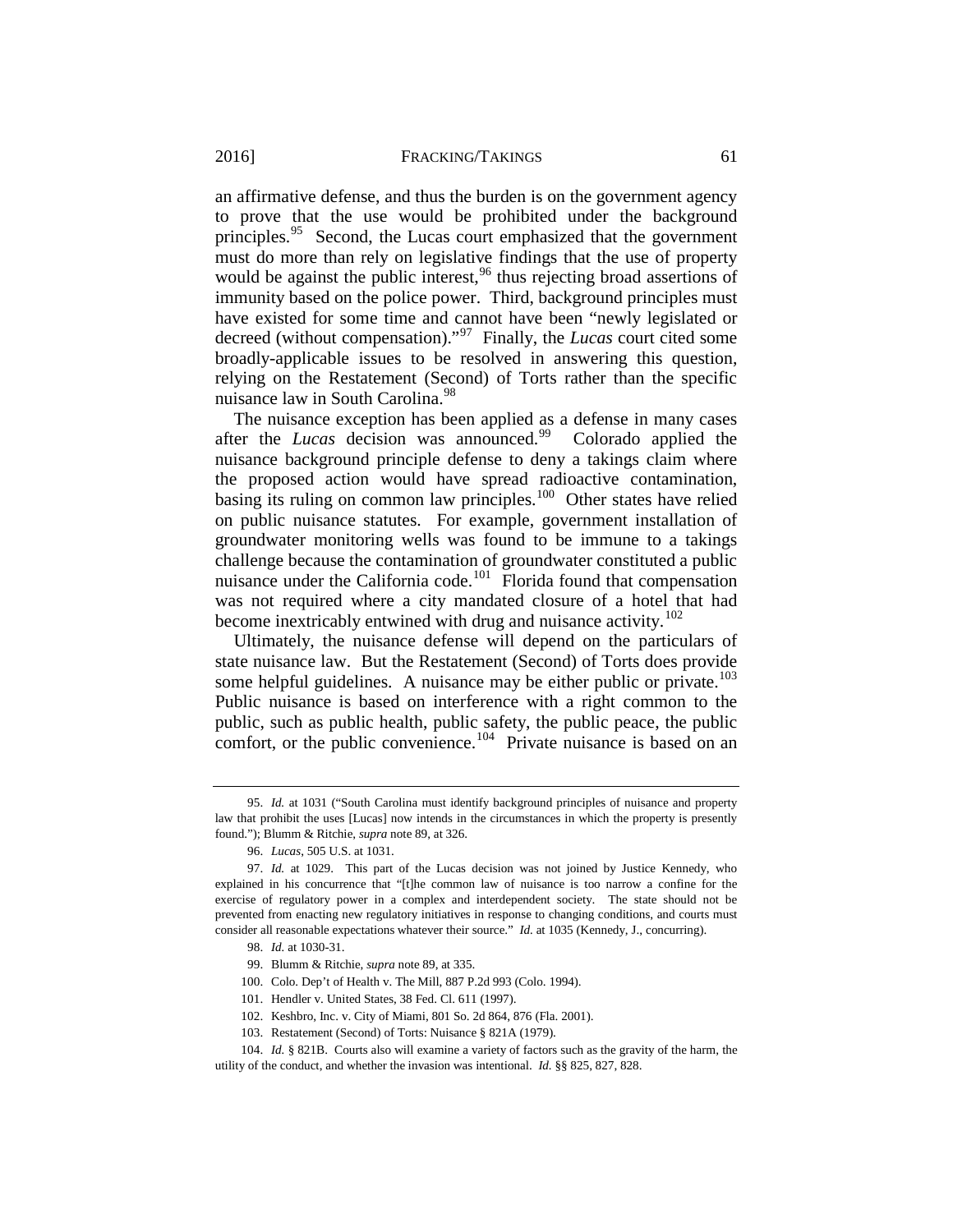an affirmative defense, and thus the burden is on the government agency to prove that the use would be prohibited under the background principles.<sup>95</sup> Second, the Lucas court emphasized that the government must do more than rely on legislative findings that the use of property would be against the public interest,<sup>[96](#page-25-1)</sup> thus rejecting broad assertions of immunity based on the police power. Third, background principles must have existed for some time and cannot have been "newly legislated or decreed (without compensation)."[97](#page-25-2) Finally, the *Lucas* court cited some broadly-applicable issues to be resolved in answering this question, relying on the Restatement (Second) of Torts rather than the specific nuisance law in South Carolina.<sup>[98](#page-25-3)</sup>

The nuisance exception has been applied as a defense in many cases after the *Lucas* decision was announced.<sup>[99](#page-25-4)</sup> Colorado applied the nuisance background principle defense to deny a takings claim where the proposed action would have spread radioactive contamination, basing its ruling on common law principles.<sup>100</sup> Other states have relied on public nuisance statutes. For example, government installation of groundwater monitoring wells was found to be immune to a takings challenge because the contamination of groundwater constituted a public nuisance under the California code.<sup>101</sup> Florida found that compensation was not required where a city mandated closure of a hotel that had become inextricably entwined with drug and nuisance activity.<sup>102</sup>

Ultimately, the nuisance defense will depend on the particulars of state nuisance law. But the Restatement (Second) of Torts does provide some helpful guidelines. A nuisance may be either public or private.<sup>103</sup> Public nuisance is based on interference with a right common to the public, such as public health, public safety, the public peace, the public comfort, or the public convenience.<sup>104</sup> Private nuisance is based on an

<span id="page-25-0"></span><sup>95.</sup> *Id.* at 1031 ("South Carolina must identify background principles of nuisance and property law that prohibit the uses [Lucas] now intends in the circumstances in which the property is presently found."); Blumm & Ritchie, *supra* not[e 89,](#page-23-0) at 326.

<sup>96.</sup> *Lucas*, 505 U.S. at 1031.

<span id="page-25-3"></span><span id="page-25-2"></span><span id="page-25-1"></span><sup>97.</sup> *Id.* at 1029. This part of the Lucas decision was not joined by Justice Kennedy, who explained in his concurrence that "[t]he common law of nuisance is too narrow a confine for the exercise of regulatory power in a complex and interdependent society. The state should not be prevented from enacting new regulatory initiatives in response to changing conditions, and courts must consider all reasonable expectations whatever their source." *Id.* at 1035 (Kennedy, J., concurring).

<sup>98.</sup> *Id.* at 1030-31.

<sup>99.</sup> Blumm & Ritchie, *supra* not[e 89,](#page-23-0) at 335.

<sup>100.</sup> Colo. Dep't of Health v. The Mill, 887 P.2d 993 (Colo. 1994).

<sup>101.</sup> Hendler v. United States, 38 Fed. Cl. 611 (1997).

<sup>102.</sup> Keshbro, Inc. v. City of Miami, 801 So. 2d 864, 876 (Fla. 2001).

<sup>103.</sup> Restatement (Second) of Torts: Nuisance § 821A (1979).

<span id="page-25-9"></span><span id="page-25-8"></span><span id="page-25-7"></span><span id="page-25-6"></span><span id="page-25-5"></span><span id="page-25-4"></span><sup>104.</sup> *Id.* § 821B. Courts also will examine a variety of factors such as the gravity of the harm, the utility of the conduct, and whether the invasion was intentional. *Id.* §§ 825, 827, 828.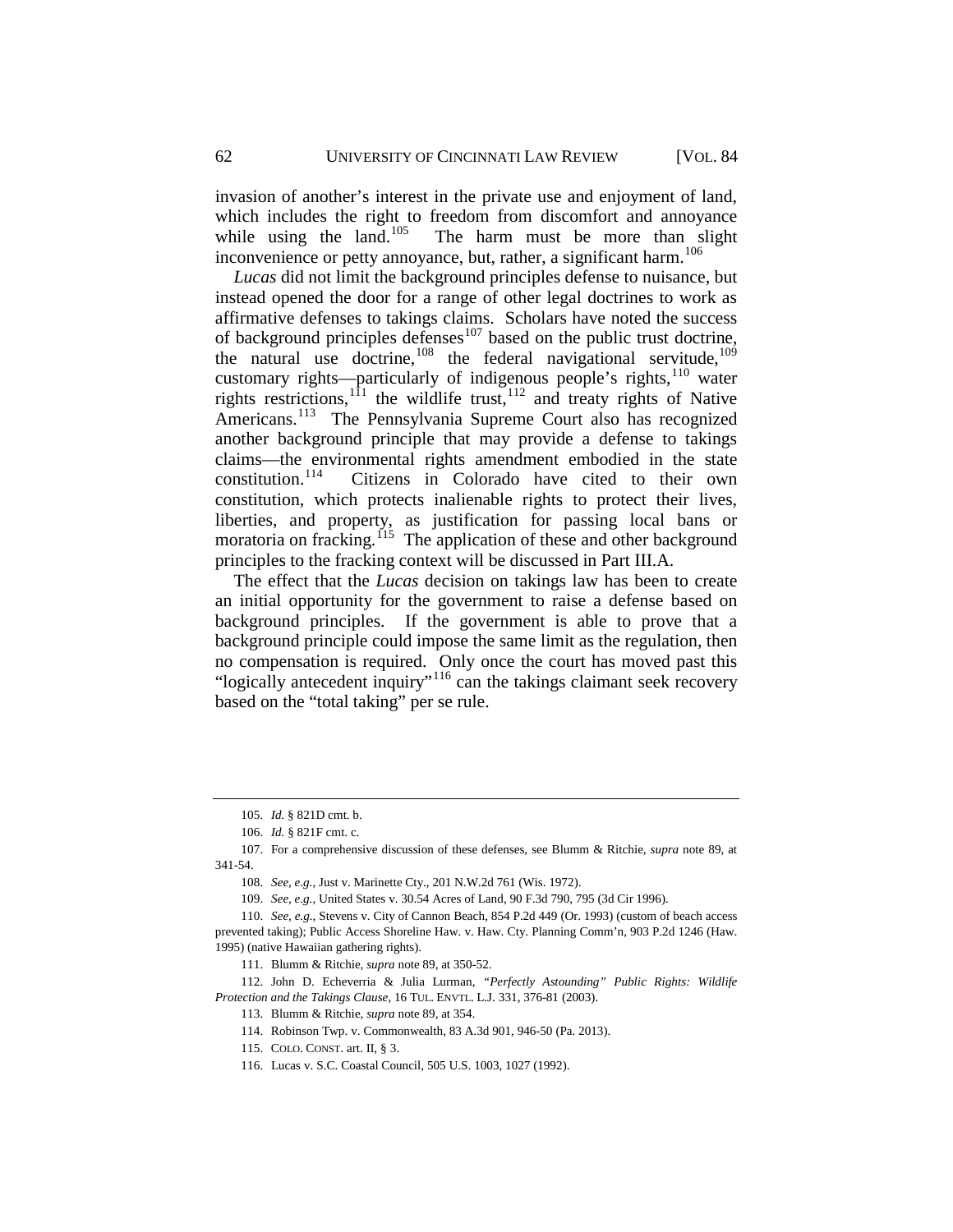invasion of another's interest in the private use and enjoyment of land, which includes the right to freedom from discomfort and annoyance while using the land.<sup>105</sup> The harm must be more than slight The harm must be more than slight inconvenience or petty annoyance, but, rather, a significant harm.<sup>106</sup>

*Lucas* did not limit the background principles defense to nuisance, but instead opened the door for a range of other legal doctrines to work as affirmative defenses to takings claims. Scholars have noted the success of background principles defenses<sup>[107](#page-26-2)</sup> based on the public trust doctrine, the natural use doctrine,<sup>[108](#page-26-3)</sup> the federal navigational servitude,<sup>[109](#page-26-4)</sup> customary rights—particularly of indigenous people's rights, $110$  water rights restrictions,<sup>[111](#page-26-6)</sup> the wildlife trust,<sup>[112](#page-26-7)</sup> and treaty rights of Native Americans.<sup>113</sup> The Pennsylvania Supreme Court also has recognized another background principle that may provide a defense to takings claims—the environmental rights amendment embodied in the state<br>constitution.<sup>114</sup> Citizens in Colorado have cited to their own Citizens in Colorado have cited to their own constitution, which protects inalienable rights to protect their lives, liberties, and property, as justification for passing local bans or moratoria on fracking.<sup>115</sup> The application of these and other background principles to the fracking context will be discussed in Part III.A.

The effect that the *Lucas* decision on takings law has been to create an initial opportunity for the government to raise a defense based on background principles. If the government is able to prove that a background principle could impose the same limit as the regulation, then no compensation is required. Only once the court has moved past this "logically antecedent inquiry"[116](#page-26-11) can the takings claimant seek recovery based on the "total taking" per se rule.

<sup>105.</sup> *Id.* § 821D cmt. b.

<sup>106.</sup> *Id.* § 821F cmt. c.

<span id="page-26-2"></span><span id="page-26-1"></span><span id="page-26-0"></span><sup>107.</sup> For a comprehensive discussion of these defenses, see Blumm & Ritchie, *supra* note [89,](#page-23-0) at 341-54.

<sup>108.</sup> *See, e.g.*, Just v. Marinette Cty., 201 N.W.2d 761 (Wis. 1972).

<sup>109.</sup> *See, e.g.*, United States v. 30.54 Acres of Land, 90 F.3d 790, 795 (3d Cir 1996).

<span id="page-26-5"></span><span id="page-26-4"></span><span id="page-26-3"></span><sup>110.</sup> *See, e.g.*, Stevens v. City of Cannon Beach, 854 P.2d 449 (Or. 1993) (custom of beach access prevented taking); Public Access Shoreline Haw. v. Haw. Cty. Planning Comm'n, 903 P.2d 1246 (Haw. 1995) (native Hawaiian gathering rights).

<sup>111.</sup> Blumm & Ritchie, *supra* not[e 89,](#page-23-0) at 350-52.

<span id="page-26-11"></span><span id="page-26-10"></span><span id="page-26-9"></span><span id="page-26-8"></span><span id="page-26-7"></span><span id="page-26-6"></span><sup>112.</sup> John D. Echeverria & Julia Lurman, *"Perfectly Astounding" Public Rights: Wildlife Protection and the Takings Clause*, 16 TUL. ENVTL. L.J. 331, 376-81 (2003).

<sup>113.</sup> Blumm & Ritchie, *supra* not[e 89,](#page-23-0) at 354.

<sup>114.</sup> Robinson Twp. v. Commonwealth, 83 A.3d 901, 946-50 (Pa. 2013).

<sup>115.</sup> COLO. CONST. art. II, § 3.

<sup>116.</sup> Lucas v. S.C. Coastal Council, 505 U.S. 1003, 1027 (1992).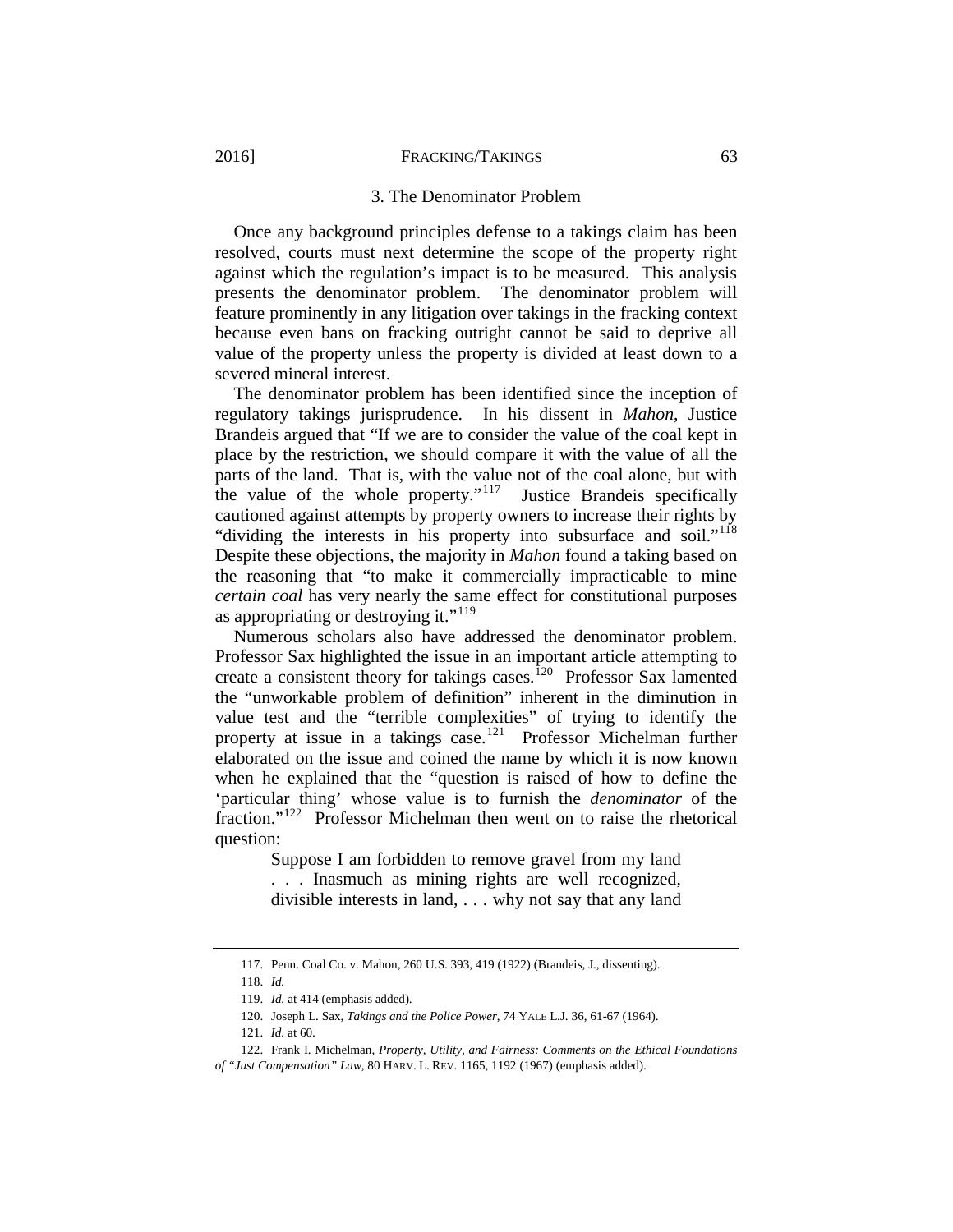#### 3. The Denominator Problem

<span id="page-27-0"></span>Once any background principles defense to a takings claim has been resolved, courts must next determine the scope of the property right against which the regulation's impact is to be measured. This analysis presents the denominator problem. The denominator problem will feature prominently in any litigation over takings in the fracking context because even bans on fracking outright cannot be said to deprive all value of the property unless the property is divided at least down to a severed mineral interest.

The denominator problem has been identified since the inception of regulatory takings jurisprudence. In his dissent in *Mahon*, Justice Brandeis argued that "If we are to consider the value of the coal kept in place by the restriction, we should compare it with the value of all the parts of the land. That is, with the value not of the coal alone, but with the value of the whole property." $117$  Justice Brandeis specifically cautioned against attempts by property owners to increase their rights by "dividing the interests in his property into subsurface and soil."<sup>118</sup> Despite these objections, the majority in *Mahon* found a taking based on the reasoning that "to make it commercially impracticable to mine *certain coal* has very nearly the same effect for constitutional purposes as appropriating or destroying it."<sup>119</sup>

Numerous scholars also have addressed the denominator problem. Professor Sax highlighted the issue in an important article attempting to create a consistent theory for takings cases.<sup>[120](#page-27-4)</sup> Professor Sax lamented the "unworkable problem of definition" inherent in the diminution in value test and the "terrible complexities" of trying to identify the property at issue in a takings case.<sup>[121](#page-27-5)</sup> Professor Michelman further elaborated on the issue and coined the name by which it is now known when he explained that the "question is raised of how to define the 'particular thing' whose value is to furnish the *denominator* of the fraction."[122](#page-27-6) Professor Michelman then went on to raise the rhetorical question:

> Suppose I am forbidden to remove gravel from my land . . . Inasmuch as mining rights are well recognized, divisible interests in land, . . . why not say that any land

<sup>117.</sup> Penn. Coal Co. v. Mahon, 260 U.S. 393, 419 (1922) (Brandeis, J., dissenting).

<sup>118.</sup> *Id.*

<sup>119.</sup> *Id.* at 414 (emphasis added).

<sup>120.</sup> Joseph L. Sax, *Takings and the Police Power*, 74 YALE L.J. 36, 61-67 (1964).

<sup>121.</sup> *Id.* at 60.

<span id="page-27-6"></span><span id="page-27-5"></span><span id="page-27-4"></span><span id="page-27-3"></span><span id="page-27-2"></span><span id="page-27-1"></span><sup>122.</sup> Frank I. Michelman, *Property, Utility, and Fairness: Comments on the Ethical Foundations of "Just Compensation" Law*, 80 HARV. L. REV. 1165, 1192 (1967) (emphasis added).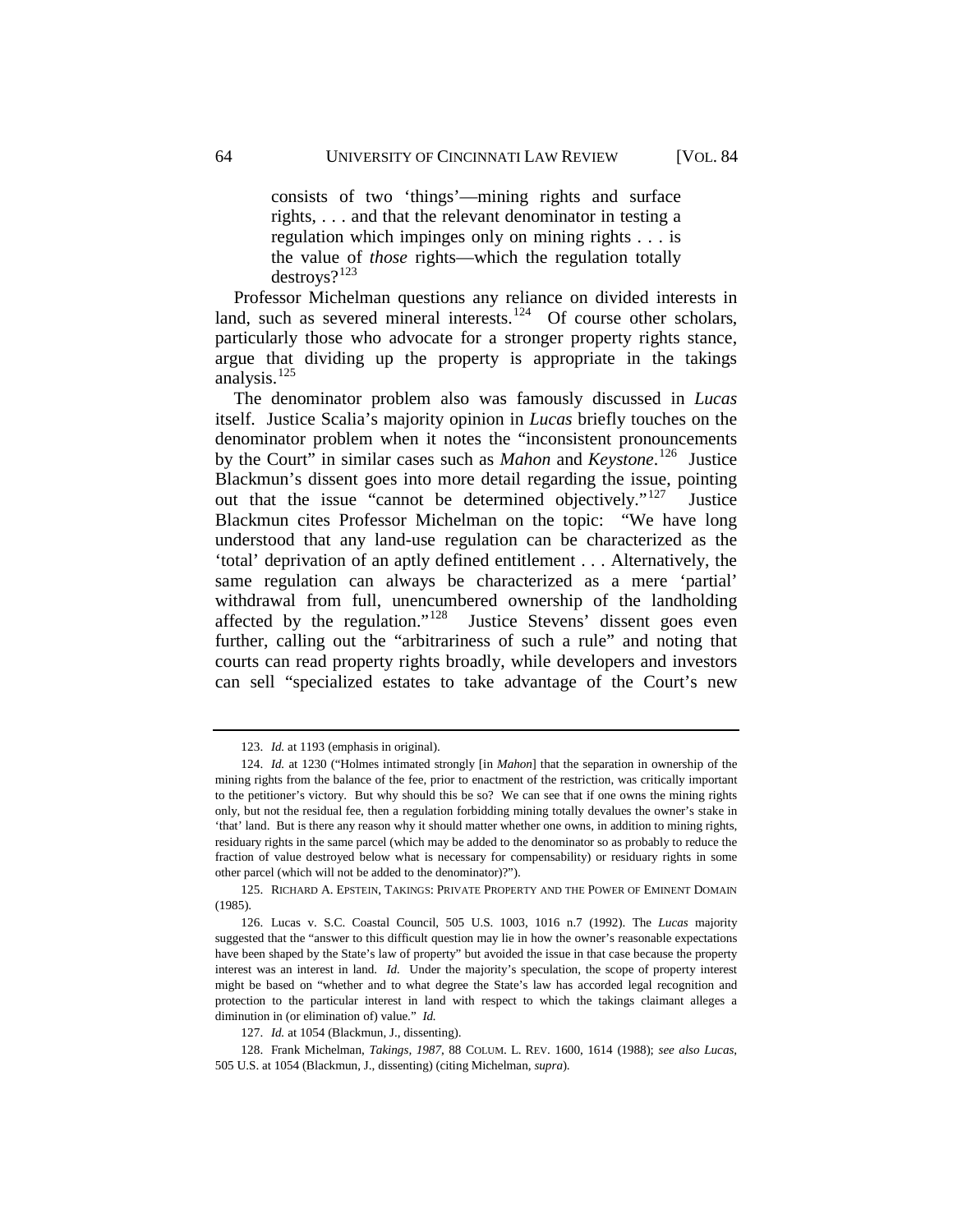consists of two 'things'—mining rights and surface rights, . . . and that the relevant denominator in testing a regulation which impinges only on mining rights . . . is the value of *those* rights—which the regulation totally destroys?[123](#page-28-0) 

Professor Michelman questions any reliance on divided interests in land, such as severed mineral interests. $124$  Of course other scholars, particularly those who advocate for a stronger property rights stance, argue that dividing up the property is appropriate in the takings analysis.<sup>[125](#page-28-2)</sup>

The denominator problem also was famously discussed in *Lucas* itself. Justice Scalia's majority opinion in *Lucas* briefly touches on the denominator problem when it notes the "inconsistent pronouncements by the Court" in similar cases such as *Mahon* and *Keystone*. [126](#page-28-3) Justice Blackmun's dissent goes into more detail regarding the issue, pointing out that the issue "cannot be determined objectively."<sup>[127](#page-28-4)</sup> Justice Blackmun cites Professor Michelman on the topic: "We have long understood that any land-use regulation can be characterized as the 'total' deprivation of an aptly defined entitlement . . . Alternatively, the same regulation can always be characterized as a mere 'partial' withdrawal from full, unencumbered ownership of the landholding affected by the regulation."<sup>128</sup> Justice Stevens' dissent goes even further, calling out the "arbitrariness of such a rule" and noting that courts can read property rights broadly, while developers and investors can sell "specialized estates to take advantage of the Court's new

<sup>123.</sup> *Id.* at 1193 (emphasis in original).

<span id="page-28-1"></span><span id="page-28-0"></span><sup>124.</sup> *Id.* at 1230 ("Holmes intimated strongly [in *Mahon*] that the separation in ownership of the mining rights from the balance of the fee, prior to enactment of the restriction, was critically important to the petitioner's victory. But why should this be so? We can see that if one owns the mining rights only, but not the residual fee, then a regulation forbidding mining totally devalues the owner's stake in 'that' land. But is there any reason why it should matter whether one owns, in addition to mining rights, residuary rights in the same parcel (which may be added to the denominator so as probably to reduce the fraction of value destroyed below what is necessary for compensability) or residuary rights in some other parcel (which will not be added to the denominator)?").

<span id="page-28-2"></span><sup>125.</sup> RICHARD A. EPSTEIN, TAKINGS: PRIVATE PROPERTY AND THE POWER OF EMINENT DOMAIN (1985).

<span id="page-28-3"></span><sup>126.</sup> Lucas v. S.C. Coastal Council, 505 U.S. 1003, 1016 n.7 (1992). The *Lucas* majority suggested that the "answer to this difficult question may lie in how the owner's reasonable expectations have been shaped by the State's law of property" but avoided the issue in that case because the property interest was an interest in land. *Id.* Under the majority's speculation, the scope of property interest might be based on "whether and to what degree the State's law has accorded legal recognition and protection to the particular interest in land with respect to which the takings claimant alleges a diminution in (or elimination of) value." *Id.*

<sup>127.</sup> *Id.* at 1054 (Blackmun, J., dissenting).

<span id="page-28-5"></span><span id="page-28-4"></span><sup>128.</sup> Frank Michelman, *Takings, 1987*, 88 COLUM. L. REV. 1600, 1614 (1988); *see also Lucas*, 505 U.S. at 1054 (Blackmun, J., dissenting) (citing Michelman, *supra*).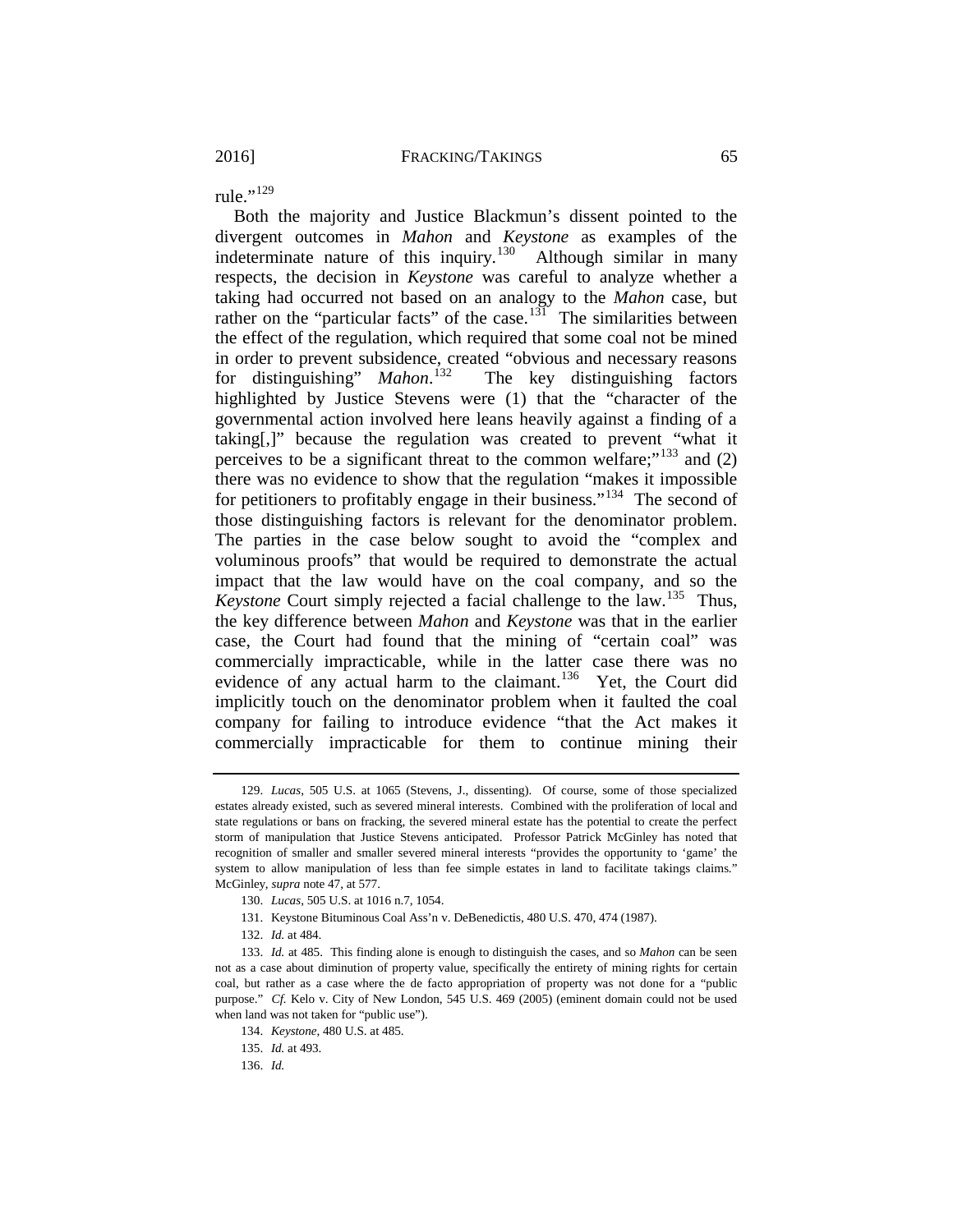rule." $^{129}$  $^{129}$  $^{129}$ 

Both the majority and Justice Blackmun's dissent pointed to the divergent outcomes in *Mahon* and *Keystone* as examples of the indeterminate nature of this inquiry.<sup>[130](#page-29-1)</sup> Although similar in many respects, the decision in *Keystone* was careful to analyze whether a taking had occurred not based on an analogy to the *Mahon* case, but rather on the "particular facts" of the case.<sup>131</sup> The similarities between the effect of the regulation, which required that some coal not be mined in order to prevent subsidence, created "obvious and necessary reasons for distinguishing" *Mahon*. The key distinguishing factors highlighted by Justice Stevens were (1) that the "character of the governmental action involved here leans heavily against a finding of a taking[,]" because the regulation was created to prevent "what it perceives to be a significant threat to the common welfare;"<sup>[133](#page-29-4)</sup> and  $(2)$ there was no evidence to show that the regulation "makes it impossible for petitioners to profitably engage in their business."<sup>134</sup> The second of those distinguishing factors is relevant for the denominator problem. The parties in the case below sought to avoid the "complex and voluminous proofs" that would be required to demonstrate the actual impact that the law would have on the coal company, and so the *Keystone* Court simply rejected a facial challenge to the law.<sup>[135](#page-29-6)</sup> Thus, the key difference between *Mahon* and *Keystone* was that in the earlier case, the Court had found that the mining of "certain coal" was commercially impracticable, while in the latter case there was no evidence of any actual harm to the claimant.<sup>[136](#page-29-7)</sup> Yet, the Court did implicitly touch on the denominator problem when it faulted the coal company for failing to introduce evidence "that the Act makes it commercially impracticable for them to continue mining their

<span id="page-29-0"></span><sup>129.</sup> *Lucas*, 505 U.S. at 1065 (Stevens, J., dissenting). Of course, some of those specialized estates already existed, such as severed mineral interests. Combined with the proliferation of local and state regulations or bans on fracking, the severed mineral estate has the potential to create the perfect storm of manipulation that Justice Stevens anticipated. Professor Patrick McGinley has noted that recognition of smaller and smaller severed mineral interests "provides the opportunity to 'game' the system to allow manipulation of less than fee simple estates in land to facilitate takings claims." McGinley, *supra* not[e 47,](#page-16-3) at 577.

<sup>130.</sup> *Lucas*, 505 U.S. at 1016 n.7, 1054.

<sup>131.</sup> Keystone Bituminous Coal Ass'n v. DeBenedictis, 480 U.S. 470, 474 (1987).

<sup>132.</sup> *Id.* at 484.

<span id="page-29-6"></span><span id="page-29-5"></span><span id="page-29-4"></span><span id="page-29-3"></span><span id="page-29-2"></span><span id="page-29-1"></span><sup>133.</sup> *Id.* at 485. This finding alone is enough to distinguish the cases, and so *Mahon* can be seen not as a case about diminution of property value, specifically the entirety of mining rights for certain coal, but rather as a case where the de facto appropriation of property was not done for a "public purpose." Cf. Kelo v. City of New London, 545 U.S. 469 (2005) (eminent domain could not be used when land was not taken for "public use").

<sup>134.</sup> *Keystone*, 480 U.S. at 485.

<span id="page-29-7"></span><sup>135.</sup> *Id.* at 493.

<sup>136.</sup> *Id.*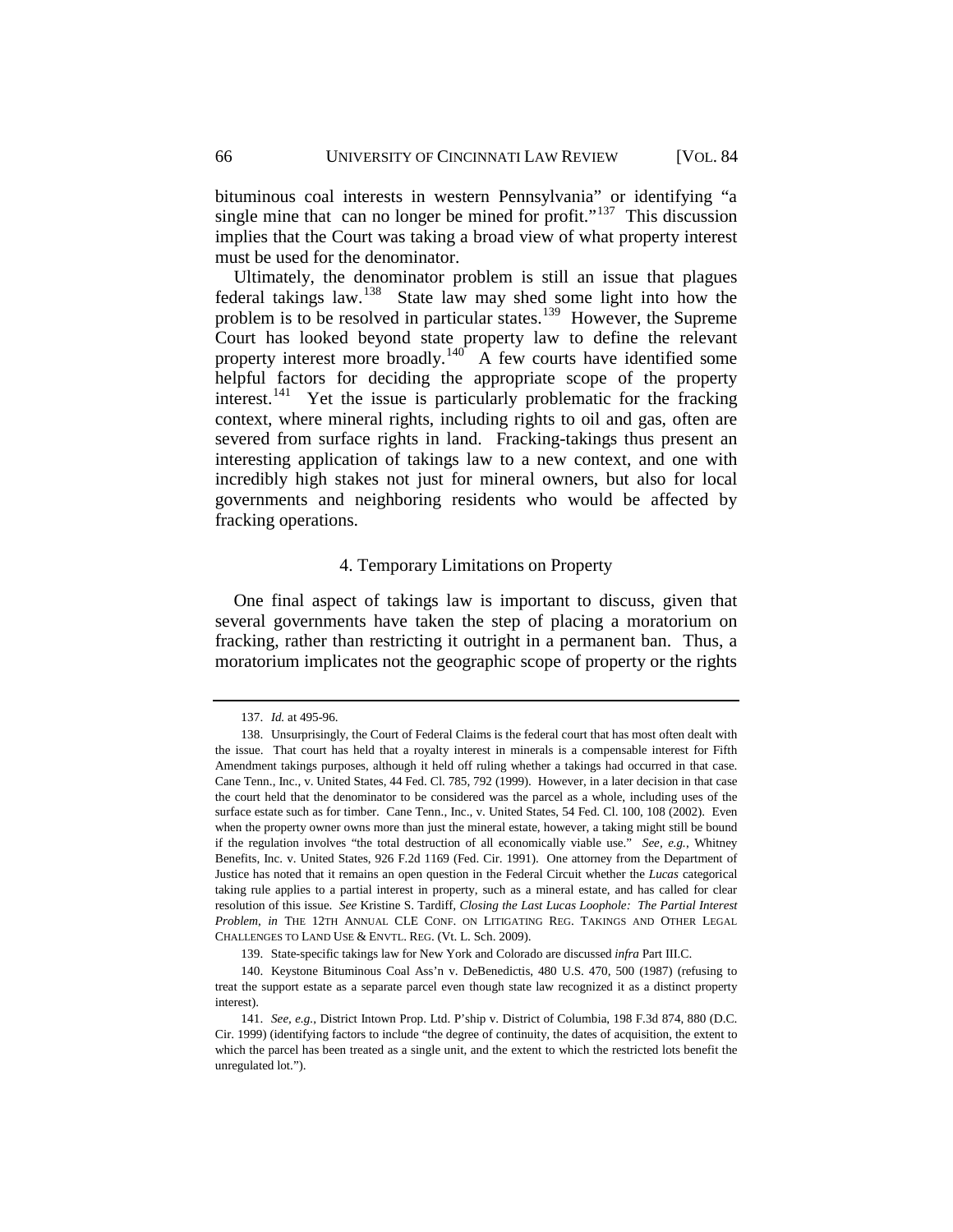bituminous coal interests in western Pennsylvania" or identifying "a single mine that can no longer be mined for profit."<sup>[137](#page-30-1)</sup> This discussion implies that the Court was taking a broad view of what property interest must be used for the denominator.

Ultimately, the denominator problem is still an issue that plagues federal takings law.[138](#page-30-2) State law may shed some light into how the problem is to be resolved in particular states.[139](#page-30-3) However, the Supreme Court has looked beyond state property law to define the relevant property interest more broadly.<sup>[140](#page-30-4)</sup> A few courts have identified some helpful factors for deciding the appropriate scope of the property interest.<sup>141</sup> Yet the issue is particularly problematic for the fracking context, where mineral rights, including rights to oil and gas, often are severed from surface rights in land. Fracking-takings thus present an interesting application of takings law to a new context, and one with incredibly high stakes not just for mineral owners, but also for local governments and neighboring residents who would be affected by fracking operations.

## 4. Temporary Limitations on Property

<span id="page-30-0"></span>One final aspect of takings law is important to discuss, given that several governments have taken the step of placing a moratorium on fracking, rather than restricting it outright in a permanent ban. Thus, a moratorium implicates not the geographic scope of property or the rights

<sup>137.</sup> *Id.* at 495-96.

<span id="page-30-2"></span><span id="page-30-1"></span><sup>138.</sup> Unsurprisingly, the Court of Federal Claims is the federal court that has most often dealt with the issue. That court has held that a royalty interest in minerals is a compensable interest for Fifth Amendment takings purposes, although it held off ruling whether a takings had occurred in that case. Cane Tenn., Inc., v. United States, 44 Fed. Cl. 785, 792 (1999). However, in a later decision in that case the court held that the denominator to be considered was the parcel as a whole, including uses of the surface estate such as for timber. Cane Tenn., Inc., v. United States, 54 Fed. Cl. 100, 108 (2002). Even when the property owner owns more than just the mineral estate, however, a taking might still be bound if the regulation involves "the total destruction of all economically viable use." *See, e.g.*, Whitney Benefits, Inc. v. United States, 926 F.2d 1169 (Fed. Cir. 1991). One attorney from the Department of Justice has noted that it remains an open question in the Federal Circuit whether the *Lucas* categorical taking rule applies to a partial interest in property, such as a mineral estate, and has called for clear resolution of this issue. *See* Kristine S. Tardiff*, Closing the Last Lucas Loophole: The Partial Interest Problem*, *in* THE 12TH ANNUAL CLE CONF. ON LITIGATING REG. TAKINGS AND OTHER LEGAL CHALLENGES TO LAND USE & ENVTL. REG. (Vt. L. Sch. 2009).

<sup>139.</sup> State-specific takings law for New York and Colorado are discussed *infra* Part III.C.

<span id="page-30-4"></span><span id="page-30-3"></span><sup>140.</sup> Keystone Bituminous Coal Ass'n v. DeBenedictis, 480 U.S. 470, 500 (1987) (refusing to treat the support estate as a separate parcel even though state law recognized it as a distinct property interest).

<span id="page-30-5"></span><sup>141.</sup> *See, e.g.*, District Intown Prop. Ltd. P'ship v. District of Columbia, 198 F.3d 874, 880 (D.C. Cir. 1999) (identifying factors to include "the degree of continuity, the dates of acquisition, the extent to which the parcel has been treated as a single unit, and the extent to which the restricted lots benefit the unregulated lot.").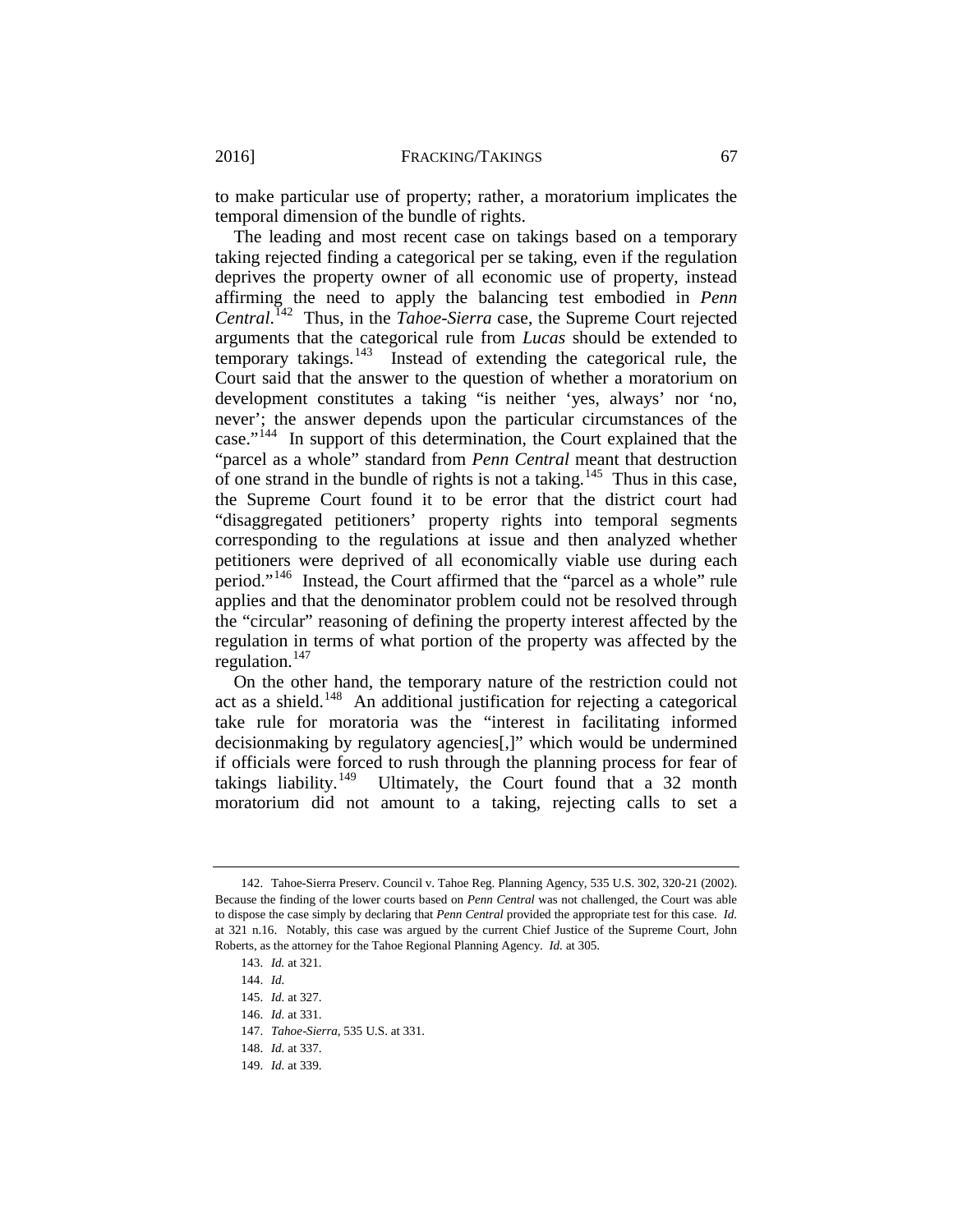to make particular use of property; rather, a moratorium implicates the temporal dimension of the bundle of rights.

The leading and most recent case on takings based on a temporary taking rejected finding a categorical per se taking, even if the regulation deprives the property owner of all economic use of property, instead affirming the need to apply the balancing test embodied in *Penn Central*. [142](#page-31-0) Thus, in the *Tahoe-Sierra* case, the Supreme Court rejected arguments that the categorical rule from *Lucas* should be extended to temporary takings. $143$  Instead of extending the categorical rule, the Court said that the answer to the question of whether a moratorium on development constitutes a taking "is neither 'yes, always' nor 'no, never'; the answer depends upon the particular circumstances of the case."[144](#page-31-2) In support of this determination, the Court explained that the "parcel as a whole" standard from *Penn Central* meant that destruction of one strand in the bundle of rights is not a taking.<sup>[145](#page-31-3)</sup> Thus in this case, the Supreme Court found it to be error that the district court had "disaggregated petitioners' property rights into temporal segments corresponding to the regulations at issue and then analyzed whether petitioners were deprived of all economically viable use during each period."[146](#page-31-4) Instead, the Court affirmed that the "parcel as a whole" rule applies and that the denominator problem could not be resolved through the "circular" reasoning of defining the property interest affected by the regulation in terms of what portion of the property was affected by the regulation. $147$ 

On the other hand, the temporary nature of the restriction could not act as a shield.<sup>[148](#page-31-6)</sup> An additional justification for rejecting a categorical take rule for moratoria was the "interest in facilitating informed decisionmaking by regulatory agencies[,]" which would be undermined if officials were forced to rush through the planning process for fear of takings liability.<sup>[149](#page-31-7)</sup> Ultimately, the Court found that a 32 month moratorium did not amount to a taking, rejecting calls to set a

<span id="page-31-2"></span><span id="page-31-1"></span><span id="page-31-0"></span><sup>142.</sup> Tahoe-Sierra Preserv. Council v. Tahoe Reg. Planning Agency, 535 U.S. 302, 320-21 (2002). Because the finding of the lower courts based on *Penn Central* was not challenged, the Court was able to dispose the case simply by declaring that *Penn Central* provided the appropriate test for this case. *Id.* at 321 n.16. Notably, this case was argued by the current Chief Justice of the Supreme Court, John Roberts, as the attorney for the Tahoe Regional Planning Agency. *Id.* at 305.

<sup>143.</sup> *Id.* at 321.

<sup>144.</sup> *Id.*

<sup>145.</sup> *Id.* at 327.

<span id="page-31-6"></span><span id="page-31-5"></span><span id="page-31-4"></span><span id="page-31-3"></span><sup>146.</sup> *Id.* at 331.

<sup>147.</sup> *Tahoe-Sierra*, 535 U.S. at 331.

<sup>148.</sup> *Id.* at 337.

<span id="page-31-7"></span><sup>149.</sup> *Id.* at 339.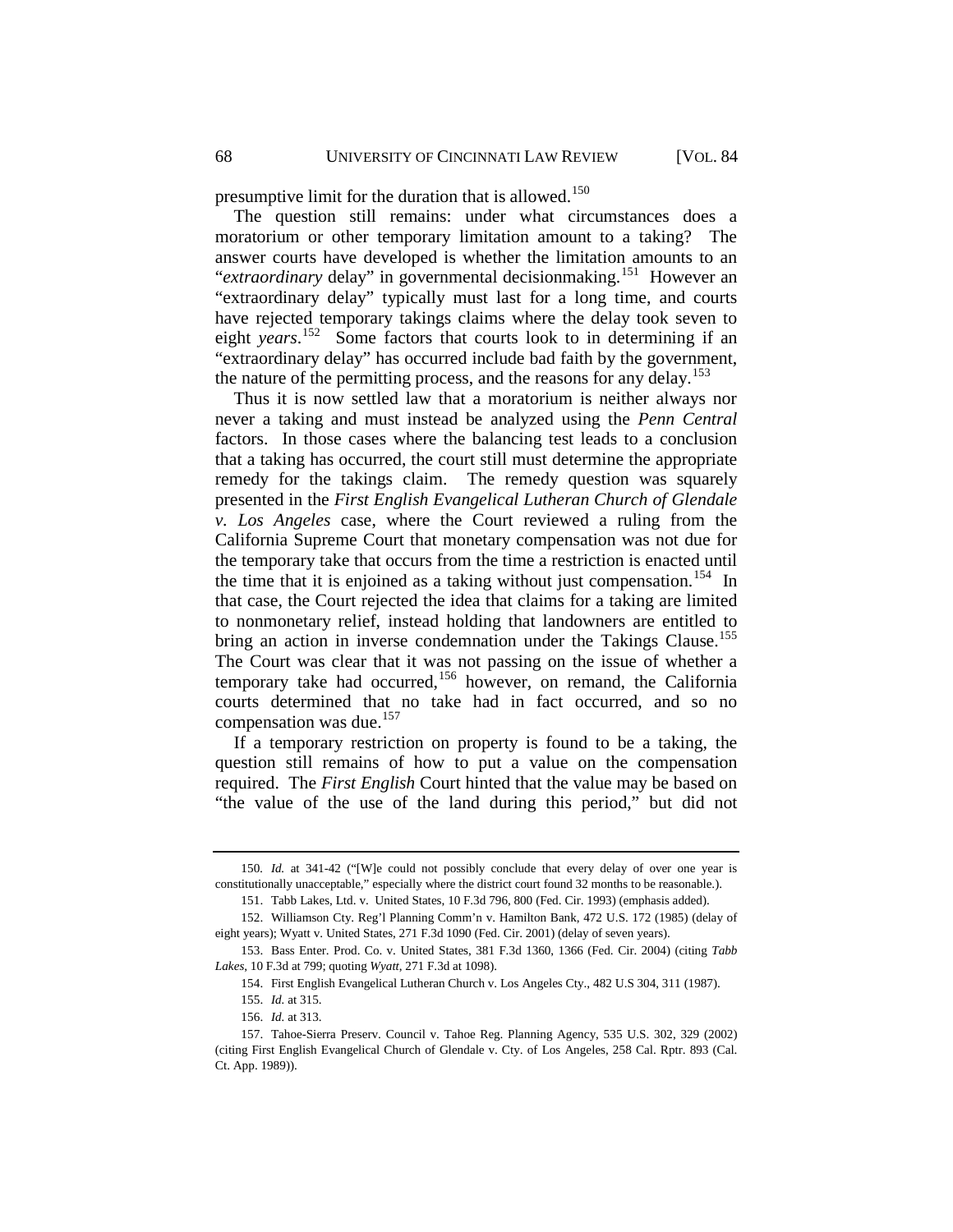presumptive limit for the duration that is allowed.<sup>[150](#page-32-0)</sup>

The question still remains: under what circumstances does a moratorium or other temporary limitation amount to a taking? The answer courts have developed is whether the limitation amounts to an "*extraordinary* delay" in governmental decisionmaking.<sup>151</sup> However an "extraordinary delay" typically must last for a long time, and courts have rejected temporary takings claims where the delay took seven to eight *years*. [152](#page-32-2) Some factors that courts look to in determining if an "extraordinary delay" has occurred include bad faith by the government, the nature of the permitting process, and the reasons for any delay.<sup>[153](#page-32-3)</sup>

Thus it is now settled law that a moratorium is neither always nor never a taking and must instead be analyzed using the *Penn Central* factors. In those cases where the balancing test leads to a conclusion that a taking has occurred, the court still must determine the appropriate remedy for the takings claim. The remedy question was squarely presented in the *First English Evangelical Lutheran Church of Glendale v. Los Angeles* case, where the Court reviewed a ruling from the California Supreme Court that monetary compensation was not due for the temporary take that occurs from the time a restriction is enacted until the time that it is enjoined as a taking without just compensation.<sup>[154](#page-32-4)</sup> In that case, the Court rejected the idea that claims for a taking are limited to nonmonetary relief, instead holding that landowners are entitled to bring an action in inverse condemnation under the Takings Clause.<sup>155</sup> The Court was clear that it was not passing on the issue of whether a temporary take had occurred,<sup>[156](#page-32-6)</sup> however, on remand, the California courts determined that no take had in fact occurred, and so no compensation was due.<sup>[157](#page-32-7)</sup>

If a temporary restriction on property is found to be a taking, the question still remains of how to put a value on the compensation required. The *First English* Court hinted that the value may be based on "the value of the use of the land during this period," but did not

<span id="page-32-0"></span><sup>150</sup>*. Id.* at 341-42 ("[W]e could not possibly conclude that every delay of over one year is constitutionally unacceptable," especially where the district court found 32 months to be reasonable.).

<sup>151.</sup> Tabb Lakes, Ltd. v. United States, 10 F.3d 796, 800 (Fed. Cir. 1993) (emphasis added).

<span id="page-32-2"></span><span id="page-32-1"></span><sup>152.</sup> Williamson Cty. Reg'l Planning Comm'n v. Hamilton Bank, 472 U.S. 172 (1985) (delay of eight years); Wyatt v. United States, 271 F.3d 1090 (Fed. Cir. 2001) (delay of seven years).

<span id="page-32-4"></span><span id="page-32-3"></span><sup>153.</sup> Bass Enter. Prod. Co. v. United States, 381 F.3d 1360, 1366 (Fed. Cir. 2004) (citing *Tabb Lakes*, 10 F.3d at 799; quoting *Wyatt*, 271 F.3d at 1098).

<sup>154.</sup> First English Evangelical Lutheran Church v. Los Angeles Cty., 482 U.S 304, 311 (1987).

<sup>155.</sup> *Id.* at 315.

<sup>156.</sup> *Id.* at 313.

<span id="page-32-7"></span><span id="page-32-6"></span><span id="page-32-5"></span><sup>157.</sup> Tahoe-Sierra Preserv. Council v. Tahoe Reg. Planning Agency, 535 U.S. 302, 329 (2002) (citing First English Evangelical Church of Glendale v. Cty. of Los Angeles, 258 Cal. Rptr. 893 (Cal. Ct. App. 1989)).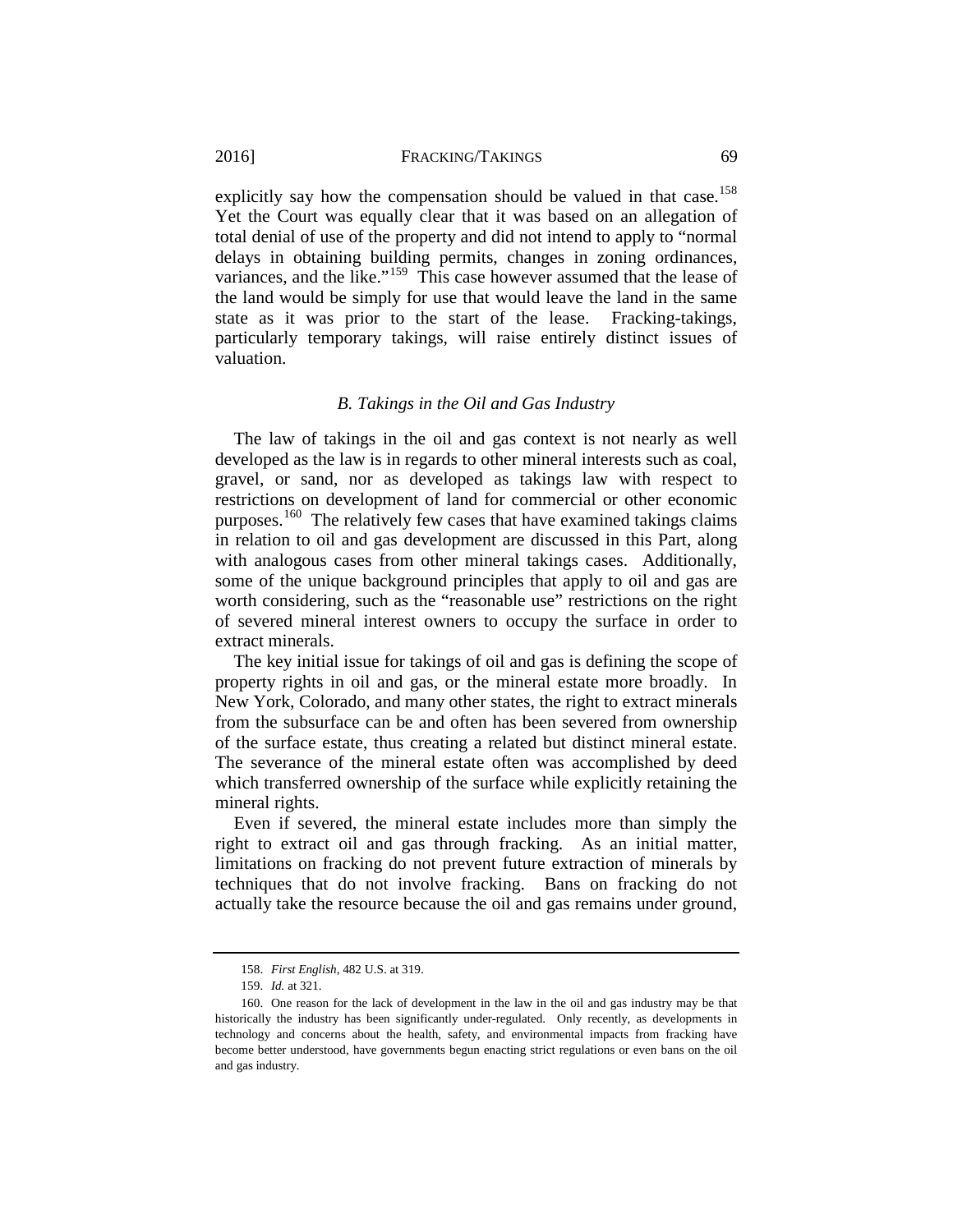explicitly say how the compensation should be valued in that case.<sup>158</sup> Yet the Court was equally clear that it was based on an allegation of total denial of use of the property and did not intend to apply to "normal delays in obtaining building permits, changes in zoning ordinances, variances, and the like."<sup>[159](#page-33-2)</sup> This case however assumed that the lease of the land would be simply for use that would leave the land in the same state as it was prior to the start of the lease. Fracking-takings, particularly temporary takings, will raise entirely distinct issues of valuation.

## *B. Takings in the Oil and Gas Industry*

<span id="page-33-0"></span>The law of takings in the oil and gas context is not nearly as well developed as the law is in regards to other mineral interests such as coal, gravel, or sand, nor as developed as takings law with respect to restrictions on development of land for commercial or other economic purposes.<sup>[160](#page-33-3)</sup> The relatively few cases that have examined takings claims in relation to oil and gas development are discussed in this Part, along with analogous cases from other mineral takings cases. Additionally, some of the unique background principles that apply to oil and gas are worth considering, such as the "reasonable use" restrictions on the right of severed mineral interest owners to occupy the surface in order to extract minerals.

The key initial issue for takings of oil and gas is defining the scope of property rights in oil and gas, or the mineral estate more broadly. In New York, Colorado, and many other states, the right to extract minerals from the subsurface can be and often has been severed from ownership of the surface estate, thus creating a related but distinct mineral estate. The severance of the mineral estate often was accomplished by deed which transferred ownership of the surface while explicitly retaining the mineral rights.

Even if severed, the mineral estate includes more than simply the right to extract oil and gas through fracking. As an initial matter, limitations on fracking do not prevent future extraction of minerals by techniques that do not involve fracking. Bans on fracking do not actually take the resource because the oil and gas remains under ground,

<sup>158.</sup> *First English*, 482 U.S. at 319.

<sup>159.</sup> *Id.* at 321.

<span id="page-33-3"></span><span id="page-33-2"></span><span id="page-33-1"></span><sup>160.</sup> One reason for the lack of development in the law in the oil and gas industry may be that historically the industry has been significantly under-regulated. Only recently, as developments in technology and concerns about the health, safety, and environmental impacts from fracking have become better understood, have governments begun enacting strict regulations or even bans on the oil and gas industry.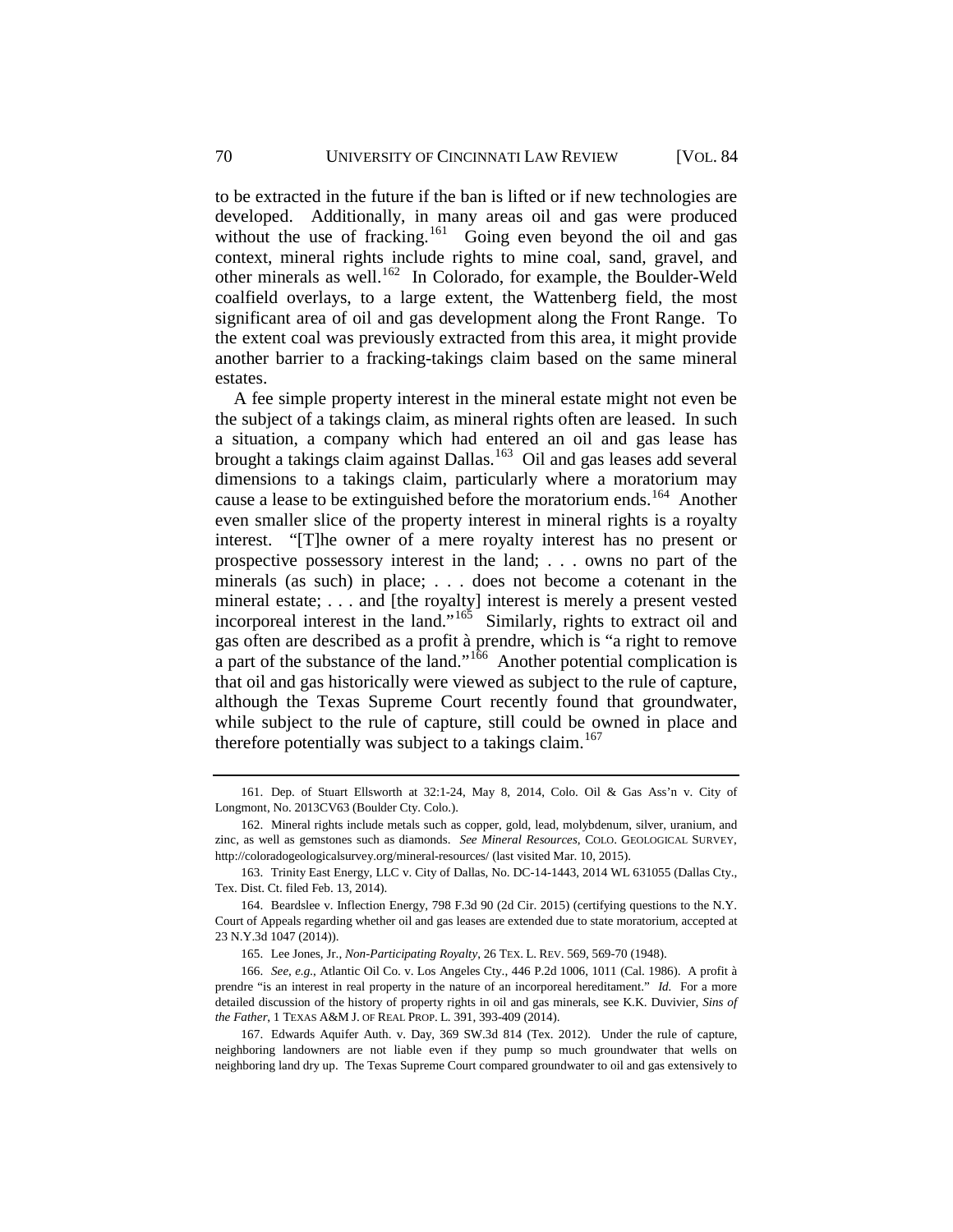to be extracted in the future if the ban is lifted or if new technologies are developed. Additionally, in many areas oil and gas were produced without the use of fracking.<sup>161</sup> Going even beyond the oil and gas context, mineral rights include rights to mine coal, sand, gravel, and other minerals as well.[162](#page-34-1) In Colorado, for example, the Boulder-Weld coalfield overlays, to a large extent, the Wattenberg field, the most significant area of oil and gas development along the Front Range. To the extent coal was previously extracted from this area, it might provide another barrier to a fracking-takings claim based on the same mineral estates.

A fee simple property interest in the mineral estate might not even be the subject of a takings claim, as mineral rights often are leased. In such a situation, a company which had entered an oil and gas lease has brought a takings claim against Dallas.<sup>163</sup> Oil and gas leases add several dimensions to a takings claim, particularly where a moratorium may cause a lease to be extinguished before the moratorium ends.<sup>[164](#page-34-3)</sup> Another even smaller slice of the property interest in mineral rights is a royalty interest. "[T]he owner of a mere royalty interest has no present or prospective possessory interest in the land; . . . owns no part of the minerals (as such) in place; . . . does not become a cotenant in the mineral estate; . . . and [the royalty] interest is merely a present vested incorporeal interest in the land."<sup>165</sup> Similarly, rights to extract oil and gas often are described as a profit à prendre, which is "a right to remove a part of the substance of the land."<sup>166</sup> Another potential complication is that oil and gas historically were viewed as subject to the rule of capture, although the Texas Supreme Court recently found that groundwater, while subject to the rule of capture, still could be owned in place and therefore potentially was subject to a takings claim.<sup>[167](#page-34-6)</sup>

<span id="page-34-0"></span><sup>161.</sup> Dep. of Stuart Ellsworth at 32:1-24, May 8, 2014, Colo. Oil & Gas Ass'n v. City of Longmont, No. 2013CV63 (Boulder Cty. Colo.).

<span id="page-34-1"></span><sup>162.</sup> Mineral rights include metals such as copper, gold, lead, molybdenum, silver, uranium, and zinc, as well as gemstones such as diamonds. *See Mineral Resources*, COLO. GEOLOGICAL SURVEY, http://coloradogeologicalsurvey.org/mineral-resources/ (last visited Mar. 10, 2015).

<span id="page-34-2"></span><sup>163.</sup> Trinity East Energy, LLC v. City of Dallas, No. DC-14-1443, 2014 WL 631055 (Dallas Cty., Tex. Dist. Ct. filed Feb. 13, 2014).

<span id="page-34-3"></span><sup>164.</sup> Beardslee v. Inflection Energy, 798 F.3d 90 (2d Cir. 2015) (certifying questions to the N.Y. Court of Appeals regarding whether oil and gas leases are extended due to state moratorium, accepted at 23 N.Y.3d 1047 (2014)).

<sup>165.</sup> Lee Jones, Jr., *Non-Participating Royalty*, 26 TEX. L. REV. 569, 569-70 (1948).

<span id="page-34-5"></span><span id="page-34-4"></span><sup>166.</sup> *See, e.g.*, Atlantic Oil Co. v. Los Angeles Cty., 446 P.2d 1006, 1011 (Cal. 1986). A profit à prendre "is an interest in real property in the nature of an incorporeal hereditament." *Id.* For a more detailed discussion of the history of property rights in oil and gas minerals, see K.K. Duvivier, *Sins of the Father*, 1 TEXAS A&M J. OF REAL PROP. L. 391, 393-409 (2014).

<span id="page-34-6"></span><sup>167.</sup> Edwards Aquifer Auth. v. Day, 369 SW.3d 814 (Tex. 2012). Under the rule of capture, neighboring landowners are not liable even if they pump so much groundwater that wells on neighboring land dry up. The Texas Supreme Court compared groundwater to oil and gas extensively to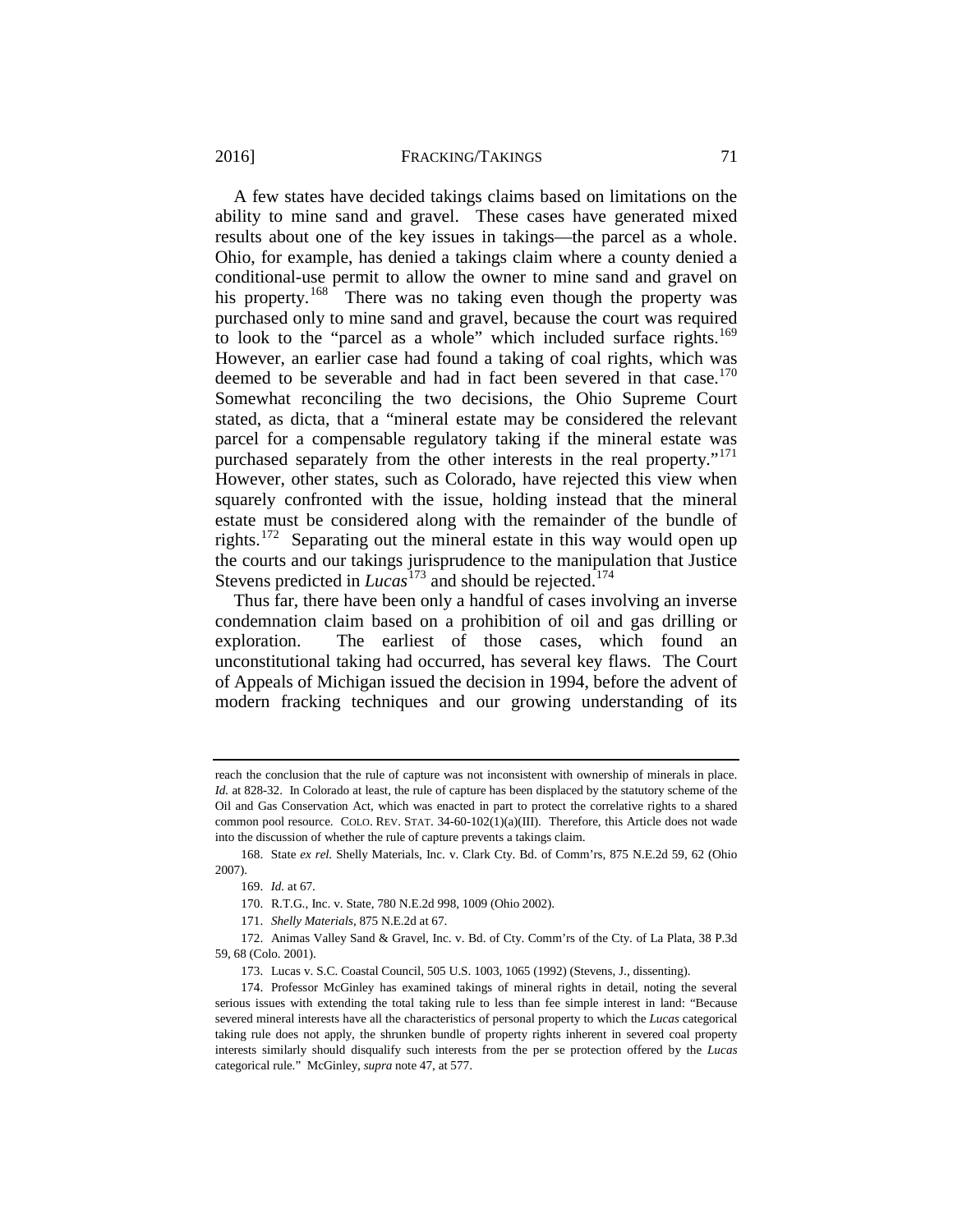#### 2016] FRACKING/TAKINGS 71

A few states have decided takings claims based on limitations on the ability to mine sand and gravel. These cases have generated mixed results about one of the key issues in takings—the parcel as a whole. Ohio, for example, has denied a takings claim where a county denied a conditional-use permit to allow the owner to mine sand and gravel on his property.<sup>168</sup> There was no taking even though the property was purchased only to mine sand and gravel, because the court was required to look to the "parcel as a whole" which included surface rights.<sup>169</sup> However, an earlier case had found a taking of coal rights, which was deemed to be severable and had in fact been severed in that case.<sup>170</sup> Somewhat reconciling the two decisions, the Ohio Supreme Court stated, as dicta, that a "mineral estate may be considered the relevant parcel for a compensable regulatory taking if the mineral estate was purchased separately from the other interests in the real property."<sup>171</sup> However, other states, such as Colorado, have rejected this view when squarely confronted with the issue, holding instead that the mineral estate must be considered along with the remainder of the bundle of rights.[172](#page-35-4) Separating out the mineral estate in this way would open up the courts and our takings jurisprudence to the manipulation that Justice Stevens predicted in *Lucas*<sup>[173](#page-35-5)</sup> and should be rejected.<sup>174</sup>

Thus far, there have been only a handful of cases involving an inverse condemnation claim based on a prohibition of oil and gas drilling or exploration. The earliest of those cases, which found an unconstitutional taking had occurred, has several key flaws. The Court of Appeals of Michigan issued the decision in 1994, before the advent of modern fracking techniques and our growing understanding of its

reach the conclusion that the rule of capture was not inconsistent with ownership of minerals in place. *Id.* at 828-32. In Colorado at least, the rule of capture has been displaced by the statutory scheme of the Oil and Gas Conservation Act, which was enacted in part to protect the correlative rights to a shared common pool resource. COLO. REV. STAT. 34-60-102(1)(a)(III). Therefore, this Article does not wade into the discussion of whether the rule of capture prevents a takings claim.

<span id="page-35-1"></span><span id="page-35-0"></span><sup>168.</sup> State *ex rel.* Shelly Materials, Inc. v. Clark Cty. Bd. of Comm'rs, 875 N.E.2d 59, 62 (Ohio 2007).

<sup>169.</sup> *Id.* at 67.

<sup>170.</sup> R.T.G., Inc. v. State, 780 N.E.2d 998, 1009 (Ohio 2002).

<sup>171.</sup> *Shelly Materials*, 875 N.E.2d at 67.

<span id="page-35-4"></span><span id="page-35-3"></span><span id="page-35-2"></span><sup>172.</sup> Animas Valley Sand & Gravel, Inc. v. Bd. of Cty. Comm'rs of the Cty. of La Plata, 38 P.3d 59, 68 (Colo. 2001).

<sup>173.</sup> Lucas v. S.C. Coastal Council, 505 U.S. 1003, 1065 (1992) (Stevens, J., dissenting).

<span id="page-35-6"></span><span id="page-35-5"></span><sup>174.</sup> Professor McGinley has examined takings of mineral rights in detail, noting the several serious issues with extending the total taking rule to less than fee simple interest in land: "Because severed mineral interests have all the characteristics of personal property to which the *Lucas* categorical taking rule does not apply, the shrunken bundle of property rights inherent in severed coal property interests similarly should disqualify such interests from the per se protection offered by the *Lucas* categorical rule." McGinley, *supra* note [47,](#page-16-3) at 577.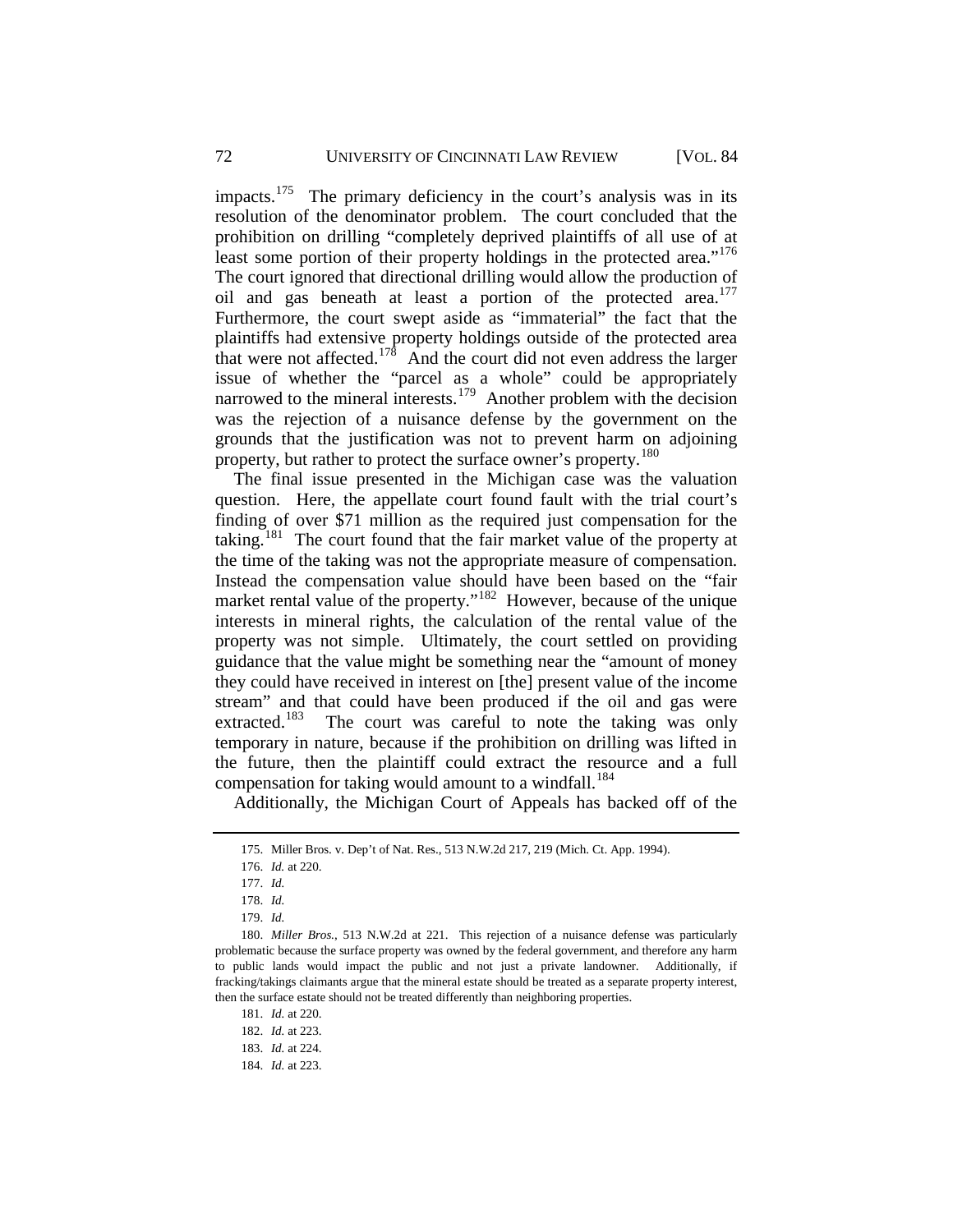impacts.<sup>[175](#page-36-0)</sup> The primary deficiency in the court's analysis was in its resolution of the denominator problem. The court concluded that the prohibition on drilling "completely deprived plaintiffs of all use of at least some portion of their property holdings in the protected area."<sup>176</sup> The court ignored that directional drilling would allow the production of oil and gas beneath at least a portion of the protected area.<sup>177</sup> Furthermore, the court swept aside as "immaterial" the fact that the plaintiffs had extensive property holdings outside of the protected area that were not affected.<sup>[178](#page-36-3)</sup> And the court did not even address the larger issue of whether the "parcel as a whole" could be appropriately narrowed to the mineral interests.<sup>179</sup> Another problem with the decision was the rejection of a nuisance defense by the government on the grounds that the justification was not to prevent harm on adjoining property, but rather to protect the surface owner's property.<sup>180</sup>

The final issue presented in the Michigan case was the valuation question. Here, the appellate court found fault with the trial court's finding of over \$71 million as the required just compensation for the taking.<sup>181</sup> The court found that the fair market value of the property at the time of the taking was not the appropriate measure of compensation. Instead the compensation value should have been based on the "fair market rental value of the property."<sup>[182](#page-36-7)</sup> However, because of the unique interests in mineral rights, the calculation of the rental value of the property was not simple. Ultimately, the court settled on providing guidance that the value might be something near the "amount of money they could have received in interest on [the] present value of the income stream" and that could have been produced if the oil and gas were<br>extracted.<sup>183</sup> The court was careful to note the taking was only The court was careful to note the taking was only temporary in nature, because if the prohibition on drilling was lifted in the future, then the plaintiff could extract the resource and a full compensation for taking would amount to a windfall.<sup>[184](#page-36-9)</sup>

Additionally, the Michigan Court of Appeals has backed off of the

<sup>175.</sup> Miller Bros. v. Dep't of Nat. Res., 513 N.W.2d 217, 219 (Mich. Ct. App. 1994).

<sup>176.</sup> *Id.* at 220.

<sup>177.</sup> *Id.*

<sup>178.</sup> *Id.*

<sup>179.</sup> *Id.*

<span id="page-36-7"></span><span id="page-36-6"></span><span id="page-36-5"></span><span id="page-36-4"></span><span id="page-36-3"></span><span id="page-36-2"></span><span id="page-36-1"></span><span id="page-36-0"></span><sup>180.</sup> *Miller Bros.*, 513 N.W.2d at 221. This rejection of a nuisance defense was particularly problematic because the surface property was owned by the federal government, and therefore any harm to public lands would impact the public and not just a private landowner. Additionally, if fracking/takings claimants argue that the mineral estate should be treated as a separate property interest, then the surface estate should not be treated differently than neighboring properties.

<sup>181.</sup> *Id.* at 220.

<sup>182.</sup> *Id.* at 223.

<span id="page-36-9"></span><span id="page-36-8"></span><sup>183.</sup> *Id.* at 224.

<sup>184.</sup> *Id.* at 223.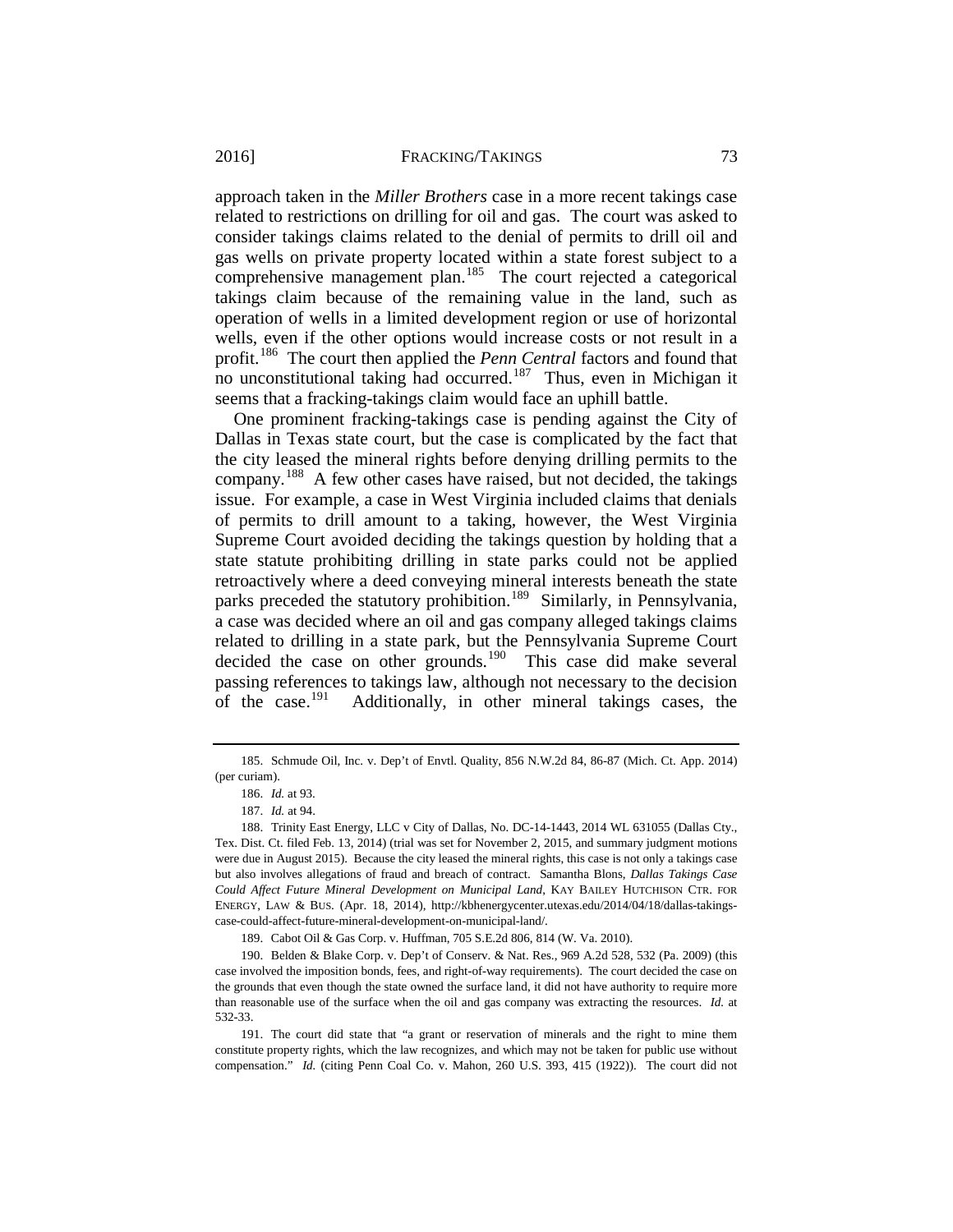approach taken in the *Miller Brothers* case in a more recent takings case related to restrictions on drilling for oil and gas. The court was asked to consider takings claims related to the denial of permits to drill oil and gas wells on private property located within a state forest subject to a comprehensive management plan.<sup>[185](#page-37-0)</sup> The court rejected a categorical takings claim because of the remaining value in the land, such as operation of wells in a limited development region or use of horizontal wells, even if the other options would increase costs or not result in a profit.[186](#page-37-1) The court then applied the *Penn Central* factors and found that no unconstitutional taking had occurred.<sup>[187](#page-37-2)</sup> Thus, even in Michigan it seems that a fracking-takings claim would face an uphill battle.

One prominent fracking-takings case is pending against the City of Dallas in Texas state court, but the case is complicated by the fact that the city leased the mineral rights before denying drilling permits to the company.[188](#page-37-3) A few other cases have raised, but not decided, the takings issue. For example, a case in West Virginia included claims that denials of permits to drill amount to a taking, however, the West Virginia Supreme Court avoided deciding the takings question by holding that a state statute prohibiting drilling in state parks could not be applied retroactively where a deed conveying mineral interests beneath the state parks preceded the statutory prohibition.<sup>[189](#page-37-4)</sup> Similarly, in Pennsylvania, a case was decided where an oil and gas company alleged takings claims related to drilling in a state park, but the Pennsylvania Supreme Court decided the case on other grounds.<sup>[190](#page-37-5)</sup> This case did make several passing references to takings law, although not necessary to the decision<br>of the case.<sup>191</sup> Additionally, in other mineral takings cases, the Additionally, in other mineral takings cases, the

189. Cabot Oil & Gas Corp. v. Huffman, 705 S.E.2d 806, 814 (W. Va. 2010).

<span id="page-37-1"></span><span id="page-37-0"></span><sup>185.</sup> Schmude Oil, Inc. v. Dep't of Envtl. Quality, 856 N.W.2d 84, 86-87 (Mich. Ct. App. 2014) (per curiam).

<sup>186.</sup> *Id.* at 93.

<sup>187.</sup> *Id.* at 94.

<span id="page-37-3"></span><span id="page-37-2"></span><sup>188.</sup> Trinity East Energy, LLC v City of Dallas, No. DC-14-1443, 2014 WL 631055 (Dallas Cty., Tex. Dist. Ct. filed Feb. 13, 2014) (trial was set for November 2, 2015, and summary judgment motions were due in August 2015). Because the city leased the mineral rights, this case is not only a takings case but also involves allegations of fraud and breach of contract. Samantha Blons, *Dallas Takings Case Could Affect Future Mineral Development on Municipal Land*, KAY BAILEY HUTCHISON CTR. FOR ENERGY, LAW & BUS. (Apr. 18, 2014), http://kbhenergycenter.utexas.edu/2014/04/18/dallas-takingscase-could-affect-future-mineral-development-on-municipal-land/.

<span id="page-37-5"></span><span id="page-37-4"></span><sup>190.</sup> Belden & Blake Corp. v. Dep't of Conserv. & Nat. Res., 969 A.2d 528, 532 (Pa. 2009) (this case involved the imposition bonds, fees, and right-of-way requirements). The court decided the case on the grounds that even though the state owned the surface land, it did not have authority to require more than reasonable use of the surface when the oil and gas company was extracting the resources. *Id.* at 532-33.

<span id="page-37-6"></span><sup>191.</sup> The court did state that "a grant or reservation of minerals and the right to mine them constitute property rights, which the law recognizes, and which may not be taken for public use without compensation." *Id.* (citing Penn Coal Co. v. Mahon, 260 U.S. 393, 415 (1922)). The court did not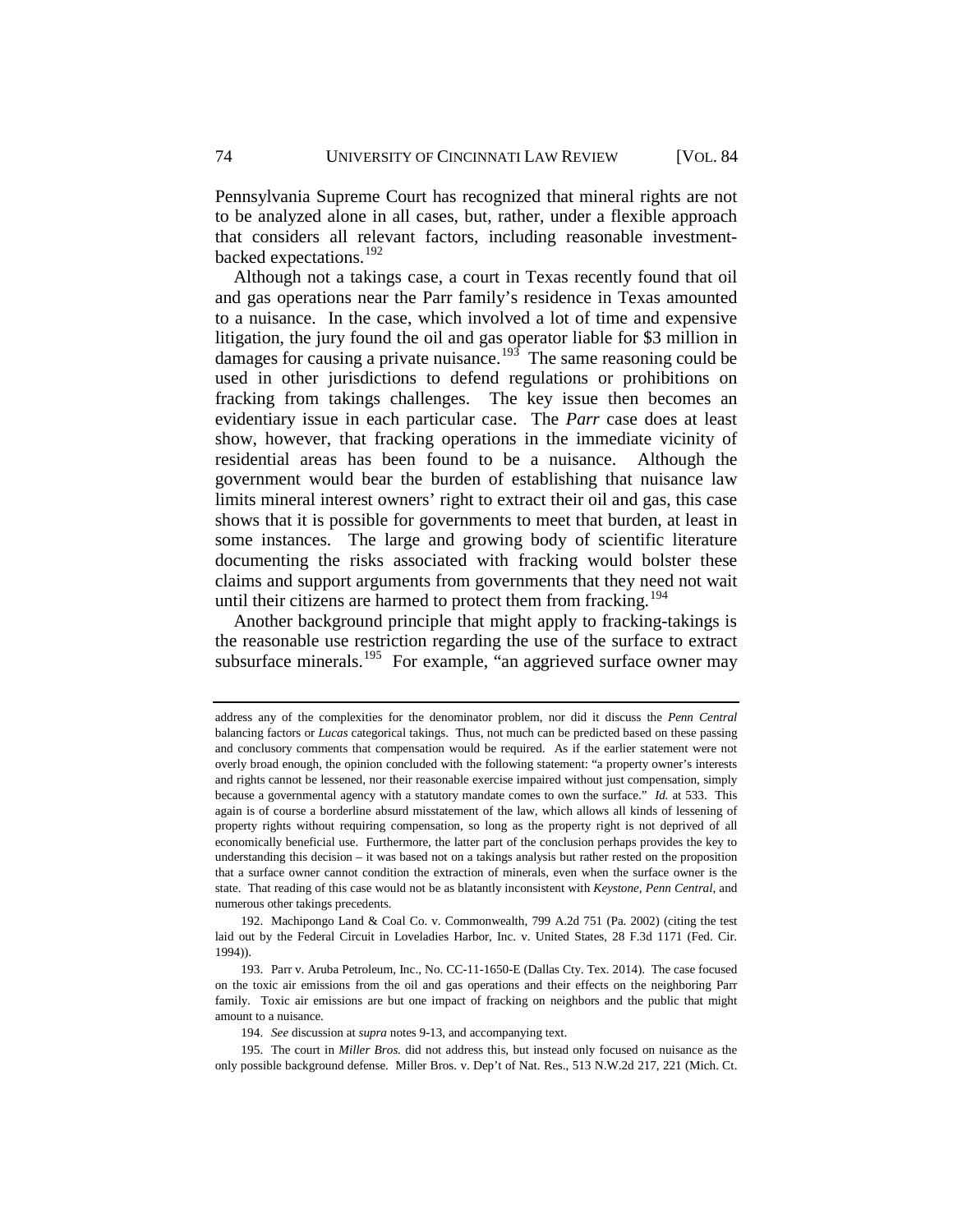Pennsylvania Supreme Court has recognized that mineral rights are not to be analyzed alone in all cases, but, rather, under a flexible approach that considers all relevant factors, including reasonable investmentbacked expectations.[192](#page-38-0)

Although not a takings case, a court in Texas recently found that oil and gas operations near the Parr family's residence in Texas amounted to a nuisance. In the case, which involved a lot of time and expensive litigation, the jury found the oil and gas operator liable for \$3 million in damages for causing a private nuisance.<sup>193</sup> The same reasoning could be used in other jurisdictions to defend regulations or prohibitions on fracking from takings challenges. The key issue then becomes an evidentiary issue in each particular case. The *Parr* case does at least show, however, that fracking operations in the immediate vicinity of residential areas has been found to be a nuisance. Although the government would bear the burden of establishing that nuisance law limits mineral interest owners' right to extract their oil and gas, this case shows that it is possible for governments to meet that burden, at least in some instances. The large and growing body of scientific literature documenting the risks associated with fracking would bolster these claims and support arguments from governments that they need not wait until their citizens are harmed to protect them from fracking.<sup>[194](#page-38-2)</sup>

Another background principle that might apply to fracking-takings is the reasonable use restriction regarding the use of the surface to extract subsurface minerals.<sup>[195](#page-38-3)</sup> For example, "an aggrieved surface owner may

address any of the complexities for the denominator problem, nor did it discuss the *Penn Central* balancing factors or *Lucas* categorical takings. Thus, not much can be predicted based on these passing and conclusory comments that compensation would be required. As if the earlier statement were not overly broad enough, the opinion concluded with the following statement: "a property owner's interests and rights cannot be lessened, nor their reasonable exercise impaired without just compensation, simply because a governmental agency with a statutory mandate comes to own the surface." *Id.* at 533. This again is of course a borderline absurd misstatement of the law, which allows all kinds of lessening of property rights without requiring compensation, so long as the property right is not deprived of all economically beneficial use. Furthermore, the latter part of the conclusion perhaps provides the key to understanding this decision – it was based not on a takings analysis but rather rested on the proposition that a surface owner cannot condition the extraction of minerals, even when the surface owner is the state. That reading of this case would not be as blatantly inconsistent with *Keystone*, *Penn Central*, and numerous other takings precedents.

<span id="page-38-0"></span><sup>192.</sup> Machipongo Land & Coal Co. v. Commonwealth, 799 A.2d 751 (Pa. 2002) (citing the test laid out by the Federal Circuit in Loveladies Harbor, Inc. v. United States, 28 F.3d 1171 (Fed. Cir. 1994)).

<span id="page-38-1"></span><sup>193.</sup> Parr v. Aruba Petroleum, Inc., No. CC-11-1650-E (Dallas Cty. Tex. 2014). The case focused on the toxic air emissions from the oil and gas operations and their effects on the neighboring Parr family. Toxic air emissions are but one impact of fracking on neighbors and the public that might amount to a nuisance.

<sup>194.</sup> *See* discussion at *supra* note[s 9](#page-8-6)[-13,](#page-8-7) and accompanying text.

<span id="page-38-3"></span><span id="page-38-2"></span><sup>195.</sup> The court in *Miller Bros.* did not address this, but instead only focused on nuisance as the only possible background defense. Miller Bros. v. Dep't of Nat. Res., 513 N.W.2d 217, 221 (Mich. Ct.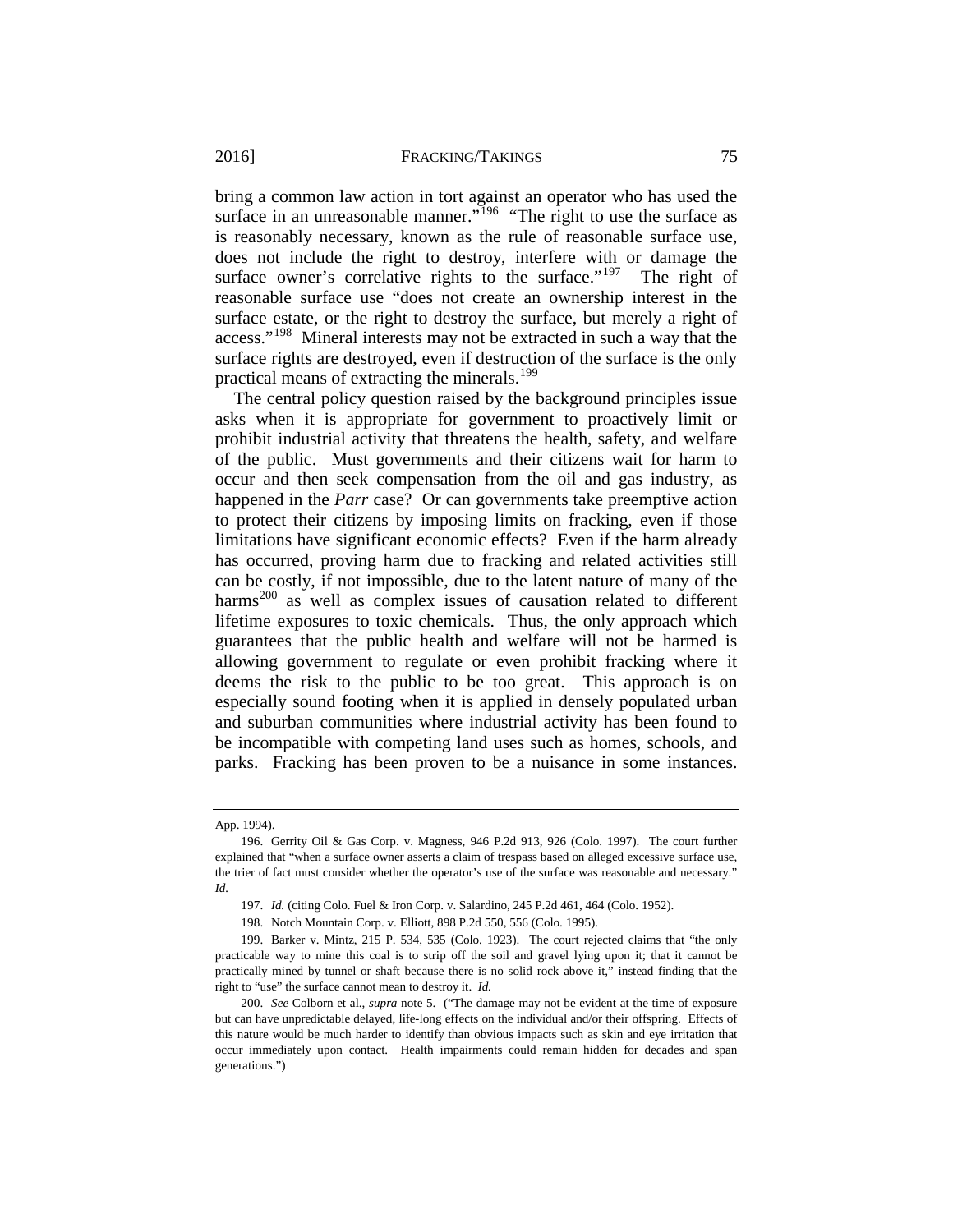bring a common law action in tort against an operator who has used the surface in an unreasonable manner."<sup>[196](#page-39-0)</sup> "The right to use the surface as is reasonably necessary, known as the rule of reasonable surface use, does not include the right to destroy, interfere with or damage the surface owner's correlative rights to the surface."<sup>[197](#page-39-1)</sup> The right of reasonable surface use "does not create an ownership interest in the surface estate, or the right to destroy the surface, but merely a right of access."[198](#page-39-2) Mineral interests may not be extracted in such a way that the surface rights are destroyed, even if destruction of the surface is the only practical means of extracting the minerals.<sup>199</sup>

The central policy question raised by the background principles issue asks when it is appropriate for government to proactively limit or prohibit industrial activity that threatens the health, safety, and welfare of the public. Must governments and their citizens wait for harm to occur and then seek compensation from the oil and gas industry, as happened in the *Parr* case? Or can governments take preemptive action to protect their citizens by imposing limits on fracking, even if those limitations have significant economic effects? Even if the harm already has occurred, proving harm due to fracking and related activities still can be costly, if not impossible, due to the latent nature of many of the harms<sup>[200](#page-39-4)</sup> as well as complex issues of causation related to different lifetime exposures to toxic chemicals. Thus, the only approach which guarantees that the public health and welfare will not be harmed is allowing government to regulate or even prohibit fracking where it deems the risk to the public to be too great. This approach is on especially sound footing when it is applied in densely populated urban and suburban communities where industrial activity has been found to be incompatible with competing land uses such as homes, schools, and parks. Fracking has been proven to be a nuisance in some instances.

App. 1994).

<span id="page-39-0"></span><sup>196.</sup> Gerrity Oil & Gas Corp. v. Magness, 946 P.2d 913, 926 (Colo. 1997). The court further explained that "when a surface owner asserts a claim of trespass based on alleged excessive surface use, the trier of fact must consider whether the operator's use of the surface was reasonable and necessary." *Id.*

<sup>197.</sup> *Id.* (citing Colo. Fuel & Iron Corp. v. Salardino, 245 P.2d 461, 464 (Colo. 1952).

<sup>198.</sup> Notch Mountain Corp. v. Elliott, 898 P.2d 550, 556 (Colo. 1995).

<span id="page-39-3"></span><span id="page-39-2"></span><span id="page-39-1"></span><sup>199.</sup> Barker v. Mintz, 215 P. 534, 535 (Colo. 1923). The court rejected claims that "the only practicable way to mine this coal is to strip off the soil and gravel lying upon it; that it cannot be practically mined by tunnel or shaft because there is no solid rock above it," instead finding that the right to "use" the surface cannot mean to destroy it. *Id.*

<span id="page-39-4"></span><sup>200.</sup> *See* Colborn et al., *supra* note [5.](#page-7-6) ("The damage may not be evident at the time of exposure but can have unpredictable delayed, life-long effects on the individual and/or their offspring. Effects of this nature would be much harder to identify than obvious impacts such as skin and eye irritation that occur immediately upon contact. Health impairments could remain hidden for decades and span generations.")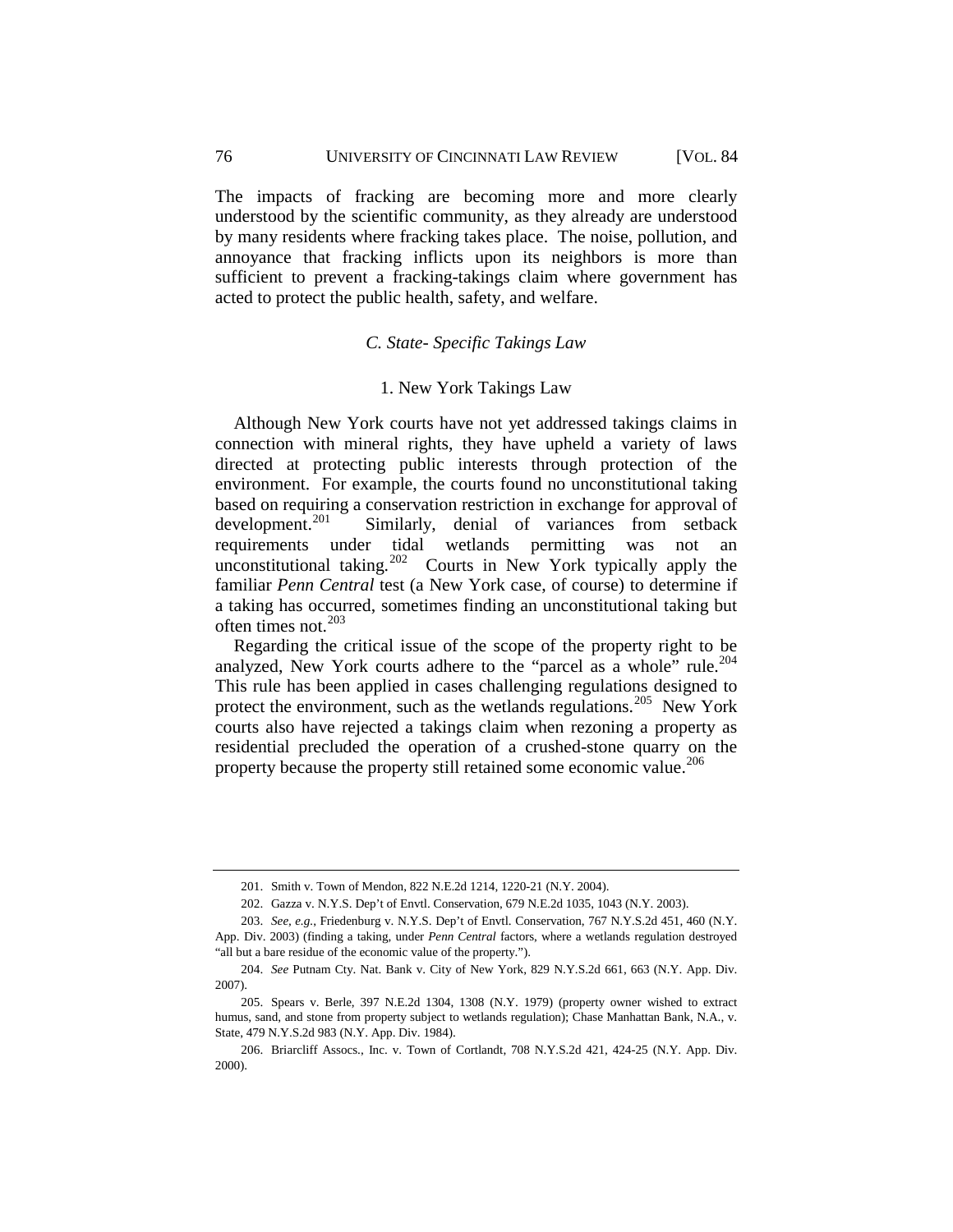The impacts of fracking are becoming more and more clearly understood by the scientific community, as they already are understood by many residents where fracking takes place. The noise, pollution, and annoyance that fracking inflicts upon its neighbors is more than sufficient to prevent a fracking-takings claim where government has acted to protect the public health, safety, and welfare.

## *C. State- Specific Takings Law*

## 1. New York Takings Law

<span id="page-40-1"></span><span id="page-40-0"></span>Although New York courts have not yet addressed takings claims in connection with mineral rights, they have upheld a variety of laws directed at protecting public interests through protection of the environment. For example, the courts found no unconstitutional taking based on requiring a conservation restriction in exchange for approval of development.<sup>201</sup> Similarly, denial of variances from setback Similarly, denial of variances from setback requirements under tidal wetlands permitting was not an unconstitutional taking.<sup>202</sup> Courts in New York typically apply the familiar *Penn Central* test (a New York case, of course) to determine if a taking has occurred, sometimes finding an unconstitutional taking but often times not. $203$ 

Regarding the critical issue of the scope of the property right to be analyzed, New York courts adhere to the "parcel as a whole" rule.<sup>204</sup> This rule has been applied in cases challenging regulations designed to protect the environment, such as the wetlands regulations.<sup>[205](#page-40-6)</sup> New York courts also have rejected a takings claim when rezoning a property as residential precluded the operation of a crushed-stone quarry on the property because the property still retained some economic value.<sup>[206](#page-40-7)</sup>

<sup>201.</sup> Smith v. Town of Mendon, 822 N.E.2d 1214, 1220-21 (N.Y. 2004).

<sup>202.</sup> Gazza v. N.Y.S. Dep't of Envtl. Conservation, 679 N.E.2d 1035, 1043 (N.Y. 2003).

<span id="page-40-4"></span><span id="page-40-3"></span><span id="page-40-2"></span><sup>203.</sup> *See, e.g.*, Friedenburg v. N.Y.S. Dep't of Envtl. Conservation, 767 N.Y.S.2d 451, 460 (N.Y. App. Div. 2003) (finding a taking, under *Penn Central* factors, where a wetlands regulation destroyed "all but a bare residue of the economic value of the property.").

<span id="page-40-5"></span><sup>204.</sup> *See* Putnam Cty. Nat. Bank v. City of New York, 829 N.Y.S.2d 661, 663 (N.Y. App. Div. 2007).

<span id="page-40-6"></span><sup>205.</sup> Spears v. Berle, 397 N.E.2d 1304, 1308 (N.Y. 1979) (property owner wished to extract humus, sand, and stone from property subject to wetlands regulation); Chase Manhattan Bank, N.A., v. State, 479 N.Y.S.2d 983 (N.Y. App. Div. 1984).

<span id="page-40-7"></span><sup>206.</sup> Briarcliff Assocs., Inc. v. Town of Cortlandt, 708 N.Y.S.2d 421, 424-25 (N.Y. App. Div. 2000).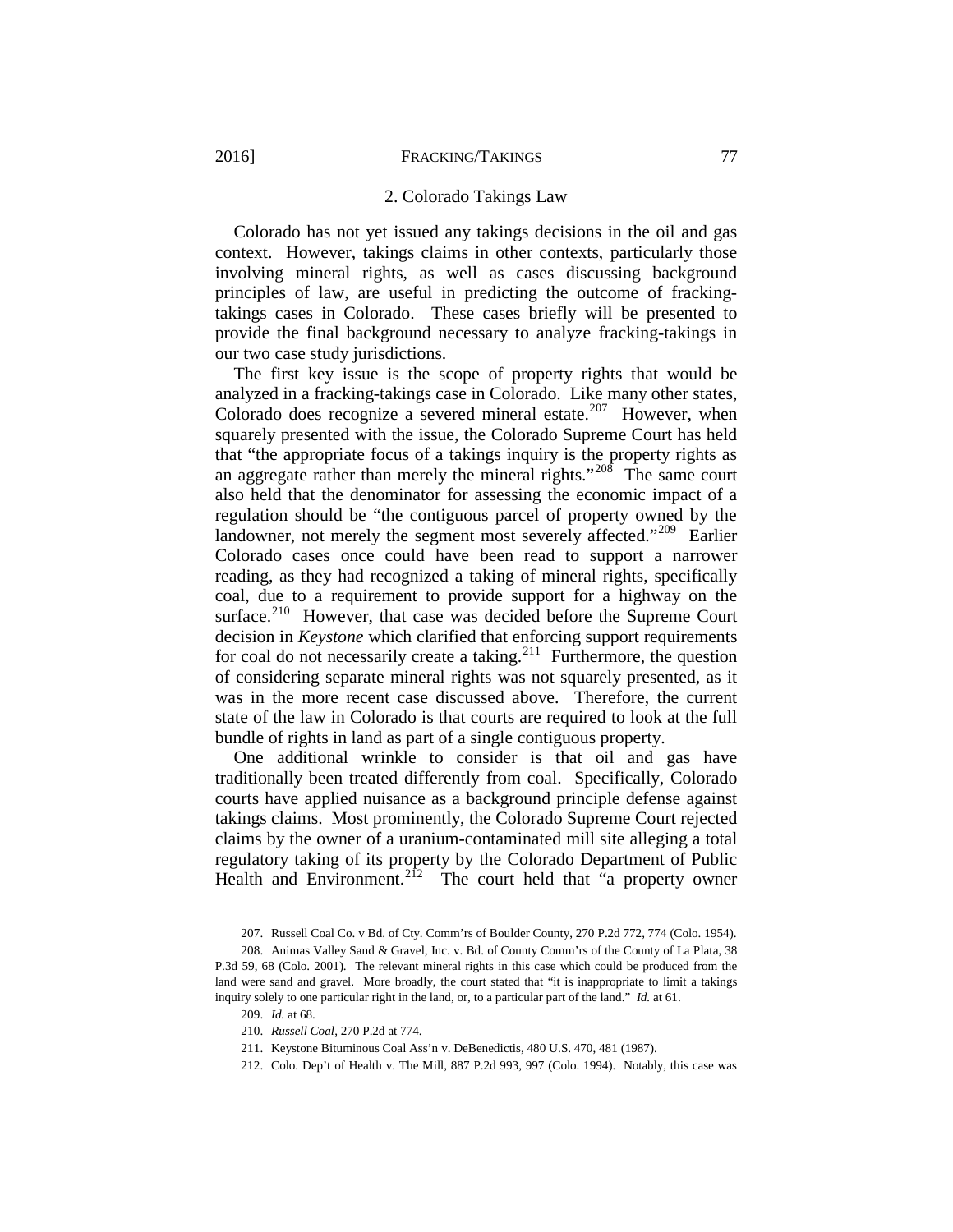#### 2. Colorado Takings Law

<span id="page-41-0"></span>Colorado has not yet issued any takings decisions in the oil and gas context. However, takings claims in other contexts, particularly those involving mineral rights, as well as cases discussing background principles of law, are useful in predicting the outcome of frackingtakings cases in Colorado. These cases briefly will be presented to provide the final background necessary to analyze fracking-takings in our two case study jurisdictions.

The first key issue is the scope of property rights that would be analyzed in a fracking-takings case in Colorado. Like many other states, Colorado does recognize a severed mineral estate.<sup>[207](#page-41-1)</sup> However, when squarely presented with the issue, the Colorado Supreme Court has held that "the appropriate focus of a takings inquiry is the property rights as an aggregate rather than merely the mineral rights."[208](#page-41-2) The same court also held that the denominator for assessing the economic impact of a regulation should be "the contiguous parcel of property owned by the landowner, not merely the segment most severely affected."<sup>209</sup> Earlier Colorado cases once could have been read to support a narrower reading, as they had recognized a taking of mineral rights, specifically coal, due to a requirement to provide support for a highway on the surface.<sup>[210](#page-41-4)</sup> However, that case was decided before the Supreme Court decision in *Keystone* which clarified that enforcing support requirements for coal do not necessarily create a taking.<sup>211</sup> Furthermore, the question of considering separate mineral rights was not squarely presented, as it was in the more recent case discussed above. Therefore, the current state of the law in Colorado is that courts are required to look at the full bundle of rights in land as part of a single contiguous property.

One additional wrinkle to consider is that oil and gas have traditionally been treated differently from coal. Specifically, Colorado courts have applied nuisance as a background principle defense against takings claims. Most prominently, the Colorado Supreme Court rejected claims by the owner of a uranium-contaminated mill site alleging a total regulatory taking of its property by the Colorado Department of Public Health and Environment.<sup>212</sup> The court held that "a property owner

<sup>207.</sup> Russell Coal Co. v Bd. of Cty. Comm'rs of Boulder County, 270 P.2d 772, 774 (Colo. 1954).

<span id="page-41-5"></span><span id="page-41-4"></span><span id="page-41-3"></span><span id="page-41-2"></span><span id="page-41-1"></span><sup>208.</sup> Animas Valley Sand & Gravel, Inc. v. Bd. of County Comm'rs of the County of La Plata, 38 P.3d 59, 68 (Colo. 2001). The relevant mineral rights in this case which could be produced from the land were sand and gravel. More broadly, the court stated that "it is inappropriate to limit a takings inquiry solely to one particular right in the land, or, to a particular part of the land." *Id.* at 61.

<sup>209.</sup> *Id.* at 68.

<sup>210.</sup> *Russell Coal*, 270 P.2d at 774.

<sup>211.</sup> Keystone Bituminous Coal Ass'n v. DeBenedictis, 480 U.S. 470, 481 (1987).

<span id="page-41-6"></span><sup>212.</sup> Colo. Dep't of Health v. The Mill, 887 P.2d 993, 997 (Colo. 1994). Notably, this case was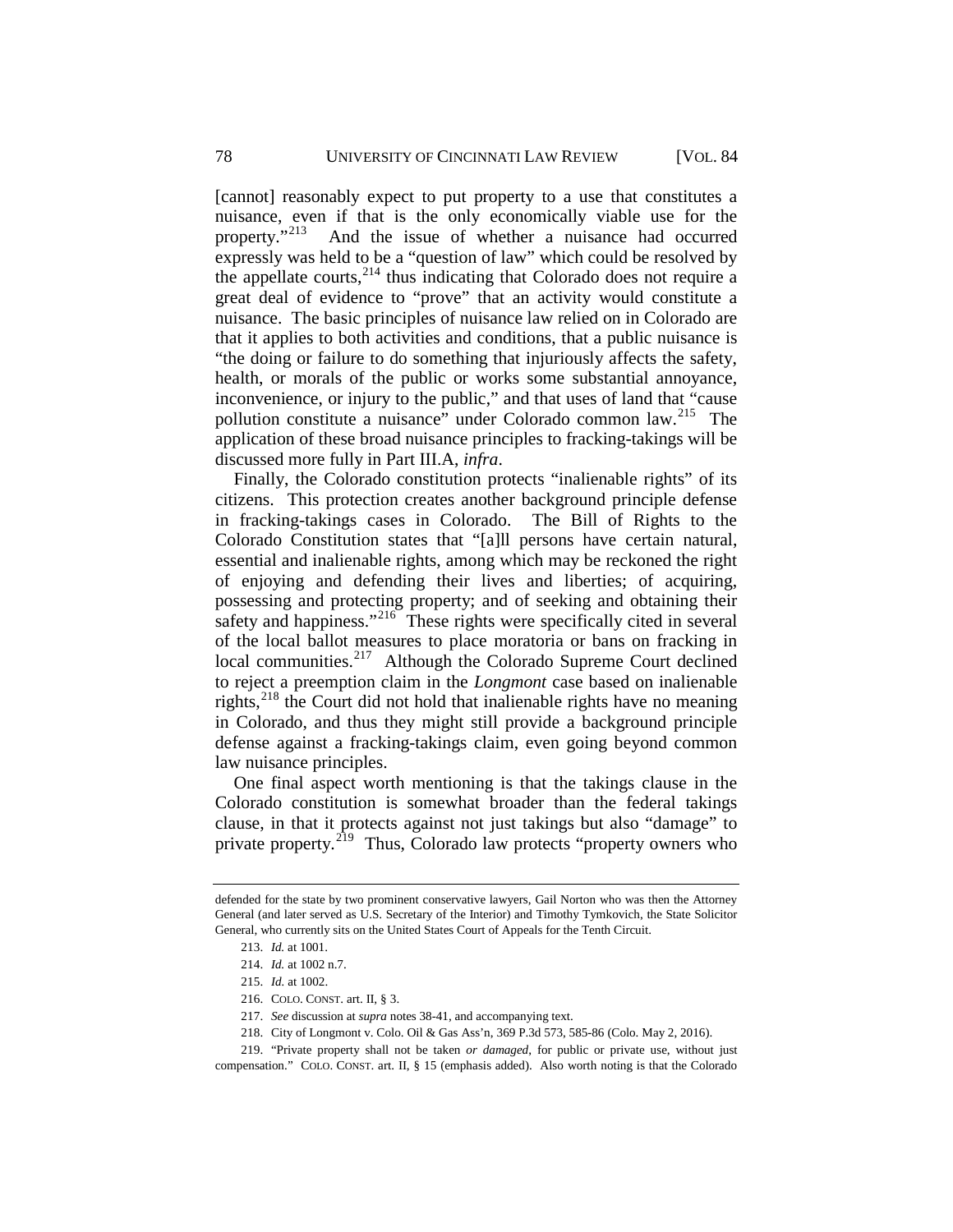[cannot] reasonably expect to put property to a use that constitutes a nuisance, even if that is the only economically viable use for the property."[213](#page-42-0) And the issue of whether a nuisance had occurred expressly was held to be a "question of law" which could be resolved by the appellate courts,  $2^{14}$  thus indicating that Colorado does not require a great deal of evidence to "prove" that an activity would constitute a nuisance. The basic principles of nuisance law relied on in Colorado are that it applies to both activities and conditions, that a public nuisance is "the doing or failure to do something that injuriously affects the safety, health, or morals of the public or works some substantial annoyance, inconvenience, or injury to the public," and that uses of land that "cause pollution constitute a nuisance" under Colorado common law.<sup>[215](#page-42-2)</sup> The application of these broad nuisance principles to fracking-takings will be discussed more fully in Part III.A, *infra*.

Finally, the Colorado constitution protects "inalienable rights" of its citizens. This protection creates another background principle defense in fracking-takings cases in Colorado. The Bill of Rights to the Colorado Constitution states that "[a]ll persons have certain natural, essential and inalienable rights, among which may be reckoned the right of enjoying and defending their lives and liberties; of acquiring, possessing and protecting property; and of seeking and obtaining their safety and happiness."<sup>[216](#page-42-3)</sup> These rights were specifically cited in several of the local ballot measures to place moratoria or bans on fracking in local communities.<sup>[217](#page-42-4)</sup> Although the Colorado Supreme Court declined to reject a preemption claim in the *Longmont* case based on inalienable rights,  $218$  the Court did not hold that inalienable rights have no meaning in Colorado, and thus they might still provide a background principle defense against a fracking-takings claim, even going beyond common law nuisance principles.

One final aspect worth mentioning is that the takings clause in the Colorado constitution is somewhat broader than the federal takings clause, in that it protects against not just takings but also "damage" to private property.<sup>219</sup> Thus, Colorado law protects "property owners who

<span id="page-42-1"></span><span id="page-42-0"></span>defended for the state by two prominent conservative lawyers, Gail Norton who was then the Attorney General (and later served as U.S. Secretary of the Interior) and Timothy Tymkovich, the State Solicitor General, who currently sits on the United States Court of Appeals for the Tenth Circuit.

<sup>213.</sup> *Id.* at 1001.

<sup>214.</sup> *Id.* at 1002 n.7.

<sup>215.</sup> *Id.* at 1002.

<sup>216.</sup> COLO. CONST. art. II, § 3.

<sup>217.</sup> *See* discussion at *supra* note[s 38](#page-14-6)[-41,](#page-15-5) and accompanying text.

<sup>218.</sup> City of Longmont v. Colo. Oil & Gas Ass'n, 369 P.3d 573, 585-86 (Colo. May 2, 2016).

<span id="page-42-6"></span><span id="page-42-5"></span><span id="page-42-4"></span><span id="page-42-3"></span><span id="page-42-2"></span><sup>219.</sup> "Private property shall not be taken *or damaged*, for public or private use, without just compensation." COLO. CONST. art. II, § 15 (emphasis added). Also worth noting is that the Colorado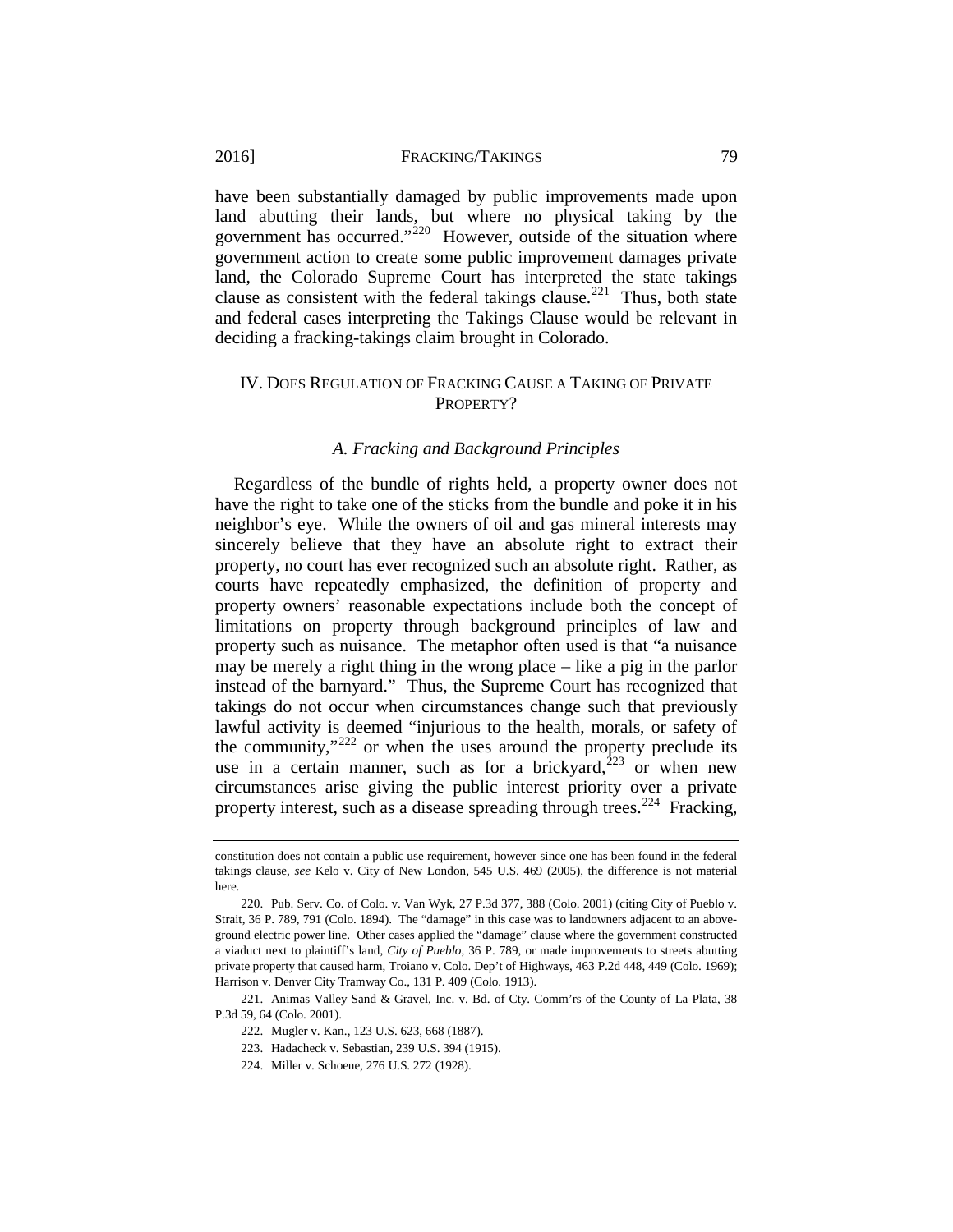have been substantially damaged by public improvements made upon land abutting their lands, but where no physical taking by the government has occurred."<sup>220</sup> However, outside of the situation where government action to create some public improvement damages private land, the Colorado Supreme Court has interpreted the state takings clause as consistent with the federal takings clause.<sup>221</sup> Thus, both state and federal cases interpreting the Takings Clause would be relevant in deciding a fracking-takings claim brought in Colorado.

## <span id="page-43-0"></span>IV. DOES REGULATION OF FRACKING CAUSE A TAKING OF PRIVATE PROPERTY?

## *A. Fracking and Background Principles*

<span id="page-43-1"></span>Regardless of the bundle of rights held, a property owner does not have the right to take one of the sticks from the bundle and poke it in his neighbor's eye. While the owners of oil and gas mineral interests may sincerely believe that they have an absolute right to extract their property, no court has ever recognized such an absolute right. Rather, as courts have repeatedly emphasized, the definition of property and property owners' reasonable expectations include both the concept of limitations on property through background principles of law and property such as nuisance. The metaphor often used is that "a nuisance may be merely a right thing in the wrong place – like a pig in the parlor instead of the barnyard." Thus, the Supreme Court has recognized that takings do not occur when circumstances change such that previously lawful activity is deemed "injurious to the health, morals, or safety of the community,"<sup>[222](#page-43-4)</sup> or when the uses around the property preclude its use in a certain manner, such as for a brickyard, $^{223}$  $^{223}$  $^{223}$  or when new circumstances arise giving the public interest priority over a private property interest, such as a disease spreading through trees.<sup>[224](#page-43-6)</sup> Fracking,

<span id="page-43-6"></span><span id="page-43-5"></span><span id="page-43-4"></span><span id="page-43-3"></span>221. Animas Valley Sand & Gravel, Inc. v. Bd. of Cty. Comm'rs of the County of La Plata, 38 P.3d 59, 64 (Colo. 2001).

constitution does not contain a public use requirement, however since one has been found in the federal takings clause, *see* Kelo v. City of New London, 545 U.S. 469 (2005), the difference is not material here.

<span id="page-43-2"></span><sup>220.</sup> Pub. Serv. Co. of Colo. v. Van Wyk, 27 P.3d 377, 388 (Colo. 2001) (citing City of Pueblo v. Strait, 36 P. 789, 791 (Colo. 1894). The "damage" in this case was to landowners adjacent to an aboveground electric power line. Other cases applied the "damage" clause where the government constructed a viaduct next to plaintiff's land, *City of Pueblo*, 36 P. 789, or made improvements to streets abutting private property that caused harm, Troiano v. Colo. Dep't of Highways, 463 P.2d 448, 449 (Colo. 1969); Harrison v. Denver City Tramway Co., 131 P. 409 (Colo. 1913).

<sup>222.</sup> Mugler v. Kan., 123 U.S. 623, 668 (1887).

<sup>223.</sup> Hadacheck v. Sebastian, 239 U.S. 394 (1915).

<sup>224.</sup> Miller v. Schoene, 276 U.S. 272 (1928).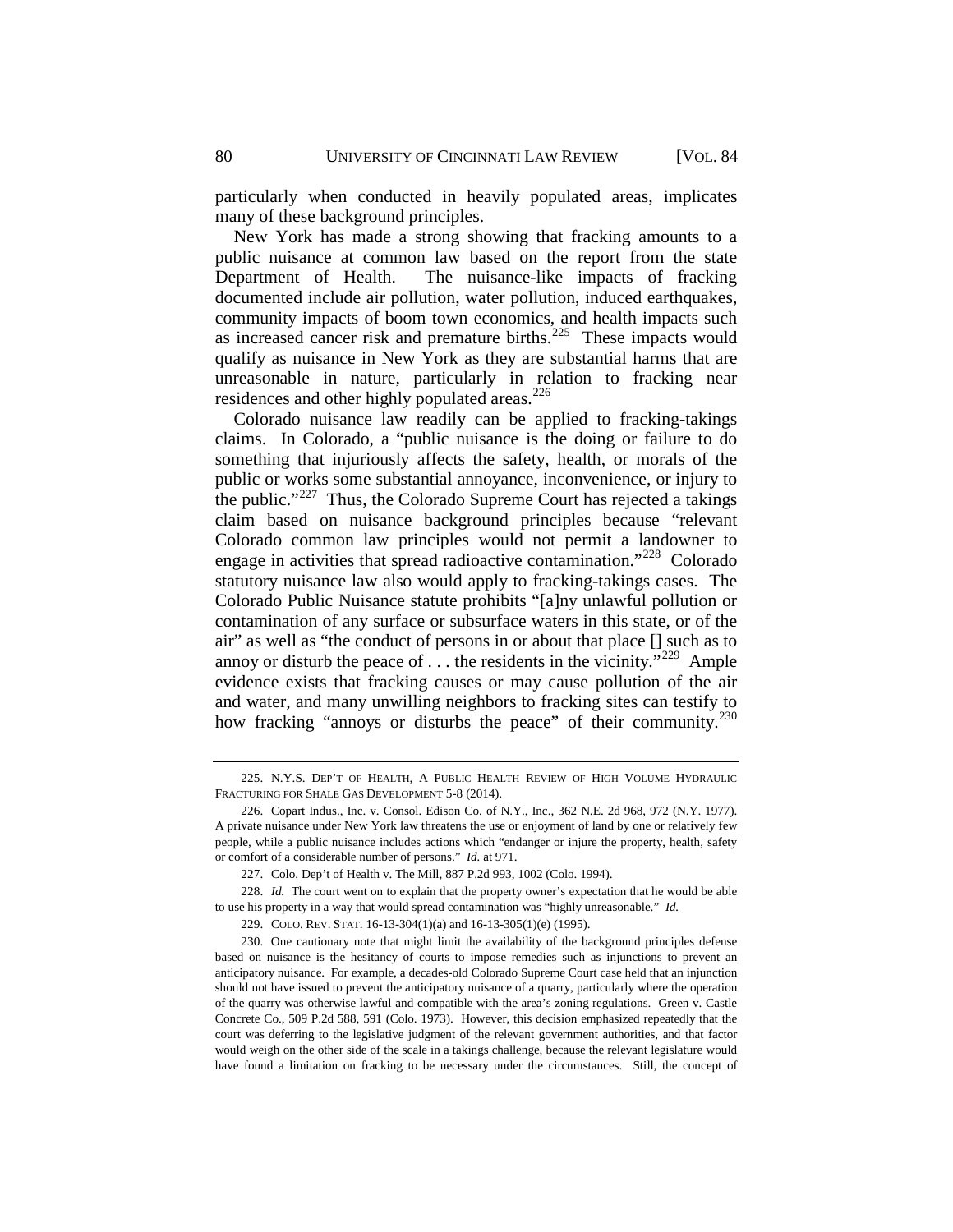particularly when conducted in heavily populated areas, implicates many of these background principles.

New York has made a strong showing that fracking amounts to a public nuisance at common law based on the report from the state Department of Health. The nuisance-like impacts of fracking documented include air pollution, water pollution, induced earthquakes, community impacts of boom town economics, and health impacts such as increased cancer risk and premature births. $225$  These impacts would qualify as nuisance in New York as they are substantial harms that are unreasonable in nature, particularly in relation to fracking near residences and other highly populated areas.<sup>[226](#page-44-1)</sup>

Colorado nuisance law readily can be applied to fracking-takings claims. In Colorado, a "public nuisance is the doing or failure to do something that injuriously affects the safety, health, or morals of the public or works some substantial annoyance, inconvenience, or injury to the public."[227](#page-44-2) Thus, the Colorado Supreme Court has rejected a takings claim based on nuisance background principles because "relevant Colorado common law principles would not permit a landowner to engage in activities that spread radioactive contamination."<sup>228</sup> Colorado statutory nuisance law also would apply to fracking-takings cases. The Colorado Public Nuisance statute prohibits "[a]ny unlawful pollution or contamination of any surface or subsurface waters in this state, or of the air" as well as "the conduct of persons in or about that place [] such as to annoy or disturb the peace of  $\dots$  the residents in the vicinity."<sup>[229](#page-44-4)</sup> Ample evidence exists that fracking causes or may cause pollution of the air and water, and many unwilling neighbors to fracking sites can testify to how fracking "annoys or disturbs the peace" of their community.<sup>230</sup>

<span id="page-44-0"></span><sup>225.</sup> N.Y.S. DEP'T OF HEALTH, A PUBLIC HEALTH REVIEW OF HIGH VOLUME HYDRAULIC FRACTURING FOR SHALE GAS DEVELOPMENT 5-8 (2014).

<span id="page-44-1"></span><sup>226.</sup> Copart Indus., Inc. v. Consol. Edison Co. of N.Y., Inc., 362 N.E. 2d 968, 972 (N.Y. 1977). A private nuisance under New York law threatens the use or enjoyment of land by one or relatively few people, while a public nuisance includes actions which "endanger or injure the property, health, safety or comfort of a considerable number of persons." *Id.* at 971.

<sup>227.</sup> Colo. Dep't of Health v. The Mill, 887 P.2d 993, 1002 (Colo. 1994).

<span id="page-44-3"></span><span id="page-44-2"></span><sup>228.</sup> *Id.* The court went on to explain that the property owner's expectation that he would be able to use his property in a way that would spread contamination was "highly unreasonable." *Id.*

<sup>229.</sup> COLO. REV. STAT. 16-13-304(1)(a) and 16-13-305(1)(e) (1995).

<span id="page-44-5"></span><span id="page-44-4"></span><sup>230.</sup> One cautionary note that might limit the availability of the background principles defense based on nuisance is the hesitancy of courts to impose remedies such as injunctions to prevent an anticipatory nuisance. For example, a decades-old Colorado Supreme Court case held that an injunction should not have issued to prevent the anticipatory nuisance of a quarry, particularly where the operation of the quarry was otherwise lawful and compatible with the area's zoning regulations. Green v. Castle Concrete Co., 509 P.2d 588, 591 (Colo. 1973). However, this decision emphasized repeatedly that the court was deferring to the legislative judgment of the relevant government authorities, and that factor would weigh on the other side of the scale in a takings challenge, because the relevant legislature would have found a limitation on fracking to be necessary under the circumstances. Still, the concept of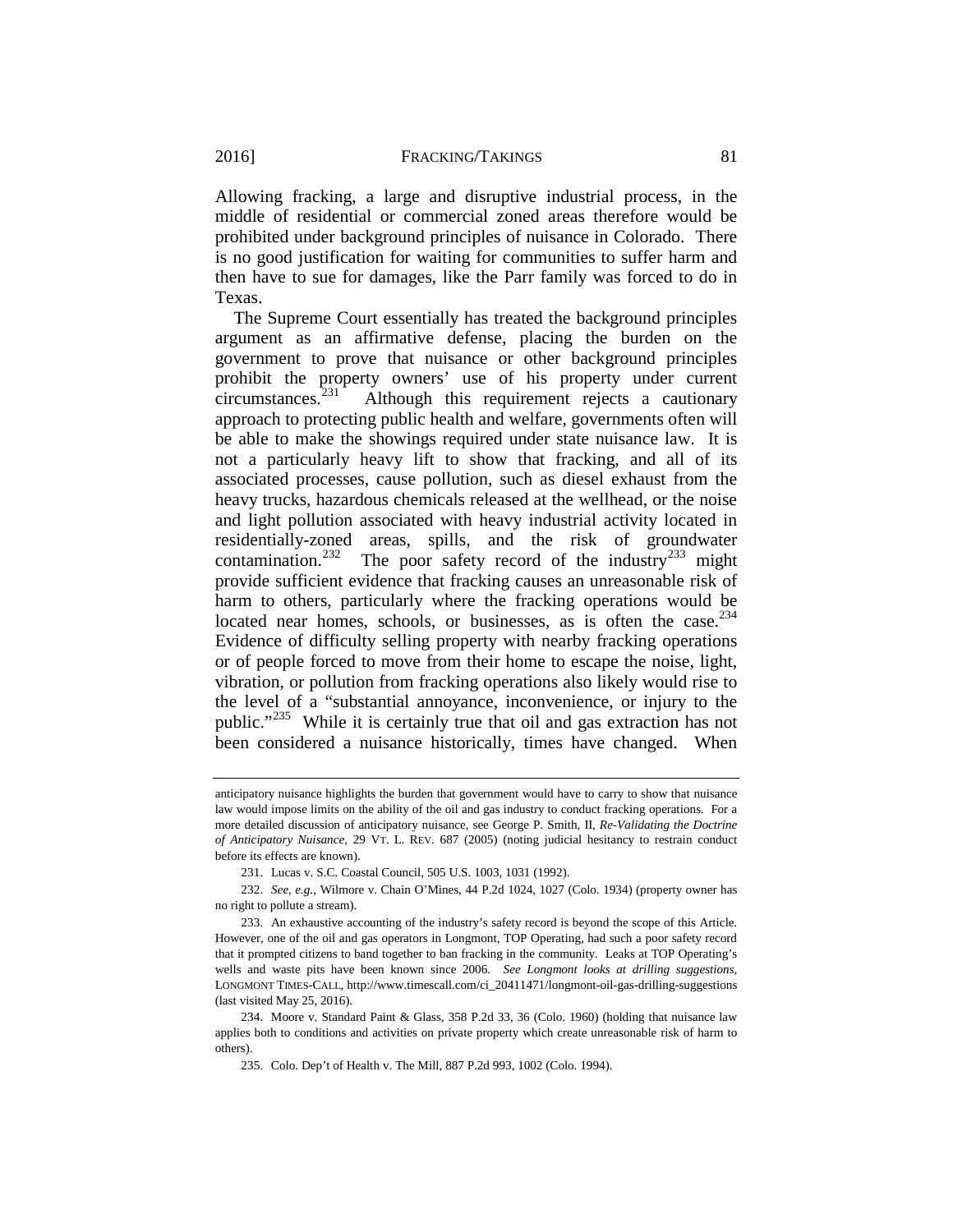Allowing fracking, a large and disruptive industrial process, in the middle of residential or commercial zoned areas therefore would be prohibited under background principles of nuisance in Colorado. There is no good justification for waiting for communities to suffer harm and then have to sue for damages, like the Parr family was forced to do in Texas.

The Supreme Court essentially has treated the background principles argument as an affirmative defense, placing the burden on the government to prove that nuisance or other background principles prohibit the property owners' use of his property under current circumstances.<sup>231</sup> Although this requirement rejects a cautionary Although this requirement rejects a cautionary approach to protecting public health and welfare, governments often will be able to make the showings required under state nuisance law. It is not a particularly heavy lift to show that fracking, and all of its associated processes, cause pollution, such as diesel exhaust from the heavy trucks, hazardous chemicals released at the wellhead, or the noise and light pollution associated with heavy industrial activity located in residentially-zoned areas, spills, and the risk of groundwater contamination.<sup>232</sup> The poor safety record of the industry<sup>[233](#page-45-2)</sup> might provide sufficient evidence that fracking causes an unreasonable risk of harm to others, particularly where the fracking operations would be located near homes, schools, or businesses, as is often the case. $2^{34}$ Evidence of difficulty selling property with nearby fracking operations or of people forced to move from their home to escape the noise, light, vibration, or pollution from fracking operations also likely would rise to the level of a "substantial annoyance, inconvenience, or injury to the public."[235](#page-45-4) While it is certainly true that oil and gas extraction has not been considered a nuisance historically, times have changed. When

anticipatory nuisance highlights the burden that government would have to carry to show that nuisance law would impose limits on the ability of the oil and gas industry to conduct fracking operations. For a more detailed discussion of anticipatory nuisance, see George P. Smith, II, *Re-Validating the Doctrine of Anticipatory Nuisance*, 29 VT. L. REV. 687 (2005) (noting judicial hesitancy to restrain conduct before its effects are known).

<sup>231.</sup> Lucas v. S.C. Coastal Council, 505 U.S. 1003, 1031 (1992).

<span id="page-45-1"></span><span id="page-45-0"></span><sup>232.</sup> *See, e.g.*, Wilmore v. Chain O'Mines, 44 P.2d 1024, 1027 (Colo. 1934) (property owner has no right to pollute a stream).

<span id="page-45-2"></span><sup>233.</sup> An exhaustive accounting of the industry's safety record is beyond the scope of this Article. However, one of the oil and gas operators in Longmont, TOP Operating, had such a poor safety record that it prompted citizens to band together to ban fracking in the community. Leaks at TOP Operating's wells and waste pits have been known since 2006. *See Longmont looks at drilling suggestions*, LONGMONT TIMES-CALL, [http://www.timescall.com/ci\\_20411471/longmont-oil-gas-drilling-suggestions](http://www.timescall.com/ci_20411471/longmont-oil-gas-drilling-suggestions) (last visited May 25, 2016).

<span id="page-45-4"></span><span id="page-45-3"></span><sup>234.</sup> Moore v. Standard Paint & Glass, 358 P.2d 33, 36 (Colo. 1960) (holding that nuisance law applies both to conditions and activities on private property which create unreasonable risk of harm to others).

<sup>235.</sup> Colo. Dep't of Health v. The Mill, 887 P.2d 993, 1002 (Colo. 1994).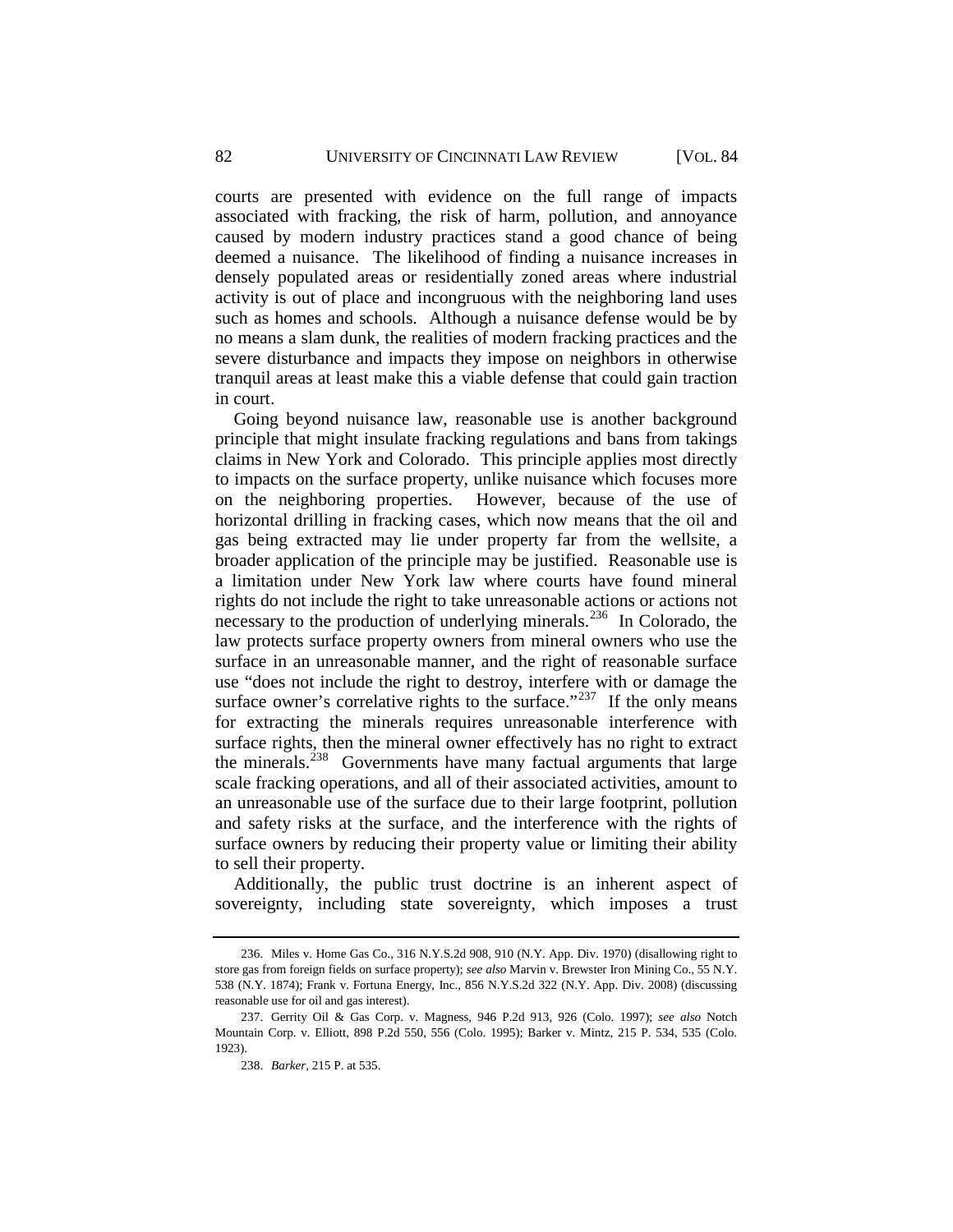courts are presented with evidence on the full range of impacts associated with fracking, the risk of harm, pollution, and annoyance caused by modern industry practices stand a good chance of being deemed a nuisance. The likelihood of finding a nuisance increases in densely populated areas or residentially zoned areas where industrial activity is out of place and incongruous with the neighboring land uses such as homes and schools. Although a nuisance defense would be by no means a slam dunk, the realities of modern fracking practices and the severe disturbance and impacts they impose on neighbors in otherwise tranquil areas at least make this a viable defense that could gain traction in court.

Going beyond nuisance law, reasonable use is another background principle that might insulate fracking regulations and bans from takings claims in New York and Colorado. This principle applies most directly to impacts on the surface property, unlike nuisance which focuses more on the neighboring properties. However, because of the use of horizontal drilling in fracking cases, which now means that the oil and gas being extracted may lie under property far from the wellsite, a broader application of the principle may be justified. Reasonable use is a limitation under New York law where courts have found mineral rights do not include the right to take unreasonable actions or actions not necessary to the production of underlying minerals.[236](#page-46-0) In Colorado, the law protects surface property owners from mineral owners who use the surface in an unreasonable manner, and the right of reasonable surface use "does not include the right to destroy, interfere with or damage the surface owner's correlative rights to the surface." $237$  If the only means for extracting the minerals requires unreasonable interference with surface rights, then the mineral owner effectively has no right to extract the minerals.[238](#page-46-2) Governments have many factual arguments that large scale fracking operations, and all of their associated activities, amount to an unreasonable use of the surface due to their large footprint, pollution and safety risks at the surface, and the interference with the rights of surface owners by reducing their property value or limiting their ability to sell their property.

Additionally, the public trust doctrine is an inherent aspect of sovereignty, including state sovereignty, which imposes a trust

<span id="page-46-0"></span><sup>236.</sup> Miles v. Home Gas Co., 316 N.Y.S.2d 908, 910 (N.Y. App. Div. 1970) (disallowing right to store gas from foreign fields on surface property); *see also* Marvin v. Brewster Iron Mining Co., 55 N.Y. 538 (N.Y. 1874); Frank v. Fortuna Energy, Inc., 856 N.Y.S.2d 322 (N.Y. App. Div. 2008) (discussing reasonable use for oil and gas interest).

<span id="page-46-2"></span><span id="page-46-1"></span><sup>237.</sup> Gerrity Oil & Gas Corp. v. Magness, 946 P.2d 913, 926 (Colo. 1997); *see also* Notch Mountain Corp. v. Elliott, 898 P.2d 550, 556 (Colo. 1995); Barker v. Mintz, 215 P. 534, 535 (Colo. 1923).

<sup>238.</sup> *Barker*, 215 P. at 535.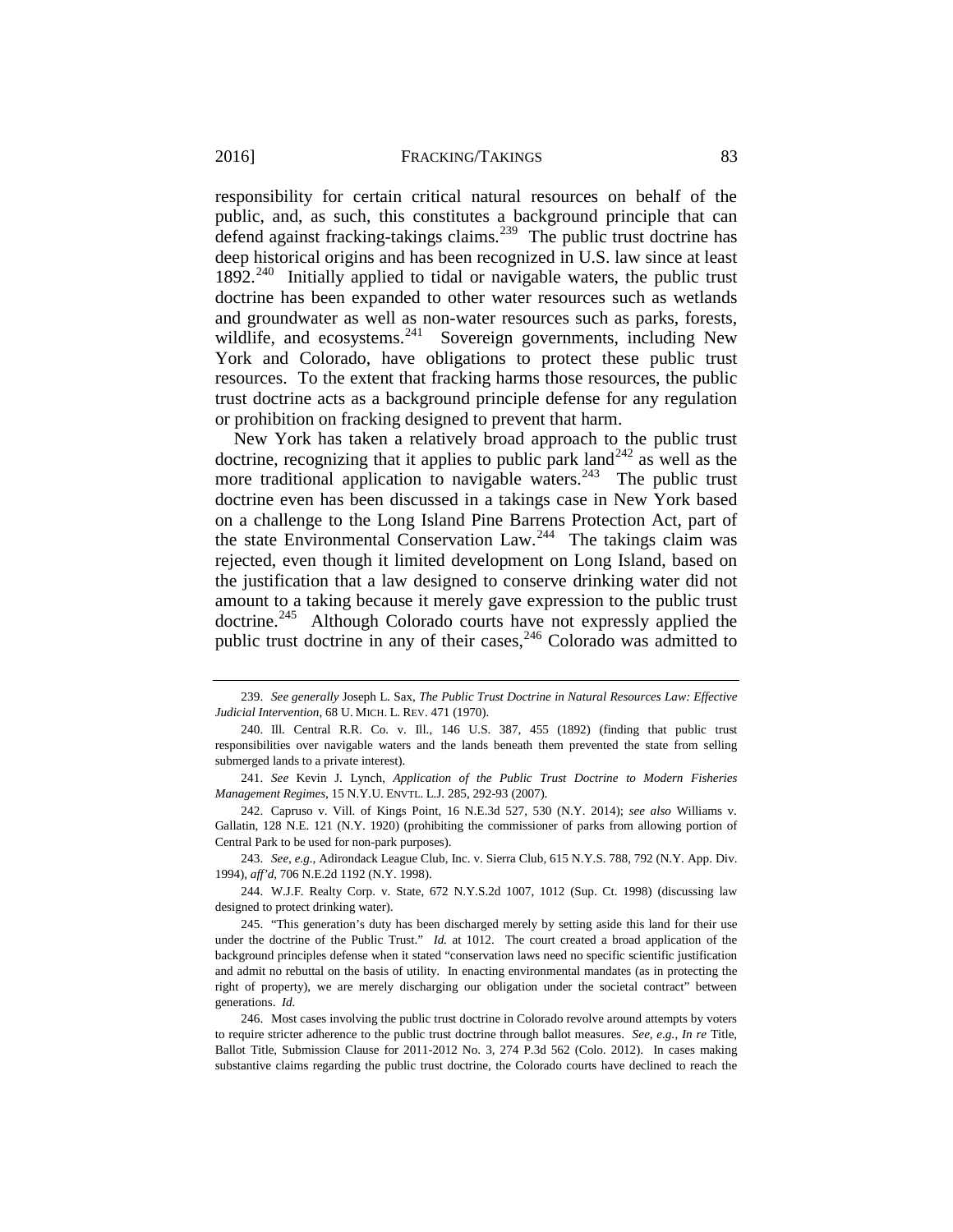responsibility for certain critical natural resources on behalf of the public, and, as such, this constitutes a background principle that can defend against fracking-takings claims.<sup>239</sup> The public trust doctrine has deep historical origins and has been recognized in U.S. law since at least  $1892.<sup>240</sup>$  $1892.<sup>240</sup>$  $1892.<sup>240</sup>$  Initially applied to tidal or navigable waters, the public trust doctrine has been expanded to other water resources such as wetlands and groundwater as well as non-water resources such as parks, forests, wildlife, and ecosystems.<sup>241</sup> Sovereign governments, including New York and Colorado, have obligations to protect these public trust resources. To the extent that fracking harms those resources, the public trust doctrine acts as a background principle defense for any regulation or prohibition on fracking designed to prevent that harm.

New York has taken a relatively broad approach to the public trust doctrine, recognizing that it applies to public park land<sup>[242](#page-47-3)</sup> as well as the more traditional application to navigable waters.<sup>243</sup> The public trust doctrine even has been discussed in a takings case in New York based on a challenge to the Long Island Pine Barrens Protection Act, part of the state Environmental Conservation Law.<sup>244</sup> The takings claim was rejected, even though it limited development on Long Island, based on the justification that a law designed to conserve drinking water did not amount to a taking because it merely gave expression to the public trust doctrine.<sup>245</sup> Although Colorado courts have not expressly applied the public trust doctrine in any of their cases,  $246$  Colorado was admitted to

<span id="page-47-3"></span>242. Capruso v. Vill. of Kings Point, 16 N.E.3d 527, 530 (N.Y. 2014); *see also* Williams v. Gallatin, 128 N.E. 121 (N.Y. 1920) (prohibiting the commissioner of parks from allowing portion of Central Park to be used for non-park purposes).

<span id="page-47-4"></span>243. *See, e.g.*, Adirondack League Club, Inc. v. Sierra Club, 615 N.Y.S. 788, 792 (N.Y. App. Div. 1994), *aff'd*, 706 N.E.2d 1192 (N.Y. 1998).

<span id="page-47-5"></span>244. W.J.F. Realty Corp. v. State, 672 N.Y.S.2d 1007, 1012 (Sup. Ct. 1998) (discussing law designed to protect drinking water).

<span id="page-47-6"></span>245. "This generation's duty has been discharged merely by setting aside this land for their use under the doctrine of the Public Trust." *Id.* at 1012. The court created a broad application of the background principles defense when it stated "conservation laws need no specific scientific justification and admit no rebuttal on the basis of utility. In enacting environmental mandates (as in protecting the right of property), we are merely discharging our obligation under the societal contract" between generations. *Id.*

<span id="page-47-7"></span>246. Most cases involving the public trust doctrine in Colorado revolve around attempts by voters to require stricter adherence to the public trust doctrine through ballot measures. *See, e.g.*, *In re* Title, Ballot Title, Submission Clause for 2011-2012 No. 3, 274 P.3d 562 (Colo. 2012). In cases making substantive claims regarding the public trust doctrine, the Colorado courts have declined to reach the

<span id="page-47-0"></span><sup>239.</sup> *See generally* Joseph L. Sax, *The Public Trust Doctrine in Natural Resources Law: Effective Judicial Intervention*, 68 U. MICH. L. REV. 471 (1970).

<span id="page-47-1"></span><sup>240.</sup> Ill. Central R.R. Co. v. Ill., 146 U.S. 387, 455 (1892) (finding that public trust responsibilities over navigable waters and the lands beneath them prevented the state from selling submerged lands to a private interest).

<span id="page-47-2"></span><sup>241.</sup> *See* Kevin J. Lynch, *Application of the Public Trust Doctrine to Modern Fisheries Management Regimes*, 15 N.Y.U. ENVTL. L.J. 285, 292-93 (2007).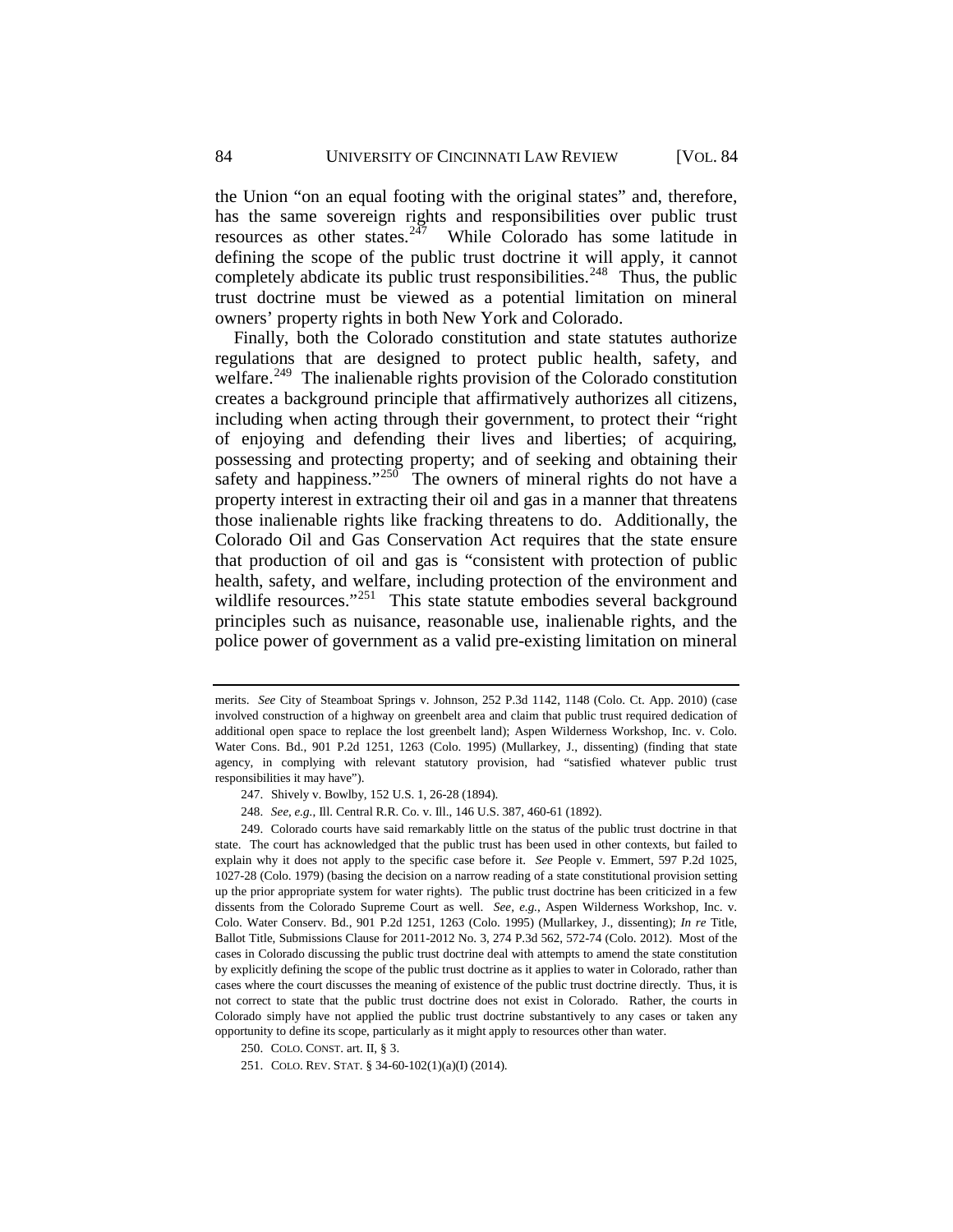the Union "on an equal footing with the original states" and, therefore, has the same sovereign rights and responsibilities over public trust resources as other states. $2\overline{47}$  While Colorado has some latitude in defining the scope of the public trust doctrine it will apply, it cannot completely abdicate its public trust responsibilities.<sup>248</sup> Thus, the public trust doctrine must be viewed as a potential limitation on mineral owners' property rights in both New York and Colorado.

Finally, both the Colorado constitution and state statutes authorize regulations that are designed to protect public health, safety, and welfare.<sup>249</sup> The inalienable rights provision of the Colorado constitution creates a background principle that affirmatively authorizes all citizens, including when acting through their government, to protect their "right of enjoying and defending their lives and liberties; of acquiring, possessing and protecting property; and of seeking and obtaining their safety and happiness."<sup>[250](#page-48-3)</sup> The owners of mineral rights do not have a property interest in extracting their oil and gas in a manner that threatens those inalienable rights like fracking threatens to do. Additionally, the Colorado Oil and Gas Conservation Act requires that the state ensure that production of oil and gas is "consistent with protection of public health, safety, and welfare, including protection of the environment and wildlife resources."<sup>251</sup> This state statute embodies several background principles such as nuisance, reasonable use, inalienable rights, and the police power of government as a valid pre-existing limitation on mineral

merits. *See* City of Steamboat Springs v. Johnson, 252 P.3d 1142, 1148 (Colo. Ct. App. 2010) (case involved construction of a highway on greenbelt area and claim that public trust required dedication of additional open space to replace the lost greenbelt land); Aspen Wilderness Workshop, Inc. v. Colo. Water Cons. Bd., 901 P.2d 1251, 1263 (Colo. 1995) (Mullarkey, J., dissenting) (finding that state agency, in complying with relevant statutory provision, had "satisfied whatever public trust responsibilities it may have").

<sup>247.</sup> Shively v. Bowlby, 152 U.S. 1, 26-28 (1894).

<sup>248.</sup> *See, e.g.*, Ill. Central R.R. Co. v. Ill., 146 U.S. 387, 460-61 (1892).

<span id="page-48-2"></span><span id="page-48-1"></span><span id="page-48-0"></span><sup>249.</sup> Colorado courts have said remarkably little on the status of the public trust doctrine in that state. The court has acknowledged that the public trust has been used in other contexts, but failed to explain why it does not apply to the specific case before it. *See* People v. Emmert, 597 P.2d 1025, 1027-28 (Colo. 1979) (basing the decision on a narrow reading of a state constitutional provision setting up the prior appropriate system for water rights). The public trust doctrine has been criticized in a few dissents from the Colorado Supreme Court as well. *See, e.g.*, Aspen Wilderness Workshop, Inc. v. Colo. Water Conserv. Bd., 901 P.2d 1251, 1263 (Colo. 1995) (Mullarkey, J., dissenting); *In re* Title, Ballot Title, Submissions Clause for 2011-2012 No. 3, 274 P.3d 562, 572-74 (Colo. 2012). Most of the cases in Colorado discussing the public trust doctrine deal with attempts to amend the state constitution by explicitly defining the scope of the public trust doctrine as it applies to water in Colorado, rather than cases where the court discusses the meaning of existence of the public trust doctrine directly. Thus, it is not correct to state that the public trust doctrine does not exist in Colorado. Rather, the courts in Colorado simply have not applied the public trust doctrine substantively to any cases or taken any opportunity to define its scope, particularly as it might apply to resources other than water.

<span id="page-48-4"></span><span id="page-48-3"></span><sup>250.</sup> COLO. CONST. art. II, § 3.

<sup>251.</sup> COLO. REV. STAT. § 34-60-102(1)(a)(I) (2014).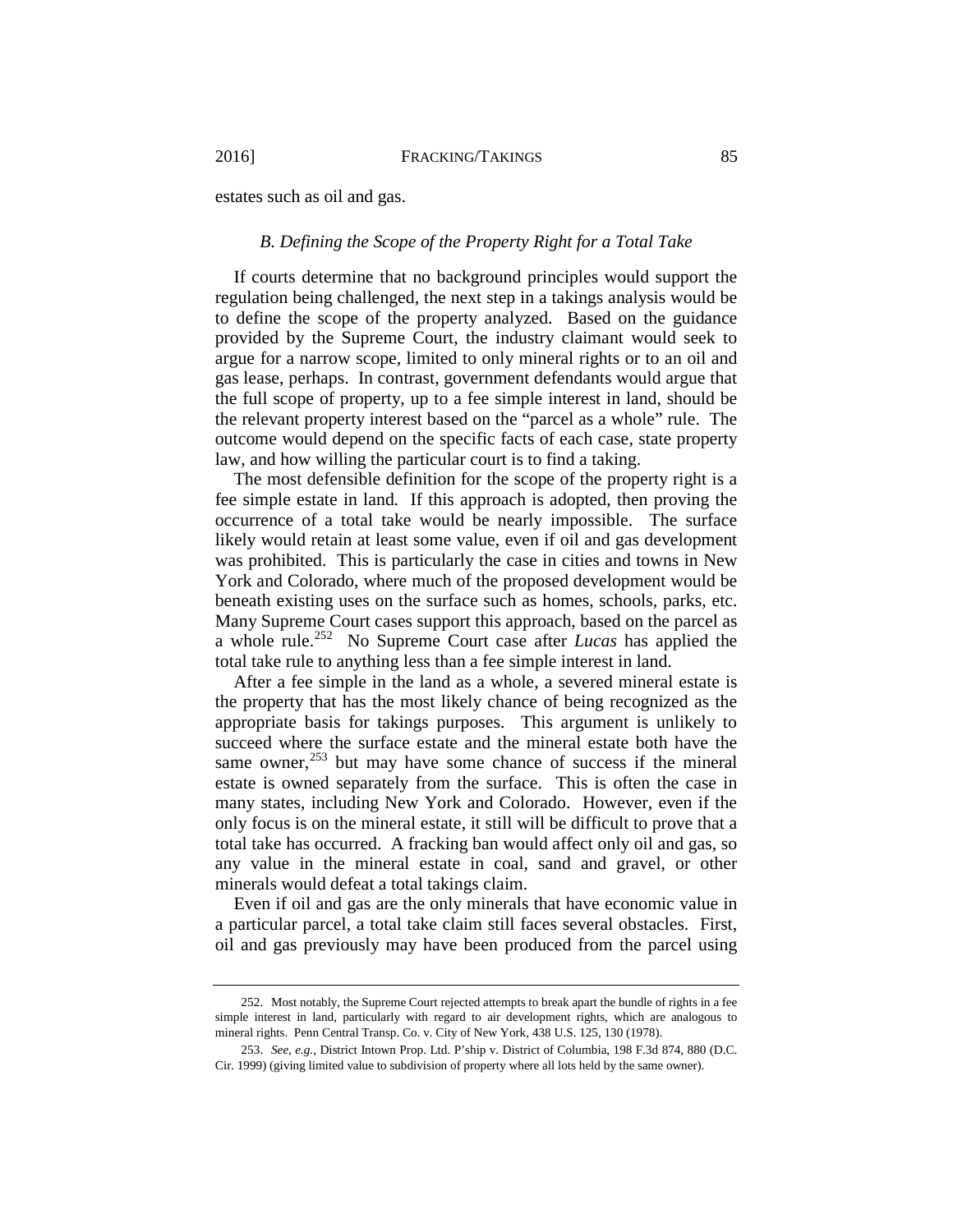<span id="page-49-0"></span>estates such as oil and gas.

## *B. Defining the Scope of the Property Right for a Total Take*

If courts determine that no background principles would support the regulation being challenged, the next step in a takings analysis would be to define the scope of the property analyzed. Based on the guidance provided by the Supreme Court, the industry claimant would seek to argue for a narrow scope, limited to only mineral rights or to an oil and gas lease, perhaps. In contrast, government defendants would argue that the full scope of property, up to a fee simple interest in land, should be the relevant property interest based on the "parcel as a whole" rule. The outcome would depend on the specific facts of each case, state property law, and how willing the particular court is to find a taking.

The most defensible definition for the scope of the property right is a fee simple estate in land. If this approach is adopted, then proving the occurrence of a total take would be nearly impossible. The surface likely would retain at least some value, even if oil and gas development was prohibited. This is particularly the case in cities and towns in New York and Colorado, where much of the proposed development would be beneath existing uses on the surface such as homes, schools, parks, etc. Many Supreme Court cases support this approach, based on the parcel as a whole rule.<sup>252</sup> No Supreme Court case after *Lucas* has applied the total take rule to anything less than a fee simple interest in land.

After a fee simple in the land as a whole, a severed mineral estate is the property that has the most likely chance of being recognized as the appropriate basis for takings purposes. This argument is unlikely to succeed where the surface estate and the mineral estate both have the same owner, $^{253}$  $^{253}$  $^{253}$  but may have some chance of success if the mineral estate is owned separately from the surface. This is often the case in many states, including New York and Colorado. However, even if the only focus is on the mineral estate, it still will be difficult to prove that a total take has occurred. A fracking ban would affect only oil and gas, so any value in the mineral estate in coal, sand and gravel, or other minerals would defeat a total takings claim.

Even if oil and gas are the only minerals that have economic value in a particular parcel, a total take claim still faces several obstacles. First, oil and gas previously may have been produced from the parcel using

<span id="page-49-1"></span><sup>252.</sup> Most notably, the Supreme Court rejected attempts to break apart the bundle of rights in a fee simple interest in land, particularly with regard to air development rights, which are analogous to mineral rights. Penn Central Transp. Co. v. City of New York, 438 U.S. 125, 130 (1978).

<span id="page-49-2"></span><sup>253.</sup> *See, e.g.*, District Intown Prop. Ltd. P'ship v. District of Columbia, 198 F.3d 874, 880 (D.C. Cir. 1999) (giving limited value to subdivision of property where all lots held by the same owner).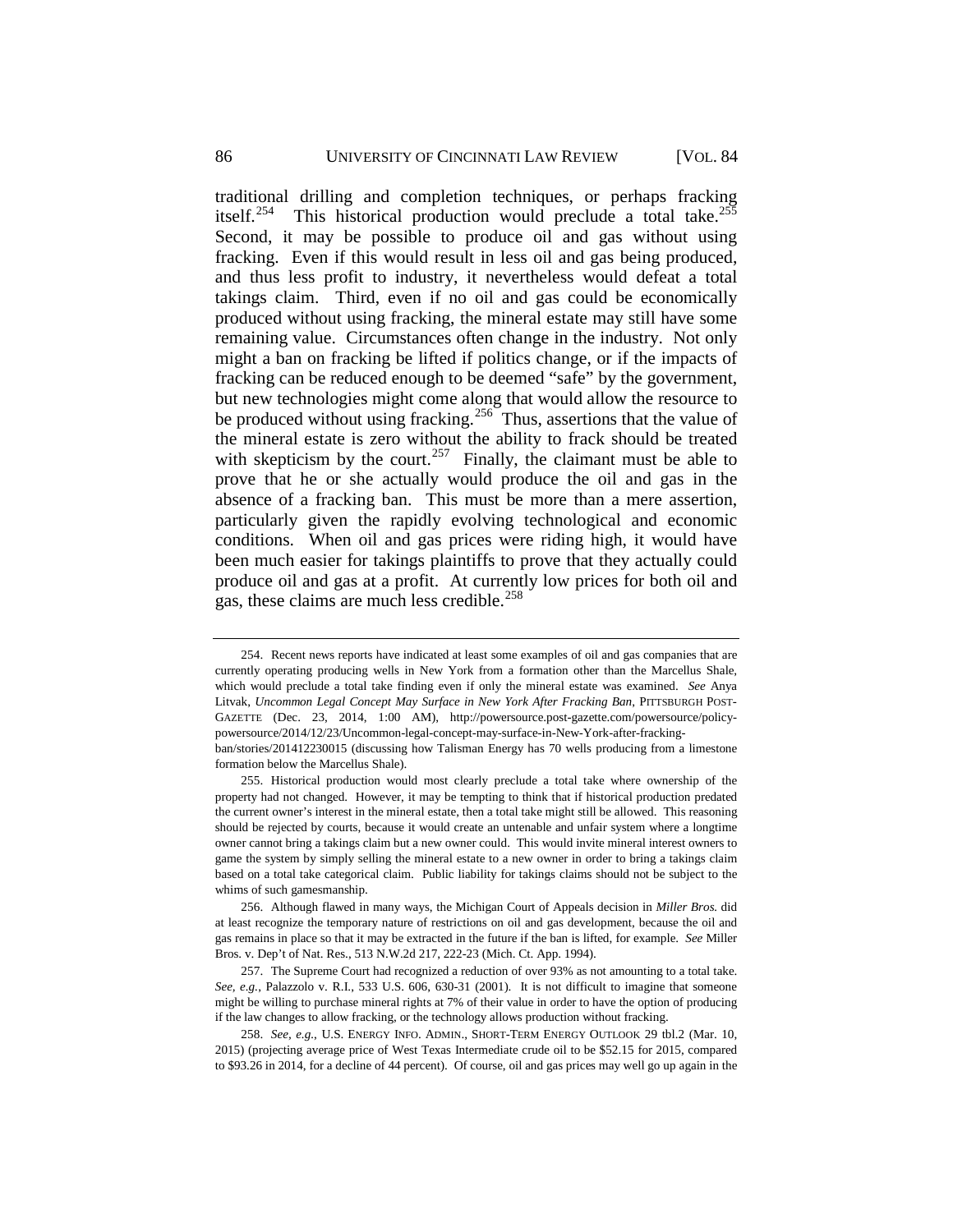traditional drilling and completion techniques, or perhaps fracking itself.<sup>[254](#page-50-0)</sup> This historical production would preclude a total take.<sup>255</sup> Second, it may be possible to produce oil and gas without using fracking. Even if this would result in less oil and gas being produced, and thus less profit to industry, it nevertheless would defeat a total takings claim. Third, even if no oil and gas could be economically produced without using fracking, the mineral estate may still have some remaining value. Circumstances often change in the industry. Not only might a ban on fracking be lifted if politics change, or if the impacts of fracking can be reduced enough to be deemed "safe" by the government, but new technologies might come along that would allow the resource to be produced without using fracking.<sup>256</sup> Thus, assertions that the value of the mineral estate is zero without the ability to frack should be treated with skepticism by the court.<sup>[257](#page-50-3)</sup> Finally, the claimant must be able to prove that he or she actually would produce the oil and gas in the absence of a fracking ban. This must be more than a mere assertion, particularly given the rapidly evolving technological and economic conditions. When oil and gas prices were riding high, it would have been much easier for takings plaintiffs to prove that they actually could produce oil and gas at a profit. At currently low prices for both oil and gas, these claims are much less credible.<sup>[258](#page-50-4)</sup>

formation below the Marcellus Shale).

<span id="page-50-5"></span><span id="page-50-0"></span><sup>254.</sup> Recent news reports have indicated at least some examples of oil and gas companies that are currently operating producing wells in New York from a formation other than the Marcellus Shale, which would preclude a total take finding even if only the mineral estate was examined. *See* Anya Litvak, *Uncommon Legal Concept May Surface in New York After Fracking Ban*, PITTSBURGH POST-GAZETTE (Dec. 23, 2014, 1:00 AM), http://powersource.post-gazette.com/powersource/policypowersource/2014/12/23/Uncommon-legal-concept-may-surface-in-New-York-after-frackingban/stories/201412230015 (discussing how Talisman Energy has 70 wells producing from a limestone

<span id="page-50-1"></span><sup>255.</sup> Historical production would most clearly preclude a total take where ownership of the property had not changed. However, it may be tempting to think that if historical production predated the current owner's interest in the mineral estate, then a total take might still be allowed. This reasoning should be rejected by courts, because it would create an untenable and unfair system where a longtime owner cannot bring a takings claim but a new owner could. This would invite mineral interest owners to game the system by simply selling the mineral estate to a new owner in order to bring a takings claim based on a total take categorical claim. Public liability for takings claims should not be subject to the whims of such gamesmanship.

<span id="page-50-2"></span><sup>256.</sup> Although flawed in many ways, the Michigan Court of Appeals decision in *Miller Bros.* did at least recognize the temporary nature of restrictions on oil and gas development, because the oil and gas remains in place so that it may be extracted in the future if the ban is lifted, for example. *See* Miller Bros. v. Dep't of Nat. Res., 513 N.W.2d 217, 222-23 (Mich. Ct. App. 1994).

<span id="page-50-3"></span><sup>257.</sup> The Supreme Court had recognized a reduction of over 93% as not amounting to a total take. *See, e.g.*, Palazzolo v. R.I., 533 U.S. 606, 630-31 (2001). It is not difficult to imagine that someone might be willing to purchase mineral rights at 7% of their value in order to have the option of producing if the law changes to allow fracking, or the technology allows production without fracking.

<span id="page-50-4"></span><sup>258.</sup> *See, e.g.*, U.S. ENERGY INFO. ADMIN., SHORT-TERM ENERGY OUTLOOK 29 tbl.2 (Mar. 10, 2015) (projecting average price of West Texas Intermediate crude oil to be \$52.15 for 2015, compared to \$93.26 in 2014, for a decline of 44 percent). Of course, oil and gas prices may well go up again in the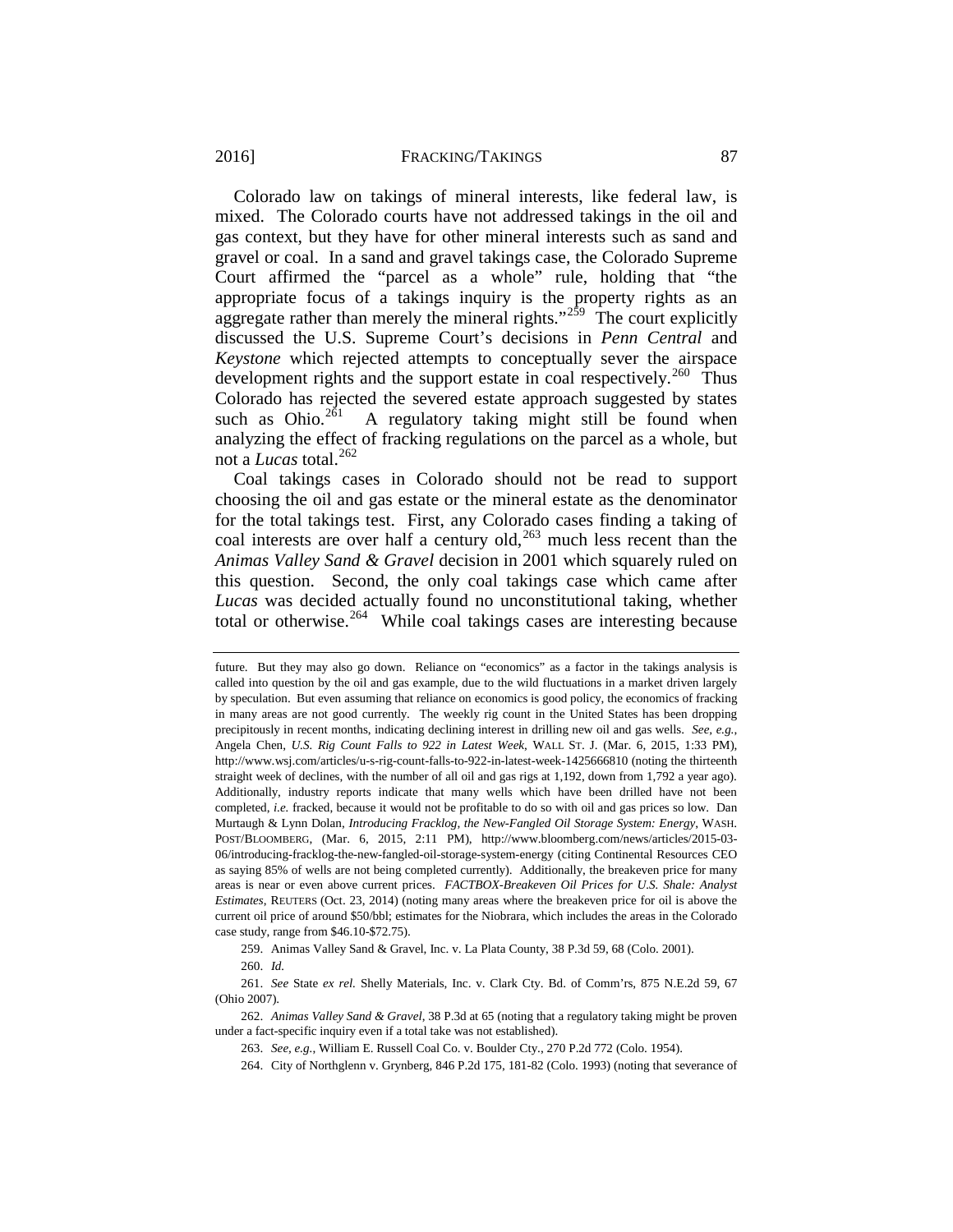#### 2016] **FRACKING/TAKINGS** 87

Colorado law on takings of mineral interests, like federal law, is mixed. The Colorado courts have not addressed takings in the oil and gas context, but they have for other mineral interests such as sand and gravel or coal. In a sand and gravel takings case, the Colorado Supreme Court affirmed the "parcel as a whole" rule, holding that "the appropriate focus of a takings inquiry is the property rights as an aggregate rather than merely the mineral rights."<sup>[259](#page-51-0)</sup> The court explicitly discussed the U.S. Supreme Court's decisions in *Penn Central* and *Keystone* which rejected attempts to conceptually sever the airspace development rights and the support estate in coal respectively.<sup>260</sup> Thus Colorado has rejected the severed estate approach suggested by states such as Ohio.<sup>261</sup> A regulatory taking might still be found when A regulatory taking might still be found when analyzing the effect of fracking regulations on the parcel as a whole, but not a *Lucas* total. [262](#page-51-3)

Coal takings cases in Colorado should not be read to support choosing the oil and gas estate or the mineral estate as the denominator for the total takings test. First, any Colorado cases finding a taking of coal interests are over half a century old, $^{263}$  $^{263}$  $^{263}$  much less recent than the *Animas Valley Sand & Gravel* decision in 2001 which squarely ruled on this question. Second, the only coal takings case which came after *Lucas* was decided actually found no unconstitutional taking, whether total or otherwise.[264](#page-51-5) While coal takings cases are interesting because

259. Animas Valley Sand & Gravel, Inc. v. La Plata County, 38 P.3d 59, 68 (Colo. 2001).

264. City of Northglenn v. Grynberg, 846 P.2d 175, 181-82 (Colo. 1993) (noting that severance of

future. But they may also go down. Reliance on "economics" as a factor in the takings analysis is called into question by the oil and gas example, due to the wild fluctuations in a market driven largely by speculation. But even assuming that reliance on economics is good policy, the economics of fracking in many areas are not good currently. The weekly rig count in the United States has been dropping precipitously in recent months, indicating declining interest in drilling new oil and gas wells. *See, e.g.*, Angela Chen, *U.S. Rig Count Falls to 922 in Latest Week*, WALL ST. J. (Mar. 6, 2015, 1:33 PM), http://www.wsj.com/articles/u-s-rig-count-falls-to-922-in-latest-week-1425666810 (noting the thirteenth straight week of declines, with the number of all oil and gas rigs at 1,192, down from 1,792 a year ago). Additionally, industry reports indicate that many wells which have been drilled have not been completed, *i.e.* fracked, because it would not be profitable to do so with oil and gas prices so low. Dan Murtaugh & Lynn Dolan, *Introducing Fracklog, the New-Fangled Oil Storage System: Energy*, WASH. POST/BLOOMBERG, (Mar. 6, 2015, 2:11 PM), http://www.bloomberg.com/news/articles/2015-03- 06/introducing-fracklog-the-new-fangled-oil-storage-system-energy (citing Continental Resources CEO as saying 85% of wells are not being completed currently). Additionally, the breakeven price for many areas is near or even above current prices. *FACTBOX-Breakeven Oil Prices for U.S. Shale: Analyst Estimates*, REUTERS (Oct. 23, 2014) (noting many areas where the breakeven price for oil is above the current oil price of around \$50/bbl; estimates for the Niobrara, which includes the areas in the Colorado case study, range from \$46.10-\$72.75).

<sup>260.</sup> *Id.*

<span id="page-51-2"></span><span id="page-51-1"></span><span id="page-51-0"></span><sup>261.</sup> *See* State *ex rel.* Shelly Materials, Inc. v. Clark Cty. Bd. of Comm'rs, 875 N.E.2d 59, 67 (Ohio 2007).

<span id="page-51-5"></span><span id="page-51-4"></span><span id="page-51-3"></span><sup>262.</sup> *Animas Valley Sand & Gravel*, 38 P.3d at 65 (noting that a regulatory taking might be proven under a fact-specific inquiry even if a total take was not established).

<sup>263.</sup> *See, e.g.*, William E. Russell Coal Co. v. Boulder Cty., 270 P.2d 772 (Colo. 1954).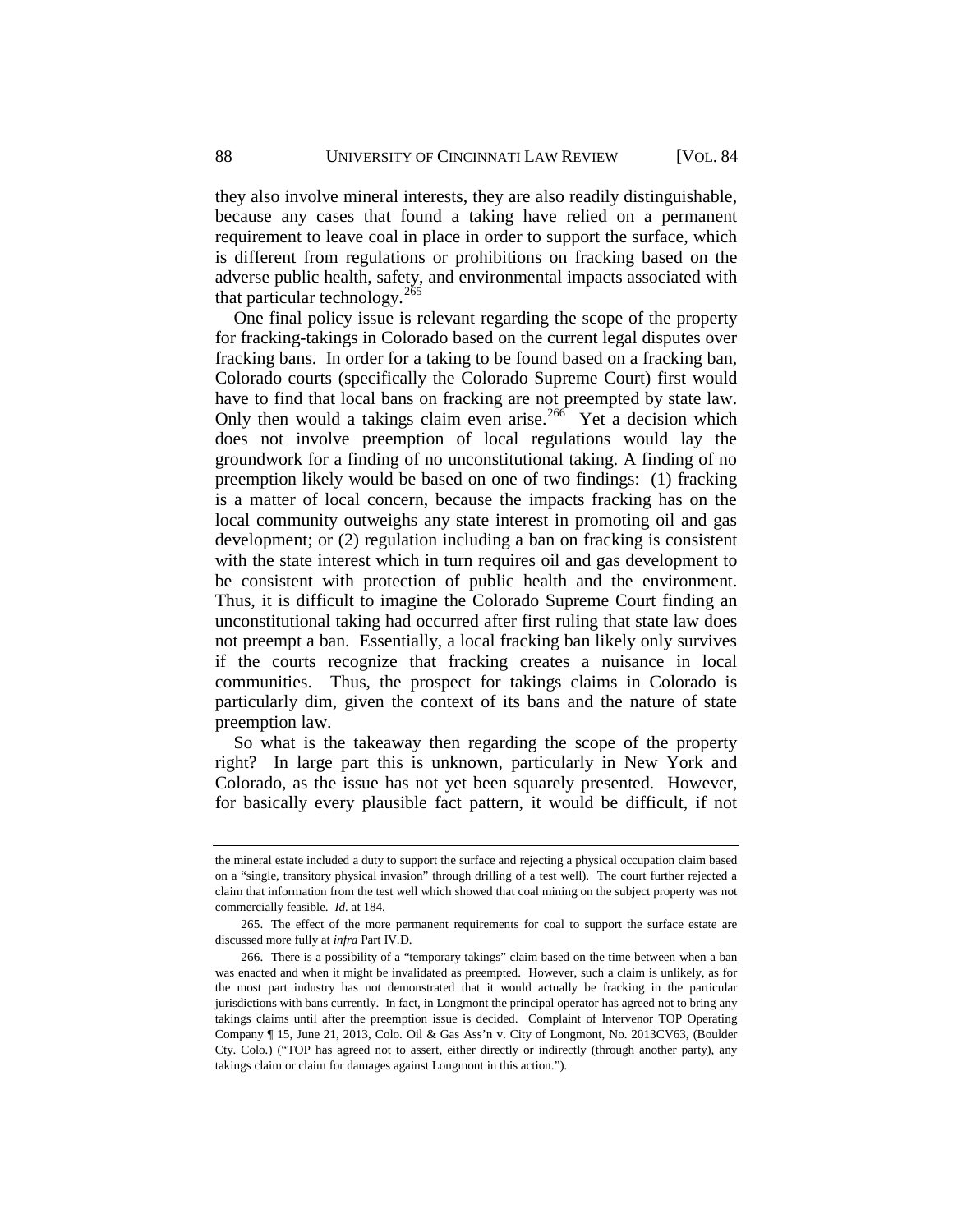they also involve mineral interests, they are also readily distinguishable, because any cases that found a taking have relied on a permanent requirement to leave coal in place in order to support the surface, which is different from regulations or prohibitions on fracking based on the adverse public health, safety, and environmental impacts associated with that particular technology.<sup>[265](#page-52-0)</sup>

One final policy issue is relevant regarding the scope of the property for fracking-takings in Colorado based on the current legal disputes over fracking bans. In order for a taking to be found based on a fracking ban, Colorado courts (specifically the Colorado Supreme Court) first would have to find that local bans on fracking are not preempted by state law. Only then would a takings claim even arise.<sup>[266](#page-52-1)</sup> Yet a decision which does not involve preemption of local regulations would lay the groundwork for a finding of no unconstitutional taking. A finding of no preemption likely would be based on one of two findings: (1) fracking is a matter of local concern, because the impacts fracking has on the local community outweighs any state interest in promoting oil and gas development; or (2) regulation including a ban on fracking is consistent with the state interest which in turn requires oil and gas development to be consistent with protection of public health and the environment. Thus, it is difficult to imagine the Colorado Supreme Court finding an unconstitutional taking had occurred after first ruling that state law does not preempt a ban. Essentially, a local fracking ban likely only survives if the courts recognize that fracking creates a nuisance in local communities. Thus, the prospect for takings claims in Colorado is particularly dim, given the context of its bans and the nature of state preemption law.

So what is the takeaway then regarding the scope of the property right? In large part this is unknown, particularly in New York and Colorado, as the issue has not yet been squarely presented. However, for basically every plausible fact pattern, it would be difficult, if not

the mineral estate included a duty to support the surface and rejecting a physical occupation claim based on a "single, transitory physical invasion" through drilling of a test well). The court further rejected a claim that information from the test well which showed that coal mining on the subject property was not commercially feasible. *Id.* at 184.

<span id="page-52-0"></span><sup>265.</sup> The effect of the more permanent requirements for coal to support the surface estate are discussed more fully at *infra* Part IV.D.

<span id="page-52-1"></span><sup>266.</sup> There is a possibility of a "temporary takings" claim based on the time between when a ban was enacted and when it might be invalidated as preempted. However, such a claim is unlikely, as for the most part industry has not demonstrated that it would actually be fracking in the particular jurisdictions with bans currently. In fact, in Longmont the principal operator has agreed not to bring any takings claims until after the preemption issue is decided. Complaint of Intervenor TOP Operating Company ¶ 15, June 21, 2013, Colo. Oil & Gas Ass'n v. City of Longmont, No. 2013CV63, (Boulder Cty. Colo.) ("TOP has agreed not to assert, either directly or indirectly (through another party), any takings claim or claim for damages against Longmont in this action.").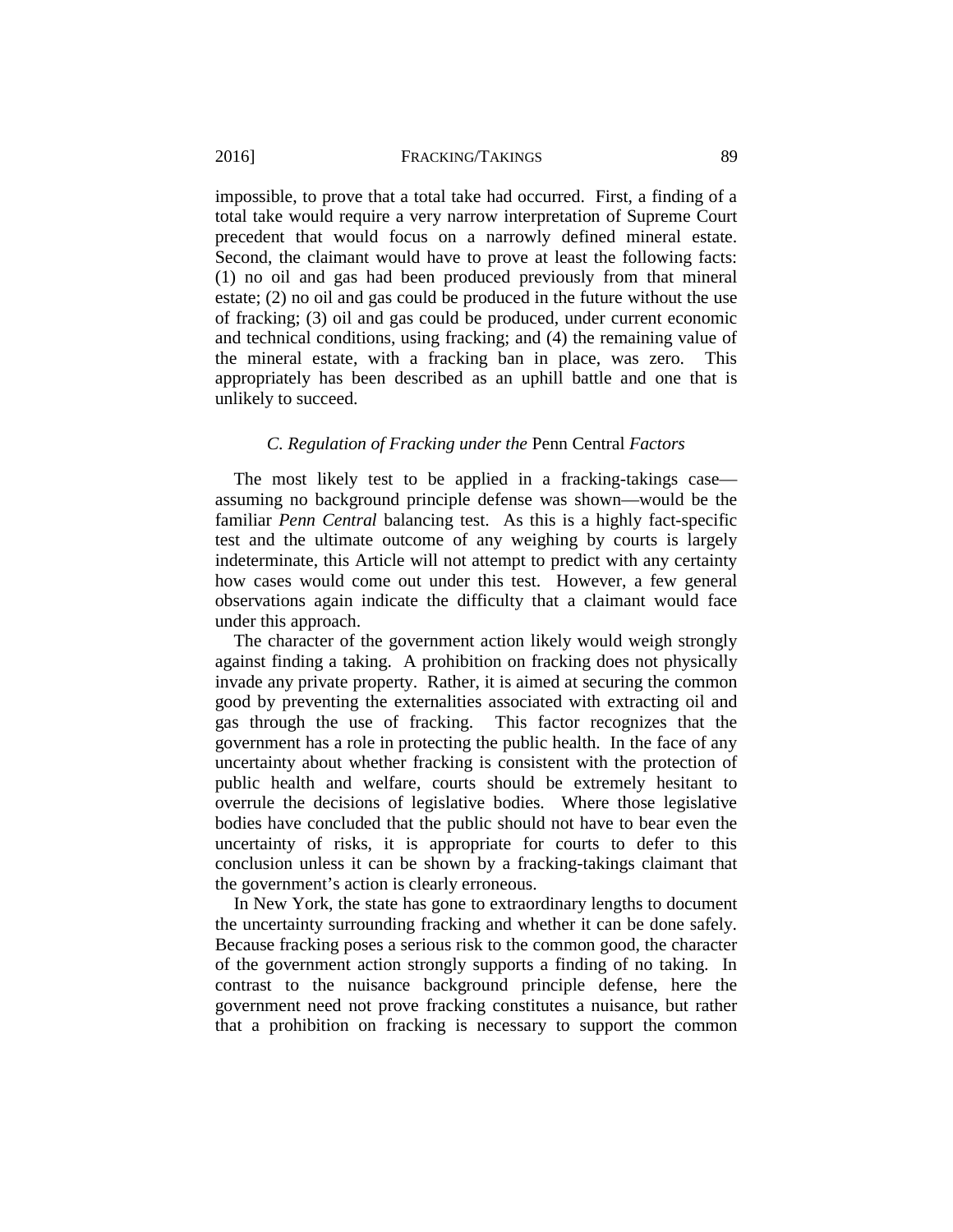impossible, to prove that a total take had occurred. First, a finding of a total take would require a very narrow interpretation of Supreme Court precedent that would focus on a narrowly defined mineral estate. Second, the claimant would have to prove at least the following facts: (1) no oil and gas had been produced previously from that mineral estate; (2) no oil and gas could be produced in the future without the use of fracking; (3) oil and gas could be produced, under current economic and technical conditions, using fracking; and (4) the remaining value of the mineral estate, with a fracking ban in place, was zero. This appropriately has been described as an uphill battle and one that is unlikely to succeed.

## <span id="page-53-0"></span>*C. Regulation of Fracking under the* Penn Central *Factors*

The most likely test to be applied in a fracking-takings case assuming no background principle defense was shown—would be the familiar *Penn Central* balancing test. As this is a highly fact-specific test and the ultimate outcome of any weighing by courts is largely indeterminate, this Article will not attempt to predict with any certainty how cases would come out under this test. However, a few general observations again indicate the difficulty that a claimant would face under this approach.

The character of the government action likely would weigh strongly against finding a taking. A prohibition on fracking does not physically invade any private property. Rather, it is aimed at securing the common good by preventing the externalities associated with extracting oil and gas through the use of fracking. This factor recognizes that the government has a role in protecting the public health. In the face of any uncertainty about whether fracking is consistent with the protection of public health and welfare, courts should be extremely hesitant to overrule the decisions of legislative bodies. Where those legislative bodies have concluded that the public should not have to bear even the uncertainty of risks, it is appropriate for courts to defer to this conclusion unless it can be shown by a fracking-takings claimant that the government's action is clearly erroneous.

In New York, the state has gone to extraordinary lengths to document the uncertainty surrounding fracking and whether it can be done safely. Because fracking poses a serious risk to the common good, the character of the government action strongly supports a finding of no taking. In contrast to the nuisance background principle defense, here the government need not prove fracking constitutes a nuisance, but rather that a prohibition on fracking is necessary to support the common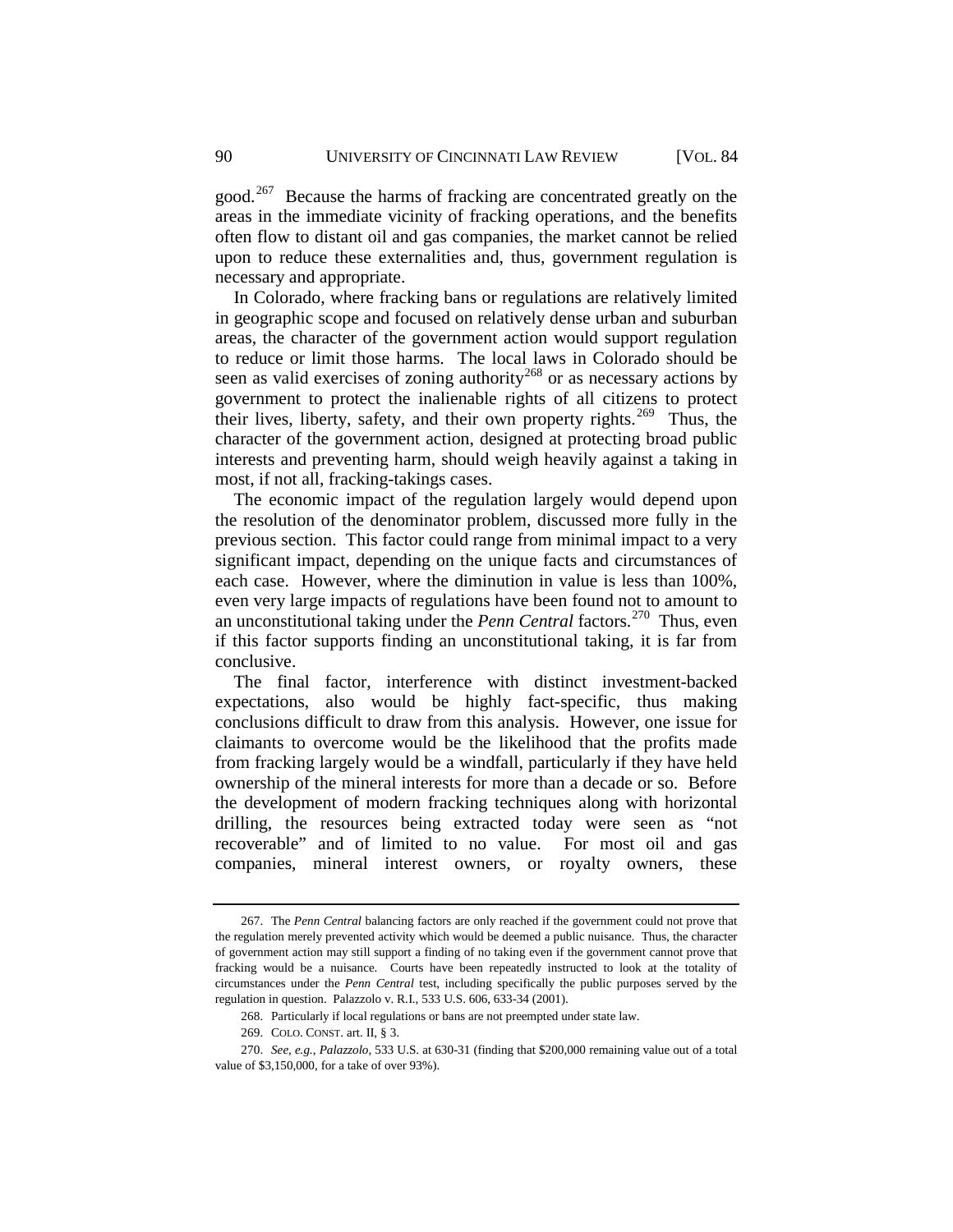good.<sup>[267](#page-54-0)</sup> Because the harms of fracking are concentrated greatly on the areas in the immediate vicinity of fracking operations, and the benefits often flow to distant oil and gas companies, the market cannot be relied upon to reduce these externalities and, thus, government regulation is necessary and appropriate.

In Colorado, where fracking bans or regulations are relatively limited in geographic scope and focused on relatively dense urban and suburban areas, the character of the government action would support regulation to reduce or limit those harms. The local laws in Colorado should be seen as valid exercises of zoning authority<sup>[268](#page-54-1)</sup> or as necessary actions by government to protect the inalienable rights of all citizens to protect their lives, liberty, safety, and their own property rights.<sup>269</sup> Thus, the character of the government action, designed at protecting broad public interests and preventing harm, should weigh heavily against a taking in most, if not all, fracking-takings cases.

The economic impact of the regulation largely would depend upon the resolution of the denominator problem, discussed more fully in the previous section. This factor could range from minimal impact to a very significant impact, depending on the unique facts and circumstances of each case. However, where the diminution in value is less than 100%, even very large impacts of regulations have been found not to amount to an unconstitutional taking under the *Penn Central* factors.<sup>270</sup> Thus, even if this factor supports finding an unconstitutional taking, it is far from conclusive.

The final factor, interference with distinct investment-backed expectations, also would be highly fact-specific, thus making conclusions difficult to draw from this analysis. However, one issue for claimants to overcome would be the likelihood that the profits made from fracking largely would be a windfall, particularly if they have held ownership of the mineral interests for more than a decade or so. Before the development of modern fracking techniques along with horizontal drilling, the resources being extracted today were seen as "not recoverable" and of limited to no value. For most oil and gas companies, mineral interest owners, or royalty owners, these

<span id="page-54-0"></span><sup>267.</sup> The *Penn Central* balancing factors are only reached if the government could not prove that the regulation merely prevented activity which would be deemed a public nuisance. Thus, the character of government action may still support a finding of no taking even if the government cannot prove that fracking would be a nuisance. Courts have been repeatedly instructed to look at the totality of circumstances under the *Penn Central* test, including specifically the public purposes served by the regulation in question. Palazzolo v. R.I., 533 U.S. 606, 633-34 (2001).

<sup>268.</sup> Particularly if local regulations or bans are not preempted under state law.

<sup>269.</sup> COLO. CONST. art. II, § 3.

<span id="page-54-3"></span><span id="page-54-2"></span><span id="page-54-1"></span><sup>270.</sup> *See, e.g.*, *Palazzolo*, 533 U.S. at 630-31 (finding that \$200,000 remaining value out of a total value of \$3,150,000, for a take of over 93%).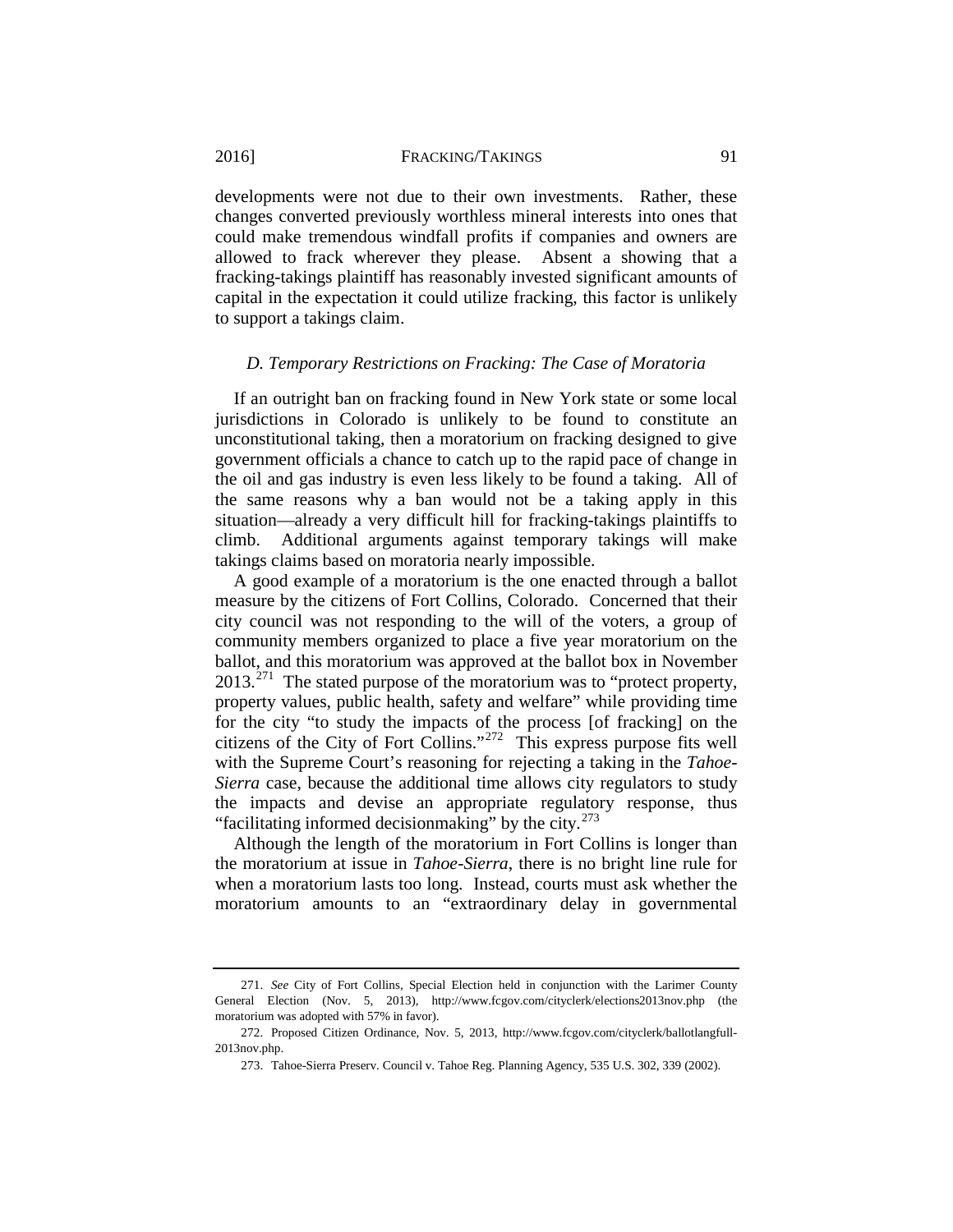developments were not due to their own investments. Rather, these changes converted previously worthless mineral interests into ones that could make tremendous windfall profits if companies and owners are allowed to frack wherever they please. Absent a showing that a fracking-takings plaintiff has reasonably invested significant amounts of capital in the expectation it could utilize fracking, this factor is unlikely to support a takings claim.

## <span id="page-55-0"></span>*D. Temporary Restrictions on Fracking: The Case of Moratoria*

If an outright ban on fracking found in New York state or some local jurisdictions in Colorado is unlikely to be found to constitute an unconstitutional taking, then a moratorium on fracking designed to give government officials a chance to catch up to the rapid pace of change in the oil and gas industry is even less likely to be found a taking. All of the same reasons why a ban would not be a taking apply in this situation—already a very difficult hill for fracking-takings plaintiffs to climb. Additional arguments against temporary takings will make takings claims based on moratoria nearly impossible.

A good example of a moratorium is the one enacted through a ballot measure by the citizens of Fort Collins, Colorado. Concerned that their city council was not responding to the will of the voters, a group of community members organized to place a five year moratorium on the ballot, and this moratorium was approved at the ballot box in November  $2013.<sup>271</sup>$  $2013.<sup>271</sup>$  $2013.<sup>271</sup>$  The stated purpose of the moratorium was to "protect property, property values, public health, safety and welfare" while providing time for the city "to study the impacts of the process [of fracking] on the citizens of the City of Fort Collins."[272](#page-55-2) This express purpose fits well with the Supreme Court's reasoning for rejecting a taking in the *Tahoe-Sierra* case, because the additional time allows city regulators to study the impacts and devise an appropriate regulatory response, thus "facilitating informed decision making" by the city. $273$ 

<span id="page-55-4"></span>Although the length of the moratorium in Fort Collins is longer than the moratorium at issue in *Tahoe-Sierra*, there is no bright line rule for when a moratorium lasts too long. Instead, courts must ask whether the moratorium amounts to an "extraordinary delay in governmental

<span id="page-55-1"></span><sup>271.</sup> *See* City of Fort Collins, Special Election held in conjunction with the Larimer County General Election (Nov. 5, 2013), http://www.fcgov.com/cityclerk/elections2013nov.php (the moratorium was adopted with 57% in favor).

<span id="page-55-3"></span><span id="page-55-2"></span><sup>272.</sup> Proposed Citizen Ordinance, Nov. 5, 2013, http://www.fcgov.com/cityclerk/ballotlangfull-2013nov.php.

<sup>273.</sup> Tahoe-Sierra Preserv. Council v. Tahoe Reg. Planning Agency, 535 U.S. 302, 339 (2002).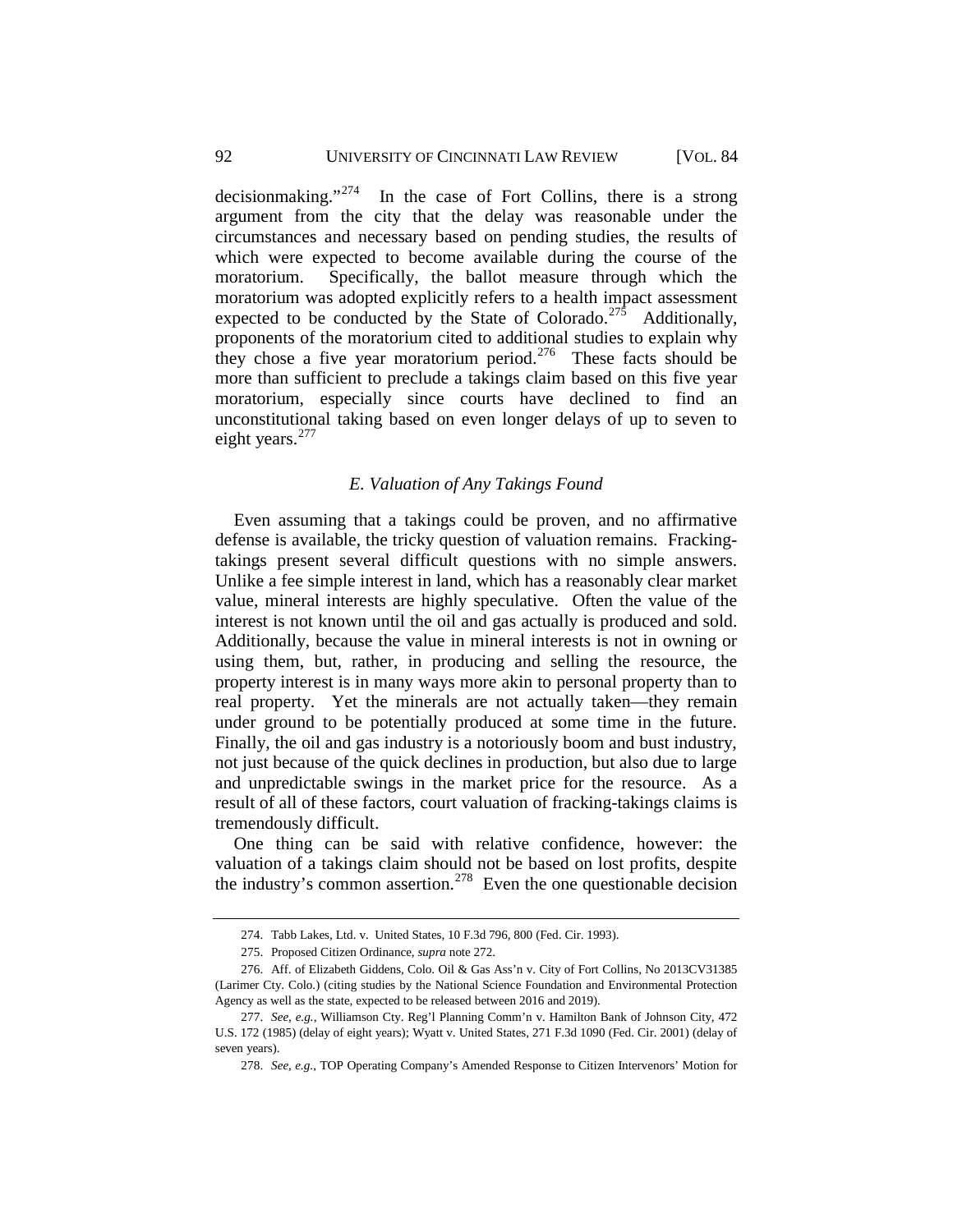## 92 UNIVERSITY OF CINCINNATI LAW REVIEW [VOL. 84

decisionmaking."[274](#page-56-1) In the case of Fort Collins, there is a strong argument from the city that the delay was reasonable under the circumstances and necessary based on pending studies, the results of which were expected to become available during the course of the moratorium. Specifically, the ballot measure through which the moratorium was adopted explicitly refers to a health impact assessment expected to be conducted by the State of Colorado.<sup>[275](#page-56-2)</sup> Additionally, proponents of the moratorium cited to additional studies to explain why they chose a five year moratorium period.<sup>[276](#page-56-3)</sup> These facts should be more than sufficient to preclude a takings claim based on this five year moratorium, especially since courts have declined to find an unconstitutional taking based on even longer delays of up to seven to eight years. $277$ 

## *E. Valuation of Any Takings Found*

<span id="page-56-0"></span>Even assuming that a takings could be proven, and no affirmative defense is available, the tricky question of valuation remains. Frackingtakings present several difficult questions with no simple answers. Unlike a fee simple interest in land, which has a reasonably clear market value, mineral interests are highly speculative. Often the value of the interest is not known until the oil and gas actually is produced and sold. Additionally, because the value in mineral interests is not in owning or using them, but, rather, in producing and selling the resource, the property interest is in many ways more akin to personal property than to real property. Yet the minerals are not actually taken—they remain under ground to be potentially produced at some time in the future. Finally, the oil and gas industry is a notoriously boom and bust industry, not just because of the quick declines in production, but also due to large and unpredictable swings in the market price for the resource. As a result of all of these factors, court valuation of fracking-takings claims is tremendously difficult.

One thing can be said with relative confidence, however: the valuation of a takings claim should not be based on lost profits, despite the industry's common assertion.<sup>[278](#page-56-5)</sup> Even the one questionable decision

<sup>274.</sup> Tabb Lakes, Ltd. v. United States, 10 F.3d 796, 800 (Fed. Cir. 1993).

<sup>275.</sup> Proposed Citizen Ordinance, *supra* not[e 272.](#page-55-4)

<span id="page-56-3"></span><span id="page-56-2"></span><span id="page-56-1"></span><sup>276.</sup> Aff. of Elizabeth Giddens, Colo. Oil & Gas Ass'n v. City of Fort Collins, No 2013CV31385 (Larimer Cty. Colo.) (citing studies by the National Science Foundation and Environmental Protection Agency as well as the state, expected to be released between 2016 and 2019).

<span id="page-56-5"></span><span id="page-56-4"></span><sup>277.</sup> *See, e.g.*, Williamson Cty. Reg'l Planning Comm'n v. Hamilton Bank of Johnson City, 472 U.S. 172 (1985) (delay of eight years); Wyatt v. United States, 271 F.3d 1090 (Fed. Cir. 2001) (delay of seven years).

<sup>278.</sup> *See, e.g.*, TOP Operating Company's Amended Response to Citizen Intervenors' Motion for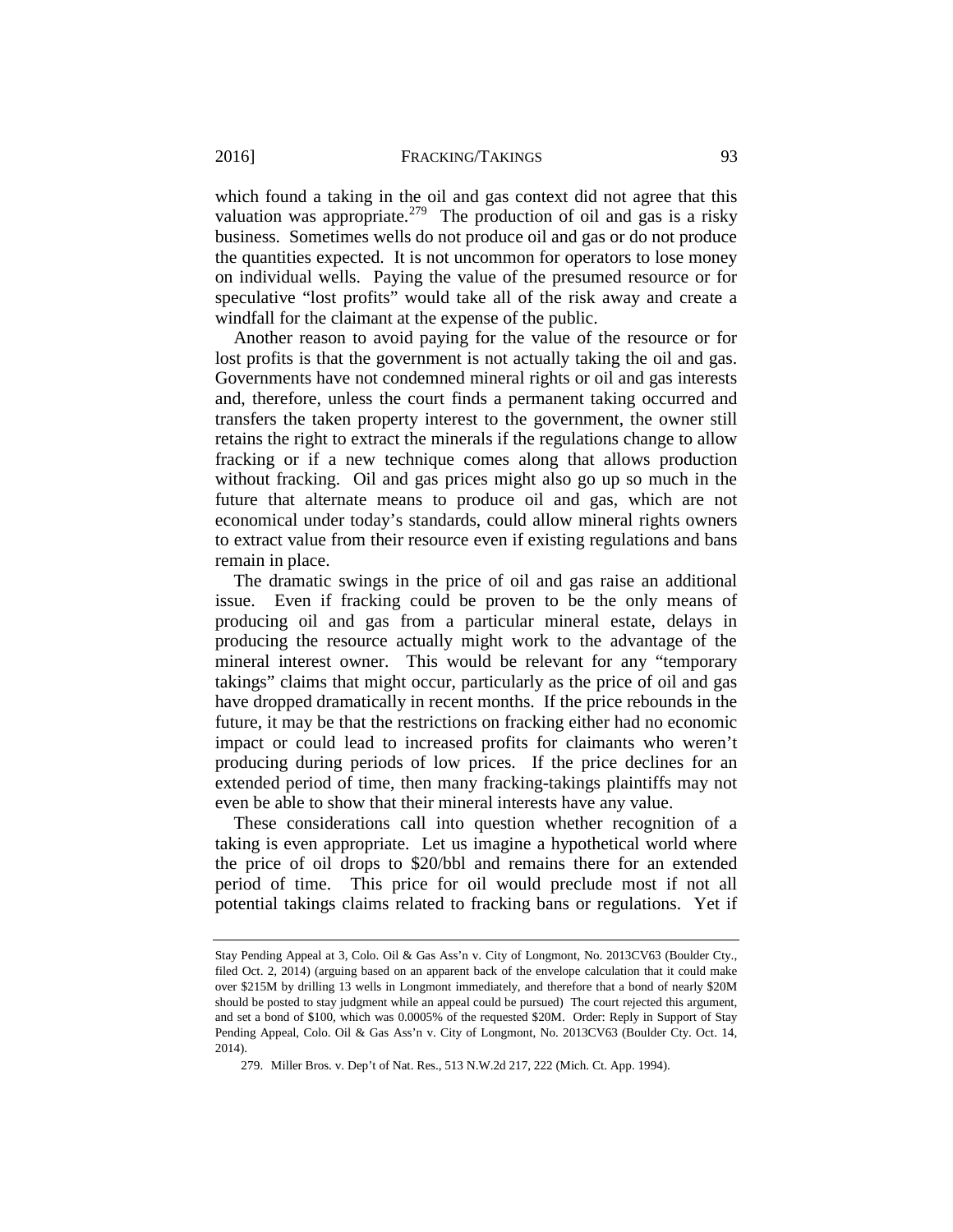which found a taking in the oil and gas context did not agree that this valuation was appropriate.<sup>279</sup> The production of oil and gas is a risky business. Sometimes wells do not produce oil and gas or do not produce the quantities expected. It is not uncommon for operators to lose money on individual wells. Paying the value of the presumed resource or for speculative "lost profits" would take all of the risk away and create a windfall for the claimant at the expense of the public.

Another reason to avoid paying for the value of the resource or for lost profits is that the government is not actually taking the oil and gas. Governments have not condemned mineral rights or oil and gas interests and, therefore, unless the court finds a permanent taking occurred and transfers the taken property interest to the government, the owner still retains the right to extract the minerals if the regulations change to allow fracking or if a new technique comes along that allows production without fracking. Oil and gas prices might also go up so much in the future that alternate means to produce oil and gas, which are not economical under today's standards, could allow mineral rights owners to extract value from their resource even if existing regulations and bans remain in place.

The dramatic swings in the price of oil and gas raise an additional issue. Even if fracking could be proven to be the only means of producing oil and gas from a particular mineral estate, delays in producing the resource actually might work to the advantage of the mineral interest owner. This would be relevant for any "temporary takings" claims that might occur, particularly as the price of oil and gas have dropped dramatically in recent months. If the price rebounds in the future, it may be that the restrictions on fracking either had no economic impact or could lead to increased profits for claimants who weren't producing during periods of low prices. If the price declines for an extended period of time, then many fracking-takings plaintiffs may not even be able to show that their mineral interests have any value.

These considerations call into question whether recognition of a taking is even appropriate. Let us imagine a hypothetical world where the price of oil drops to \$20/bbl and remains there for an extended period of time. This price for oil would preclude most if not all potential takings claims related to fracking bans or regulations. Yet if

Stay Pending Appeal at 3, Colo. Oil & Gas Ass'n v. City of Longmont, No. 2013CV63 (Boulder Cty., filed Oct. 2, 2014) (arguing based on an apparent back of the envelope calculation that it could make over \$215M by drilling 13 wells in Longmont immediately, and therefore that a bond of nearly \$20M should be posted to stay judgment while an appeal could be pursued) The court rejected this argument, and set a bond of \$100, which was 0.0005% of the requested \$20M. Order: Reply in Support of Stay Pending Appeal, Colo. Oil & Gas Ass'n v. City of Longmont, No. 2013CV63 (Boulder Cty. Oct. 14, 2014).

<span id="page-57-0"></span><sup>279.</sup> Miller Bros. v. Dep't of Nat. Res., 513 N.W.2d 217, 222 (Mich. Ct. App. 1994).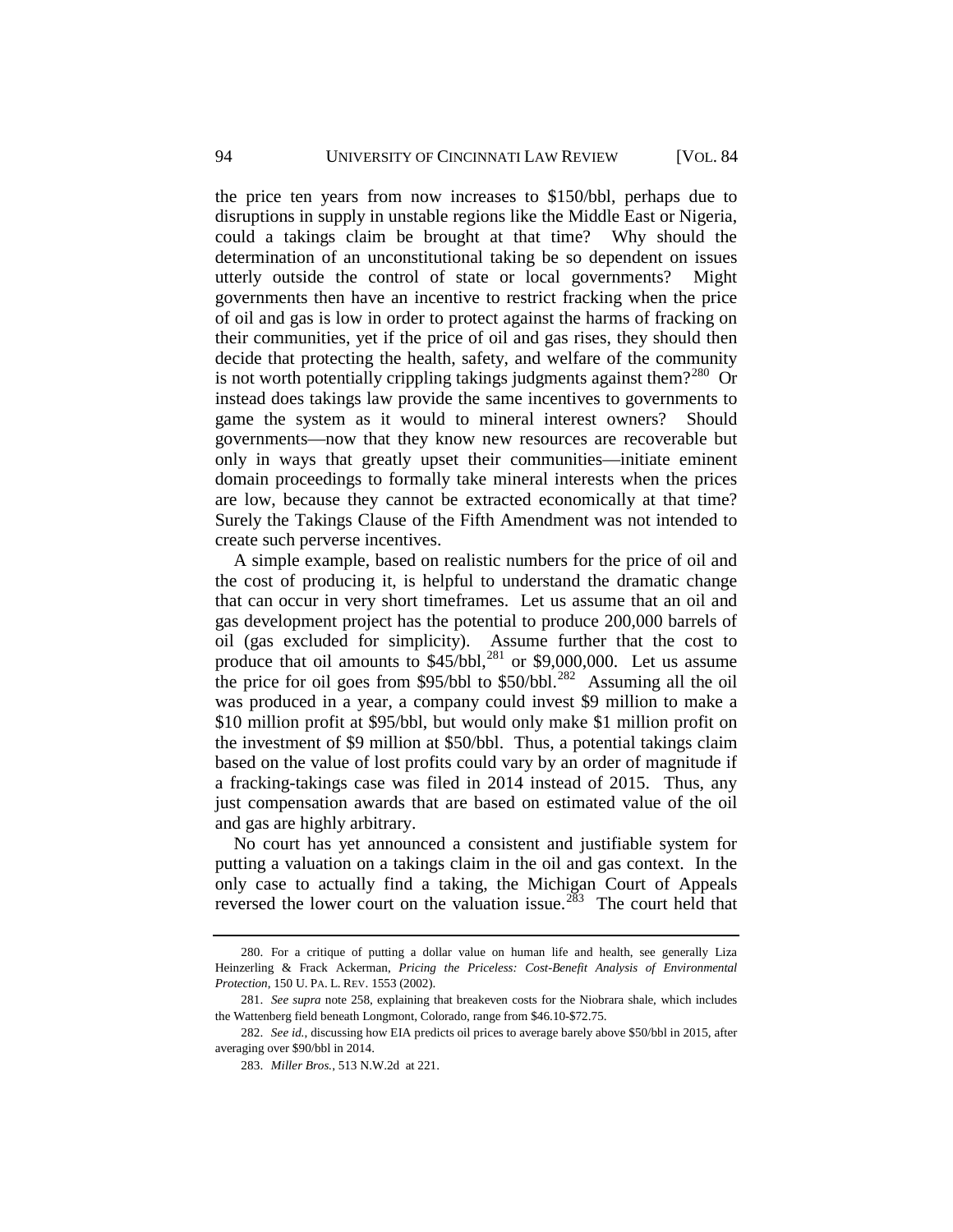the price ten years from now increases to \$150/bbl, perhaps due to disruptions in supply in unstable regions like the Middle East or Nigeria, could a takings claim be brought at that time? Why should the determination of an unconstitutional taking be so dependent on issues utterly outside the control of state or local governments? Might governments then have an incentive to restrict fracking when the price of oil and gas is low in order to protect against the harms of fracking on their communities, yet if the price of oil and gas rises, they should then decide that protecting the health, safety, and welfare of the community is not worth potentially crippling takings judgments against them?<sup>[280](#page-58-0)</sup> Or instead does takings law provide the same incentives to governments to game the system as it would to mineral interest owners? Should governments—now that they know new resources are recoverable but only in ways that greatly upset their communities—initiate eminent domain proceedings to formally take mineral interests when the prices are low, because they cannot be extracted economically at that time? Surely the Takings Clause of the Fifth Amendment was not intended to create such perverse incentives.

A simple example, based on realistic numbers for the price of oil and the cost of producing it, is helpful to understand the dramatic change that can occur in very short timeframes. Let us assume that an oil and gas development project has the potential to produce 200,000 barrels of oil (gas excluded for simplicity). Assume further that the cost to produce that oil amounts to  $$45/bb1$ ,<sup>[281](#page-58-1)</sup> or \$9,000,000. Let us assume the price for oil goes from \$95/bbl to  $$50/bbl.<sup>282</sup>$  Assuming all the oil was produced in a year, a company could invest \$9 million to make a \$10 million profit at \$95/bbl, but would only make \$1 million profit on the investment of \$9 million at \$50/bbl. Thus, a potential takings claim based on the value of lost profits could vary by an order of magnitude if a fracking-takings case was filed in 2014 instead of 2015. Thus, any just compensation awards that are based on estimated value of the oil and gas are highly arbitrary.

No court has yet announced a consistent and justifiable system for putting a valuation on a takings claim in the oil and gas context. In the only case to actually find a taking, the Michigan Court of Appeals reversed the lower court on the valuation issue.<sup>[283](#page-58-3)</sup> The court held that

<span id="page-58-0"></span><sup>280.</sup> For a critique of putting a dollar value on human life and health, see generally Liza Heinzerling & Frack Ackerman, *Pricing the Priceless: Cost-Benefit Analysis of Environmental Protection*, 150 U. PA. L. REV. 1553 (2002).

<span id="page-58-1"></span><sup>281.</sup> *See supra* note [258,](#page-50-5) explaining that breakeven costs for the Niobrara shale, which includes the Wattenberg field beneath Longmont, Colorado, range from \$46.10-\$72.75.

<span id="page-58-3"></span><span id="page-58-2"></span><sup>282.</sup> *See id.*, discussing how EIA predicts oil prices to average barely above \$50/bbl in 2015, after averaging over \$90/bbl in 2014.

<sup>283.</sup> *Miller Bros.*, 513 N.W.2d at 221.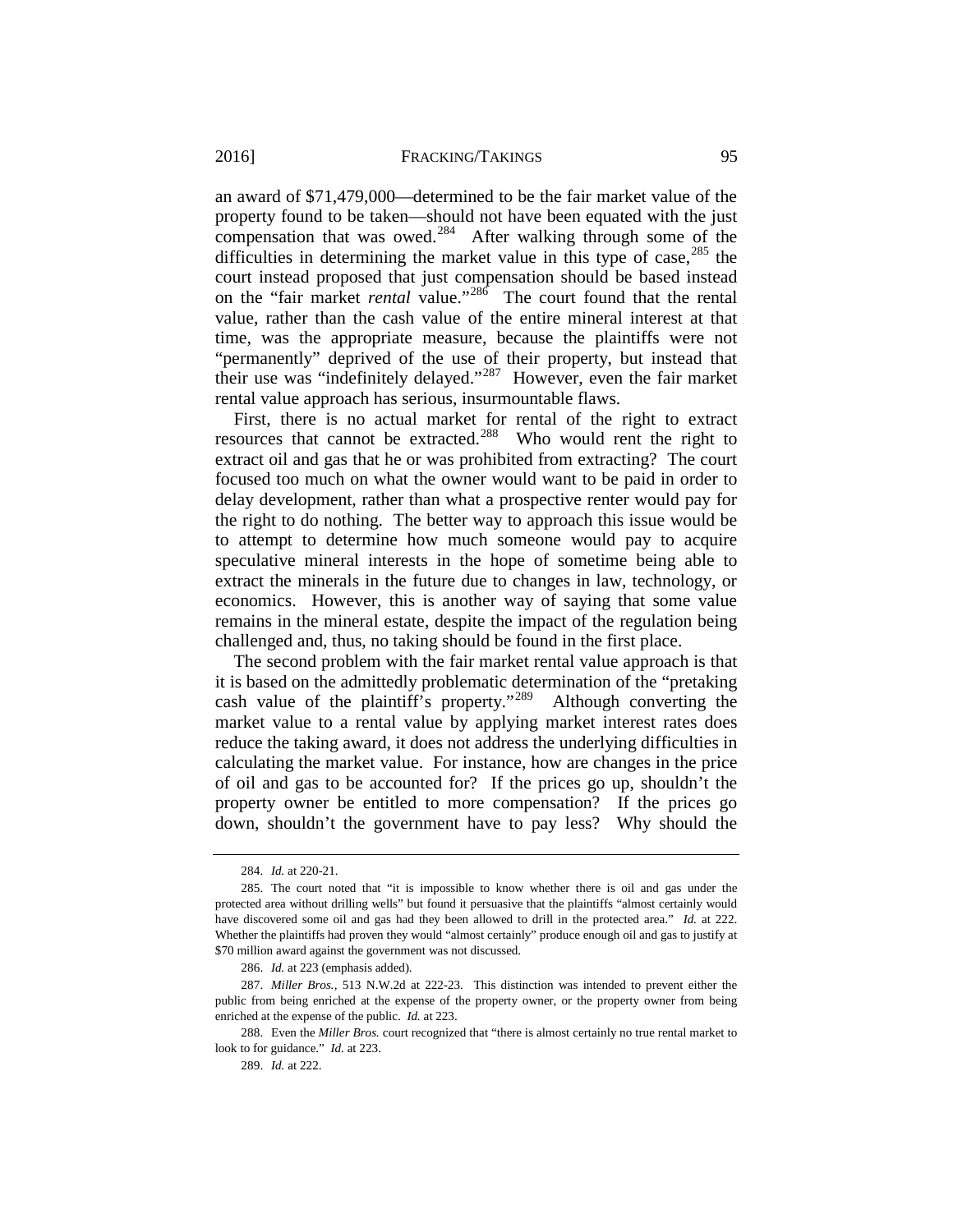#### 2016] **FRACKING/TAKINGS** 95

an award of \$71,479,000—determined to be the fair market value of the property found to be taken—should not have been equated with the just compensation that was owed.<sup>284</sup> After walking through some of the difficulties in determining the market value in this type of case,  $285$  the court instead proposed that just compensation should be based instead on the "fair market *rental* value."[286](#page-59-2) The court found that the rental value, rather than the cash value of the entire mineral interest at that time, was the appropriate measure, because the plaintiffs were not "permanently" deprived of the use of their property, but instead that their use was "indefinitely delayed."[287](#page-59-3) However, even the fair market rental value approach has serious, insurmountable flaws.

First, there is no actual market for rental of the right to extract resources that cannot be extracted.<sup>[288](#page-59-4)</sup> Who would rent the right to extract oil and gas that he or was prohibited from extracting? The court focused too much on what the owner would want to be paid in order to delay development, rather than what a prospective renter would pay for the right to do nothing. The better way to approach this issue would be to attempt to determine how much someone would pay to acquire speculative mineral interests in the hope of sometime being able to extract the minerals in the future due to changes in law, technology, or economics. However, this is another way of saying that some value remains in the mineral estate, despite the impact of the regulation being challenged and, thus, no taking should be found in the first place.

The second problem with the fair market rental value approach is that it is based on the admittedly problematic determination of the "pretaking cash value of the plaintiff's property."[289](#page-59-5) Although converting the market value to a rental value by applying market interest rates does reduce the taking award, it does not address the underlying difficulties in calculating the market value. For instance, how are changes in the price of oil and gas to be accounted for? If the prices go up, shouldn't the property owner be entitled to more compensation? If the prices go down, shouldn't the government have to pay less? Why should the

<sup>284.</sup> *Id.* at 220-21.

<span id="page-59-1"></span><span id="page-59-0"></span><sup>285.</sup> The court noted that "it is impossible to know whether there is oil and gas under the protected area without drilling wells" but found it persuasive that the plaintiffs "almost certainly would have discovered some oil and gas had they been allowed to drill in the protected area." *Id.* at 222. Whether the plaintiffs had proven they would "almost certainly" produce enough oil and gas to justify at \$70 million award against the government was not discussed.

<sup>286.</sup> *Id.* at 223 (emphasis added).

<span id="page-59-3"></span><span id="page-59-2"></span><sup>287.</sup> *Miller Bros.*, 513 N.W.2d at 222-23. This distinction was intended to prevent either the public from being enriched at the expense of the property owner, or the property owner from being enriched at the expense of the public. *Id.* at 223.

<span id="page-59-5"></span><span id="page-59-4"></span><sup>288.</sup> Even the *Miller Bros.* court recognized that "there is almost certainly no true rental market to look to for guidance." *Id.* at 223.

<sup>289.</sup> *Id.* at 222.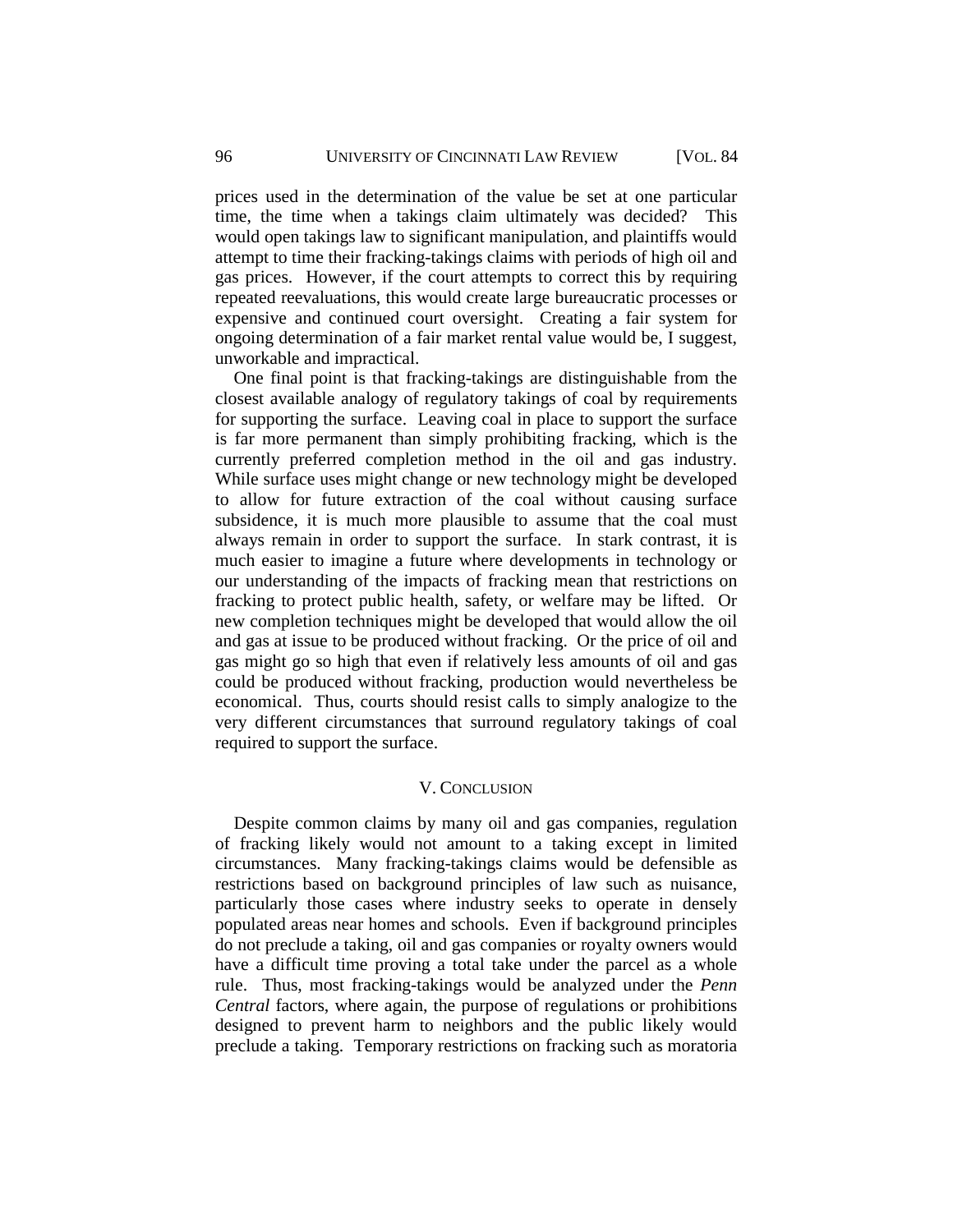prices used in the determination of the value be set at one particular time, the time when a takings claim ultimately was decided? This would open takings law to significant manipulation, and plaintiffs would attempt to time their fracking-takings claims with periods of high oil and gas prices. However, if the court attempts to correct this by requiring repeated reevaluations, this would create large bureaucratic processes or expensive and continued court oversight. Creating a fair system for ongoing determination of a fair market rental value would be, I suggest, unworkable and impractical.

One final point is that fracking-takings are distinguishable from the closest available analogy of regulatory takings of coal by requirements for supporting the surface. Leaving coal in place to support the surface is far more permanent than simply prohibiting fracking, which is the currently preferred completion method in the oil and gas industry. While surface uses might change or new technology might be developed to allow for future extraction of the coal without causing surface subsidence, it is much more plausible to assume that the coal must always remain in order to support the surface. In stark contrast, it is much easier to imagine a future where developments in technology or our understanding of the impacts of fracking mean that restrictions on fracking to protect public health, safety, or welfare may be lifted. Or new completion techniques might be developed that would allow the oil and gas at issue to be produced without fracking. Or the price of oil and gas might go so high that even if relatively less amounts of oil and gas could be produced without fracking, production would nevertheless be economical. Thus, courts should resist calls to simply analogize to the very different circumstances that surround regulatory takings of coal required to support the surface.

## V. CONCLUSION

<span id="page-60-0"></span>Despite common claims by many oil and gas companies, regulation of fracking likely would not amount to a taking except in limited circumstances. Many fracking-takings claims would be defensible as restrictions based on background principles of law such as nuisance, particularly those cases where industry seeks to operate in densely populated areas near homes and schools. Even if background principles do not preclude a taking, oil and gas companies or royalty owners would have a difficult time proving a total take under the parcel as a whole rule. Thus, most fracking-takings would be analyzed under the *Penn Central* factors, where again, the purpose of regulations or prohibitions designed to prevent harm to neighbors and the public likely would preclude a taking. Temporary restrictions on fracking such as moratoria